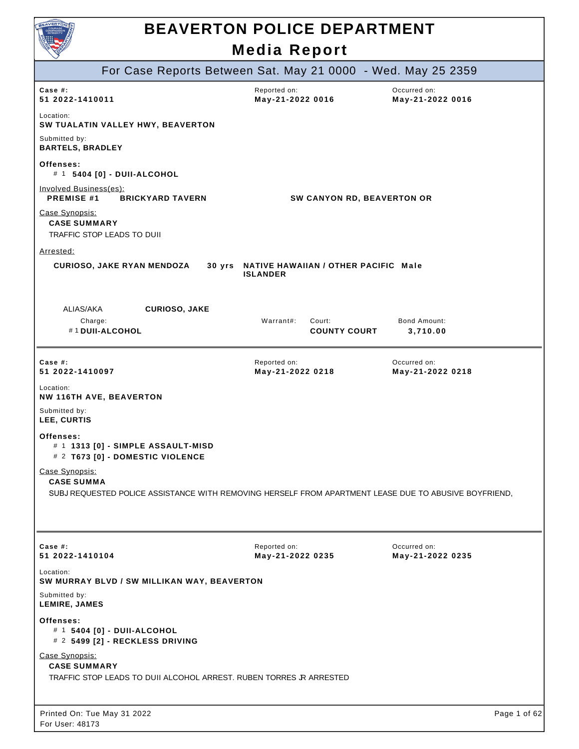

|                                                                                                              | For Case Reports Between Sat. May 21 0000 - Wed. May 25 2359   |                                  |
|--------------------------------------------------------------------------------------------------------------|----------------------------------------------------------------|----------------------------------|
| Case  #:<br>51 2022-1410011                                                                                  | Reported on:<br>May-21-2022 0016                               | Occurred on:<br>May-21-2022 0016 |
| Location:<br>SW TUALATIN VALLEY HWY, BEAVERTON                                                               |                                                                |                                  |
| Submitted by:<br><b>BARTELS, BRADLEY</b>                                                                     |                                                                |                                  |
| Offenses:<br># 1 5404 [0] - DUII-ALCOHOL                                                                     |                                                                |                                  |
| <b>Involved Business(es):</b><br>PREMISE #1<br><b>BRICKYARD TAVERN</b>                                       | SW CANYON RD, BEAVERTON OR                                     |                                  |
| Case Synopsis:<br><b>CASE SUMMARY</b><br>TRAFFIC STOP LEADS TO DUII                                          |                                                                |                                  |
| Arrested:                                                                                                    |                                                                |                                  |
| <b>CURIOSO, JAKE RYAN MENDOZA</b>                                                                            | 30 yrs NATIVE HAWAIIAN / OTHER PACIFIC Male<br><b>ISLANDER</b> |                                  |
| ALIAS/AKA<br><b>CURIOSO, JAKE</b>                                                                            |                                                                |                                  |
| Charge:<br>#1 DUII-ALCOHOL                                                                                   | Warrant#:<br>Court:<br><b>COUNTY COURT</b>                     | Bond Amount:<br>3,710.00         |
| Case $#$ :<br>51 2022-1410097                                                                                | Reported on:<br>May-21-2022 0218                               | Occurred on:<br>May-21-2022 0218 |
| Location:<br><b>NW 116TH AVE, BEAVERTON</b>                                                                  |                                                                |                                  |
| Submitted by:<br>LEE, CURTIS                                                                                 |                                                                |                                  |
| Offenses:<br># 1 1313 [0] - SIMPLE ASSAULT-MISD<br># 2 T673 [0] - DOMESTIC VIOLENCE                          |                                                                |                                  |
| Case Synopsis:<br><b>CASE SUMMA</b>                                                                          |                                                                |                                  |
| SUBJ REQUESTED POLICE ASSISTANCE WITH REMOVING HERSELF FROM APARTMENT LEASE DUE TO ABUSIVE BOYFRIEND.        |                                                                |                                  |
|                                                                                                              |                                                                |                                  |
| Case $#$ :<br>51 2022-1410104                                                                                | Reported on:<br>May-21-2022 0235                               | Occurred on:<br>May-21-2022 0235 |
| Location:<br>SW MURRAY BLVD / SW MILLIKAN WAY, BEAVERTON                                                     |                                                                |                                  |
| Submitted by:<br>LEMIRE, JAMES                                                                               |                                                                |                                  |
| Offenses:<br># 1 5404 [0] - DUII-ALCOHOL<br># 2 5499 [2] - RECKLESS DRIVING                                  |                                                                |                                  |
| Case Synopsis:<br><b>CASE SUMMARY</b><br>TRAFFIC STOP LEADS TO DUII ALCOHOL ARREST. RUBEN TORRES JR ARRESTED |                                                                |                                  |
| Printed On: Tue May 31 2022<br>For User: 48173                                                               |                                                                | Page 1 of 62                     |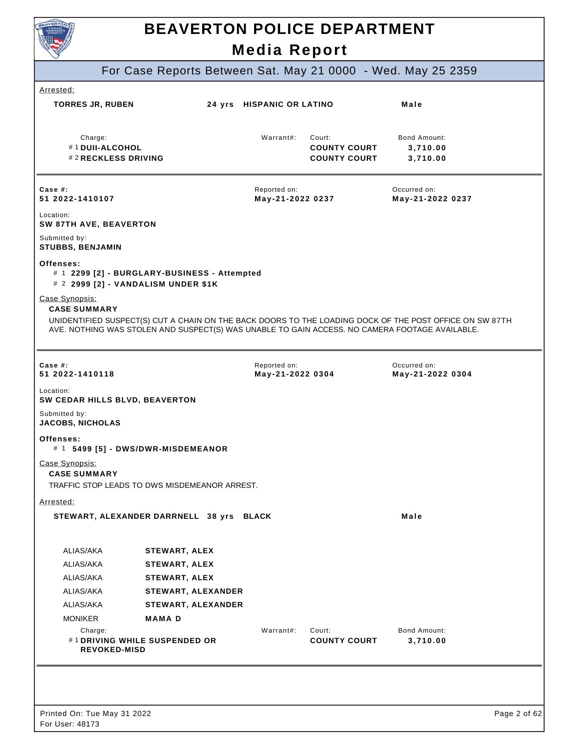

## **BEAVERTON POLICE DEPARTMENT**

**Media Report**  For Case Reports Between Sat. May 21 0000 - Wed. May 25 2359  **COUNTY COURT COUNTY COURT 3,710.00** Arrested: **TORRES JR, RUBEN 24 yrs HISPANIC OR LATINO Male**  Charge: #1 **DUII-ALCOHOL**  #2 **RECKLESS DRIVING**  Warrant#: Court: Bond Amount: **3,710.00 3,710.00 Case #: 51 2022-1410107**  Reported on: **May-21-2022 0237**  Occurred on: **May-21-2022 0237**  Location: **SW 87TH AVE, BEAVERTON**  Submitted by: **STUBBS, BENJAMIN Offenses:**  # 1 **2299 [2] - BURGLARY-BUSINESS - Attempted**  # 2 **2999 [2] - VANDALISM UNDER \$1K**  Case Synopsis: **CASE SUMMARY**  UNIDENTIFIED SUSPECT(S) CUT A CHAIN ON THE BACK DOORS TO THE LOADING DOCK OF THE POST OFFICE ON SW 87TH AVE. NOTHING WAS STOLEN AND SUSPECT(S) WAS UNABLE TO GAIN ACCESS. NO CAMERA FOOTAGE AVAILABLE. **Case #: 51 2022-1410118**  Reported on: **May-21-2022 0304**  Occurred on: **May-21-2022 0304**  Location: **SW CEDAR HILLS BLVD, BEAVERTON**  Submitted by: **JACOBS, NICHOLAS Offenses:**  # 1 **5499 [5] - DWS/DWR-MISDEMEANOR**  Case Synopsis: **CASE SUMMARY**  TRAFFIC STOP LEADS TO DWS MISDEMEANOR ARREST. Arrested: **STEWART, ALEXANDER DARRNELL 38 yrs BLACK Male CONSTRAINING Male** ALIAS/AKA ALIAS/AKA ALIAS/AKA ALIAS/AKA ALIAS/AKA MONIKER **STEWART, ALEX STEWART, ALEX STEWART, ALEX STEWART, ALEXANDER STEWART, ALEXANDER MAMA D**   $Charne$ #1 **DRIVING WHILE SUSPENDED OR REVOKED-MISD**  Warrant#: Court: **COUNTY COURT**  Bond Amount: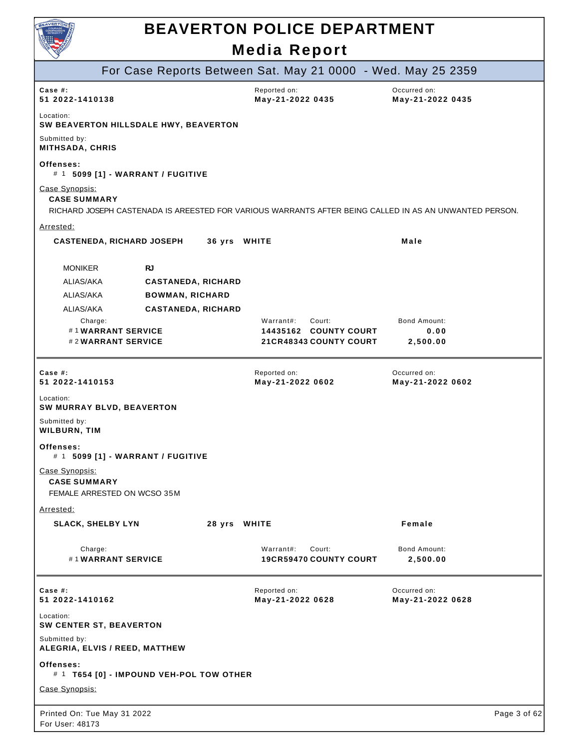

|                                                                                                                                                 | For Case Reports Between Sat. May 21 0000 - Wed. May 25 2359 |                                  |              |
|-------------------------------------------------------------------------------------------------------------------------------------------------|--------------------------------------------------------------|----------------------------------|--------------|
| Case $#$ :<br>51 2022-1410138                                                                                                                   | Reported on:<br>May-21-2022 0435                             | Occurred on:<br>May-21-2022 0435 |              |
| Location:<br>SW BEAVERTON HILLSDALE HWY, BEAVERTON                                                                                              |                                                              |                                  |              |
| Submitted by:<br><b>MITHSADA, CHRIS</b>                                                                                                         |                                                              |                                  |              |
| Offenses:<br># 1 5099 [1] - WARRANT / FUGITIVE                                                                                                  |                                                              |                                  |              |
| Case Synopsis:<br><b>CASE SUMMARY</b><br>RICHARD JOSEPH CASTENADA IS AREESTED FOR VARIOUS WARRANTS AFTER BEING CALLED IN AS AN UNWANTED PERSON. |                                                              |                                  |              |
| Arrested:                                                                                                                                       |                                                              |                                  |              |
| CASTENEDA, RICHARD JOSEPH 36 yrs WHITE                                                                                                          |                                                              | Male                             |              |
|                                                                                                                                                 |                                                              |                                  |              |
| <b>MONIKER</b><br><b>RJ</b>                                                                                                                     |                                                              |                                  |              |
| ALIAS/AKA<br><b>CASTANEDA, RICHARD</b>                                                                                                          |                                                              |                                  |              |
| ALIAS/AKA<br><b>BOWMAN, RICHARD</b>                                                                                                             |                                                              |                                  |              |
| ALIAS/AKA<br><b>CASTANEDA, RICHARD</b>                                                                                                          |                                                              |                                  |              |
| Charge:<br>#1WARRANT SERVICE                                                                                                                    | Warrant#:<br>Court:<br>14435162 COUNTY COURT                 | <b>Bond Amount:</b>              |              |
| #2WARRANT SERVICE                                                                                                                               | 21 CR48343 COUNTY COURT                                      | 0.00<br>2,500.00                 |              |
|                                                                                                                                                 |                                                              |                                  |              |
| Case $#$ :<br>51 2022-1410153                                                                                                                   | Reported on:<br>May-21-2022 0602                             | Occurred on:<br>May-21-2022 0602 |              |
| Location:<br>SW MURRAY BLVD, BEAVERTON                                                                                                          |                                                              |                                  |              |
| Submitted by:<br><b>WILBURN, TIM</b>                                                                                                            |                                                              |                                  |              |
| Offenses:<br># 1 5099 [1] - WARRANT / FUGITIVE                                                                                                  |                                                              |                                  |              |
| Case Synopsis:<br><b>CASE SUMMARY</b><br>FEMALE ARRESTED ON WCSO 35M                                                                            |                                                              |                                  |              |
| <u>Arrested:</u>                                                                                                                                |                                                              |                                  |              |
| <b>SLACK, SHELBY LYN</b>                                                                                                                        | 28 yrs WHITE                                                 | Female                           |              |
| Charge:<br>#1WARRANT SERVICE                                                                                                                    | Warrant#:<br>Court:<br><b>19CR59470 COUNTY COURT</b>         | Bond Amount:<br>2,500.00         |              |
| Case #:<br>51 2022-1410162                                                                                                                      | Reported on:<br>May-21-2022 0628                             | Occurred on:<br>May-21-2022 0628 |              |
| Location:<br>SW CENTER ST, BEAVERTON                                                                                                            |                                                              |                                  |              |
| Submitted by:<br>ALEGRIA, ELVIS / REED, MATTHEW                                                                                                 |                                                              |                                  |              |
| Offenses:<br># 1 T654 [0] - IMPOUND VEH-POL TOW OTHER                                                                                           |                                                              |                                  |              |
| Case Synopsis:                                                                                                                                  |                                                              |                                  |              |
| Printed On: Tue May 31 2022<br>For User: 48173                                                                                                  |                                                              |                                  | Page 3 of 62 |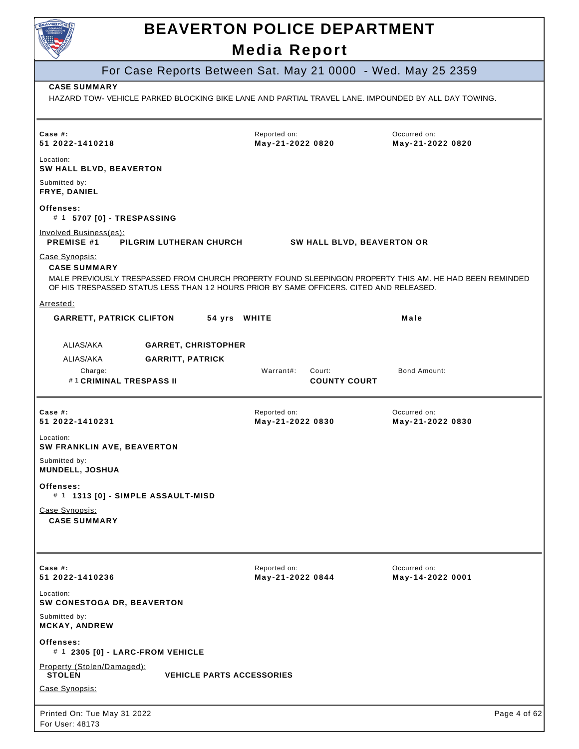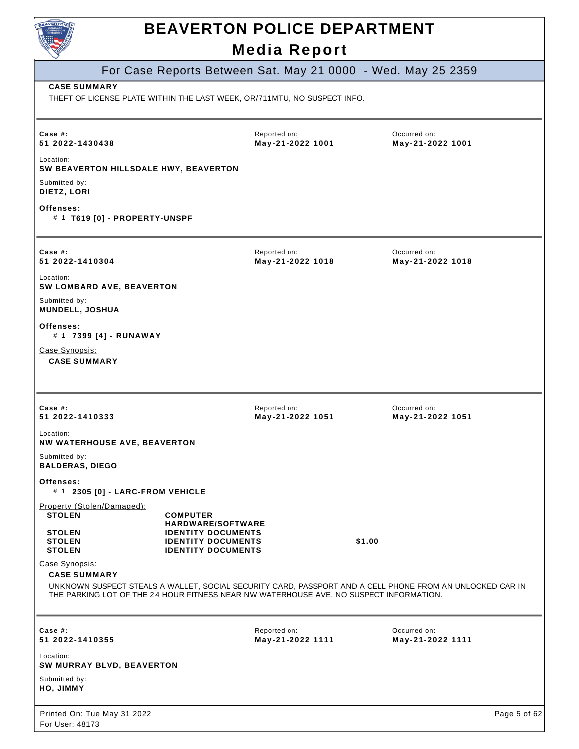| BEAVERTON                                                                                                                       |                                                                                                                 | <b>BEAVERTON POLICE DEPARTMENT</b><br><b>Media Report</b> |                                                                                                          |  |
|---------------------------------------------------------------------------------------------------------------------------------|-----------------------------------------------------------------------------------------------------------------|-----------------------------------------------------------|----------------------------------------------------------------------------------------------------------|--|
|                                                                                                                                 |                                                                                                                 |                                                           | For Case Reports Between Sat. May 21 0000 - Wed. May 25 2359                                             |  |
| <b>CASE SUMMARY</b><br>THEFT OF LICENSE PLATE WITHIN THE LAST WEEK, OR/711MTU, NO SUSPECT INFO.                                 |                                                                                                                 |                                                           |                                                                                                          |  |
| Case $#$ :<br>51 2022-1430438                                                                                                   |                                                                                                                 | Reported on:<br>May-21-2022 1001                          | Occurred on:<br>May-21-2022 1001                                                                         |  |
| Location:<br>SW BEAVERTON HILLSDALE HWY, BEAVERTON                                                                              |                                                                                                                 |                                                           |                                                                                                          |  |
| Submitted by:<br>DIETZ, LORI                                                                                                    |                                                                                                                 |                                                           |                                                                                                          |  |
| Offenses:<br># 1 T619 [0] - PROPERTY-UNSPF                                                                                      |                                                                                                                 |                                                           |                                                                                                          |  |
| Case  #:<br>51 2022-1410304                                                                                                     |                                                                                                                 | Reported on:<br>May-21-2022 1018                          | Occurred on:<br>May-21-2022 1018                                                                         |  |
| Location:<br><b>SW LOMBARD AVE, BEAVERTON</b>                                                                                   |                                                                                                                 |                                                           |                                                                                                          |  |
| Submitted by:<br>MUNDELL, JOSHUA                                                                                                |                                                                                                                 |                                                           |                                                                                                          |  |
| Offenses:<br># 1 7399 [4] - RUNAWAY                                                                                             |                                                                                                                 |                                                           |                                                                                                          |  |
| Case Synopsis:<br><b>CASE SUMMARY</b>                                                                                           |                                                                                                                 |                                                           |                                                                                                          |  |
|                                                                                                                                 |                                                                                                                 |                                                           |                                                                                                          |  |
| Case $#$ :<br>51 2022-1410333                                                                                                   |                                                                                                                 | Reported on:<br>May-21-2022 1051                          | Occurred on:<br>May-21-2022 1051                                                                         |  |
| Location:<br><b>NW WATERHOUSE AVE, BEAVERTON</b>                                                                                |                                                                                                                 |                                                           |                                                                                                          |  |
| Submitted by:<br><b>BALDERAS, DIEGO</b>                                                                                         |                                                                                                                 |                                                           |                                                                                                          |  |
| Offenses:<br># 1 2305 [0] - LARC-FROM VEHICLE                                                                                   |                                                                                                                 |                                                           |                                                                                                          |  |
| Property (Stolen/Damaged):<br><b>STOLEN</b>                                                                                     | <b>COMPUTER</b>                                                                                                 |                                                           |                                                                                                          |  |
| <b>STOLEN</b><br><b>STOLEN</b><br><b>STOLEN</b>                                                                                 | <b>HARDWARE/SOFTWARE</b><br><b>IDENTITY DOCUMENTS</b><br><b>IDENTITY DOCUMENTS</b><br><b>IDENTITY DOCUMENTS</b> |                                                           | \$1.00                                                                                                   |  |
| Case Synopsis:<br><b>CASE SUMMARY</b><br>THE PARKING LOT OF THE 24 HOUR FITNESS NEAR NW WATERHOUSE AVE. NO SUSPECT INFORMATION. |                                                                                                                 |                                                           | UNKNOWN SUSPECT STEALS A WALLET, SOCIAL SECURITY CARD, PASSPORT AND A CELL PHONE FROM AN UNLOCKED CAR IN |  |
| Case $#$ :<br>51 2022-1410355                                                                                                   |                                                                                                                 | Reported on:<br>May-21-2022 1111                          | Occurred on:<br>May-21-2022 1111                                                                         |  |
| Location:<br>SW MURRAY BLVD, BEAVERTON                                                                                          |                                                                                                                 |                                                           |                                                                                                          |  |
| Submitted by:<br>HO, JIMMY                                                                                                      |                                                                                                                 |                                                           |                                                                                                          |  |
| Printed On: Tue May 31 2022<br>For User: 48173                                                                                  |                                                                                                                 |                                                           | Page 5 of 62                                                                                             |  |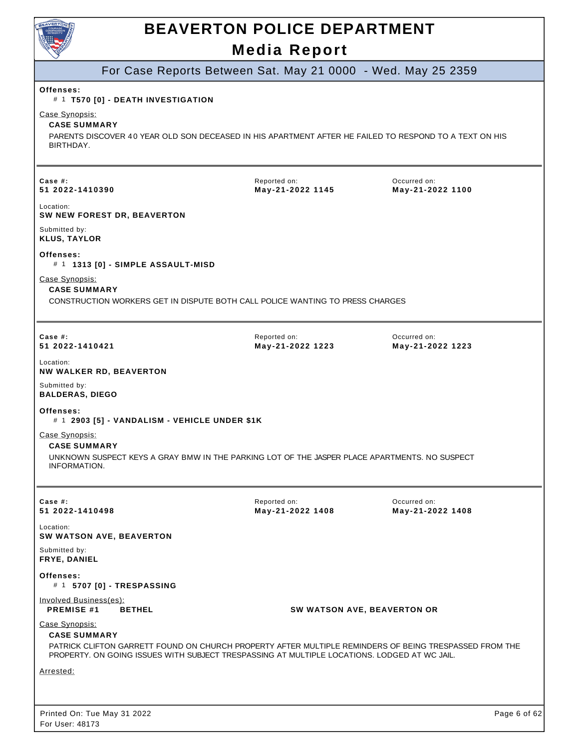

#### For Case Reports Between Sat. May 21 0000 - Wed. May 25 2359

#### **Offenses:**

#### # 1 **T570 [0] - DEATH INVESTIGATION**

Case Synopsis:

For User: 48173

#### **CASE SUMMARY**

PARENTS DISCOVER 40 YEAR OLD SON DECEASED IN HIS APARTMENT AFTER HE FAILED TO RESPOND TO A TEXT ON HIS BIRTHDAY.

| Case $#$ :<br>51 2022-1410390                                | Reported on:<br>May-21-2022 1145                                                                                                                                                                       | Occurred on:<br>May-21-2022 1100 |
|--------------------------------------------------------------|--------------------------------------------------------------------------------------------------------------------------------------------------------------------------------------------------------|----------------------------------|
| Location:<br>SW NEW FOREST DR, BEAVERTON                     |                                                                                                                                                                                                        |                                  |
| Submitted by:<br><b>KLUS, TAYLOR</b>                         |                                                                                                                                                                                                        |                                  |
| Offenses:<br># 1 1313 [0] - SIMPLE ASSAULT-MISD              |                                                                                                                                                                                                        |                                  |
| Case Synopsis:<br><b>CASE SUMMARY</b>                        | CONSTRUCTION WORKERS GET IN DISPUTE BOTH CALL POLICE WANTING TO PRESS CHARGES                                                                                                                          |                                  |
| Case #:<br>51 2022-1410421                                   | Reported on:<br>May-21-2022 1223                                                                                                                                                                       | Occurred on:<br>May-21-2022 1223 |
| Location:<br>NW WALKER RD, BEAVERTON                         |                                                                                                                                                                                                        |                                  |
| Submitted by:<br><b>BALDERAS, DIEGO</b>                      |                                                                                                                                                                                                        |                                  |
| Offenses:<br># 1 2903 [5] - VANDALISM - VEHICLE UNDER \$1K   |                                                                                                                                                                                                        |                                  |
| Case Synopsis:<br><b>CASE SUMMARY</b><br>INFORMATION.        | UNKNOWN SUSPECT KEYS A GRAY BMW IN THE PARKING LOT OF THE JASPER PLACE APARTMENTS. NO SUSPECT                                                                                                          |                                  |
| Case $#$ :<br>51 2022-1410498                                | Reported on:<br>May-21-2022 1408                                                                                                                                                                       | Occurred on:<br>May-21-2022 1408 |
| Location:<br><b>SW WATSON AVE, BEAVERTON</b>                 |                                                                                                                                                                                                        |                                  |
| Submitted by:<br><b>FRYE, DANIEL</b>                         |                                                                                                                                                                                                        |                                  |
| Offenses:<br># 1 5707 [0] - TRESPASSING                      |                                                                                                                                                                                                        |                                  |
| Involved Business(es):<br><b>PREMISE #1</b><br><b>BETHEL</b> |                                                                                                                                                                                                        | SW WATSON AVE, BEAVERTON OR      |
| Case Synopsis:<br><b>CASE SUMMARY</b>                        | PATRICK CLIFTON GARRETT FOUND ON CHURCH PROPERTY AFTER MULTIPLE REMINDERS OF BEING TRESPASSED FROM THE<br>PROPERTY. ON GOING ISSUES WITH SUBJECT TRESPASSING AT MULTIPLE LOCATIONS. LODGED AT WC JAIL. |                                  |
| Arrested:                                                    |                                                                                                                                                                                                        |                                  |
|                                                              |                                                                                                                                                                                                        |                                  |
| Printed On: Tue May 31 2022                                  |                                                                                                                                                                                                        | Page 6 of 62                     |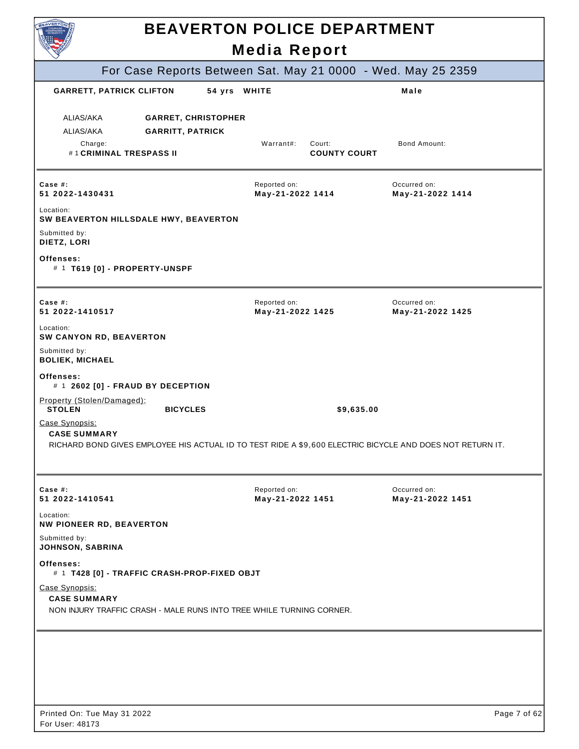| EAVERTON                                                                                                                                                                                                                                                        | <b>BEAVERTON POLICE DEPARTMENT</b><br><b>Media Report</b> |                                  |
|-----------------------------------------------------------------------------------------------------------------------------------------------------------------------------------------------------------------------------------------------------------------|-----------------------------------------------------------|----------------------------------|
| For Case Reports Between Sat. May 21 0000 - Wed. May 25 2359                                                                                                                                                                                                    |                                                           |                                  |
| <b>GARRETT, PATRICK CLIFTON</b>                                                                                                                                                                                                                                 | 54 yrs WHITE                                              | Male                             |
| ALIAS/AKA<br><b>GARRET, CHRISTOPHER</b><br>ALIAS/AKA<br><b>GARRITT, PATRICK</b><br>Charge:<br>#1 CRIMINAL TRESPASS II                                                                                                                                           | Warrant#:<br>Court:<br><b>COUNTY COURT</b>                | Bond Amount:                     |
| Case $#$ :<br>51 2022-1430431                                                                                                                                                                                                                                   | Reported on:<br>May-21-2022 1414                          | Occurred on:<br>May-21-2022 1414 |
| Location:<br>SW BEAVERTON HILLSDALE HWY, BEAVERTON<br>Submitted by:<br>DIETZ, LORI<br>Offenses:<br># 1 T619 [0] - PROPERTY-UNSPF                                                                                                                                |                                                           |                                  |
| Case $#$ :<br>51 2022-1410517                                                                                                                                                                                                                                   | Reported on:<br>May-21-2022 1425                          | Occurred on:<br>May-21-2022 1425 |
| Location:<br>SW CANYON RD, BEAVERTON<br>Submitted by:<br><b>BOLIEK, MICHAEL</b>                                                                                                                                                                                 |                                                           |                                  |
| Offenses:<br># 1 2602 [0] - FRAUD BY DECEPTION                                                                                                                                                                                                                  |                                                           |                                  |
| Property (Stolen/Damaged):<br><b>STOLEN</b><br><b>BICYCLES</b><br>Case Synopsis:<br><b>CASE SUMMARY</b><br>RICHARD BOND GIVES EMPLOYEE HIS ACTUAL ID TO TEST RIDE A \$9,600 ELECTRIC BICYCLE AND DOES NOT RETURN IT.                                            |                                                           | \$9,635.00                       |
| Case $#$ :<br>51 2022-1410541                                                                                                                                                                                                                                   | Reported on:<br>May-21-2022 1451                          | Occurred on:<br>May-21-2022 1451 |
| Location:<br><b>NW PIONEER RD, BEAVERTON</b><br>Submitted by:<br>JOHNSON, SABRINA<br>Offenses:<br># 1 T428 [0] - TRAFFIC CRASH-PROP-FIXED OBJT<br>Case Synopsis:<br><b>CASE SUMMARY</b><br>NON INJURY TRAFFIC CRASH - MALE RUNS INTO TREE WHILE TURNING CORNER. |                                                           |                                  |
| Printed On: Tue May 31 2022<br>For User: 48173                                                                                                                                                                                                                  |                                                           | Page 7 of 62                     |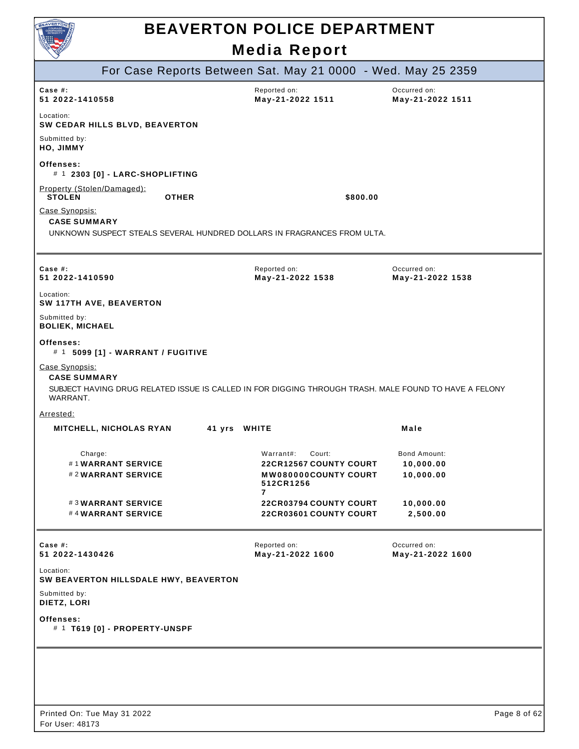

| For Case Reports Between Sat. May 21 0000 - Wed. May 25 2359                                                                                               |                                                                                |                                  |
|------------------------------------------------------------------------------------------------------------------------------------------------------------|--------------------------------------------------------------------------------|----------------------------------|
| Case #:<br>51 2022-1410558                                                                                                                                 | Reported on:<br>May-21-2022 1511                                               | Occurred on:<br>May-21-2022 1511 |
| Location:<br>SW CEDAR HILLS BLVD, BEAVERTON                                                                                                                |                                                                                |                                  |
| Submitted by:<br>HO, JIMMY                                                                                                                                 |                                                                                |                                  |
| Offenses:<br># 1 2303 [0] - LARC-SHOPLIFTING                                                                                                               |                                                                                |                                  |
| Property (Stolen/Damaged):<br><b>STOLEN</b><br><b>OTHER</b>                                                                                                | \$800.00                                                                       |                                  |
| Case Synopsis:<br><b>CASE SUMMARY</b>                                                                                                                      |                                                                                |                                  |
| UNKNOWN SUSPECT STEALS SEVERAL HUNDRED DOLLARS IN FRAGRANCES FROM ULTA.                                                                                    |                                                                                |                                  |
| Case #:<br>51 2022-1410590                                                                                                                                 | Reported on:<br>May-21-2022 1538                                               | Occurred on:<br>May-21-2022 1538 |
| Location:<br>SW 117TH AVE, BEAVERTON                                                                                                                       |                                                                                |                                  |
| Submitted by:<br><b>BOLIEK, MICHAEL</b>                                                                                                                    |                                                                                |                                  |
| Offenses:<br># 1 5099 [1] - WARRANT / FUGITIVE                                                                                                             |                                                                                |                                  |
| Case Synopsis:<br><b>CASE SUMMARY</b><br>SUBJECT HAVING DRUG RELATED ISSUE IS CALLED IN FOR DIGGING THROUGH TRASH. MALE FOUND TO HAVE A FELONY<br>WARRANT. |                                                                                |                                  |
| <u>Arrested:</u>                                                                                                                                           |                                                                                |                                  |
| 41 yrs WHITE<br><b>MITCHELL, NICHOLAS RYAN</b>                                                                                                             |                                                                                | Male                             |
| Charge:                                                                                                                                                    | Warrant#:<br>Court:                                                            | <b>Bond Amount:</b>              |
| #1WARRANT SERVICE<br>#2WARRANT SERVICE                                                                                                                     | <b>22CR12567 COUNTY COURT</b><br><b>MW080000COUNTY COURT</b><br>512CR1256<br>7 | 10,000.00<br>10,000.00           |
| #3WARRANT SERVICE<br>#4WARRANT SERVICE                                                                                                                     | <b>22CR03794 COUNTY COURT</b><br>22CR03601 COUNTY COURT                        | 10,000.00<br>2,500.00            |
| Case $#$ :<br>51 2022-1430426                                                                                                                              | Reported on:<br>May-21-2022 1600                                               | Occurred on:<br>May-21-2022 1600 |
| Location:<br>SW BEAVERTON HILLSDALE HWY, BEAVERTON                                                                                                         |                                                                                |                                  |
| Submitted by:<br>DIETZ, LORI                                                                                                                               |                                                                                |                                  |
| Offenses:<br># 1 T619 [0] - PROPERTY-UNSPF                                                                                                                 |                                                                                |                                  |
|                                                                                                                                                            |                                                                                |                                  |
|                                                                                                                                                            |                                                                                |                                  |
|                                                                                                                                                            |                                                                                |                                  |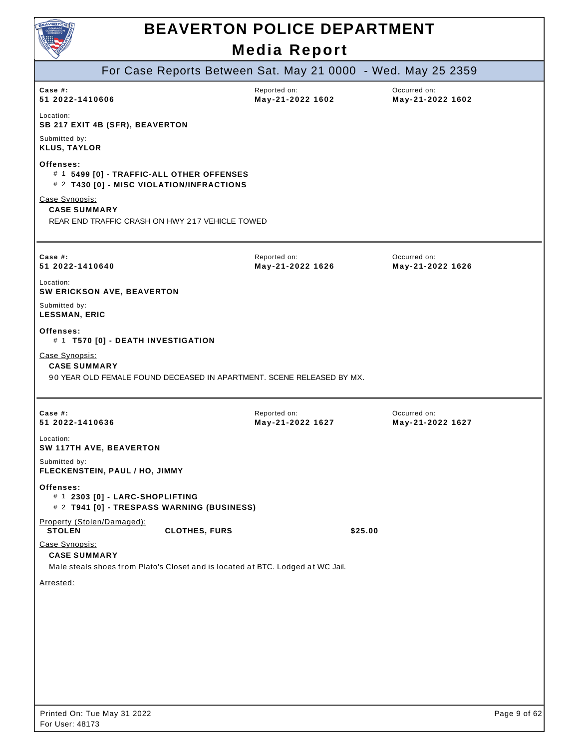

|                                                                                                                          |                      |                                  | For Case Reports Between Sat. May 21 0000 - Wed. May 25 2359 |
|--------------------------------------------------------------------------------------------------------------------------|----------------------|----------------------------------|--------------------------------------------------------------|
| Case #:<br>51 2022-1410606                                                                                               |                      | Reported on:<br>May-21-2022 1602 | Occurred on:<br>May-21-2022 1602                             |
| Location:<br><b>SB 217 EXIT 4B (SFR), BEAVERTON</b>                                                                      |                      |                                  |                                                              |
| Submitted by:<br><b>KLUS, TAYLOR</b>                                                                                     |                      |                                  |                                                              |
| Offenses:<br># 1 5499 [0] - TRAFFIC-ALL OTHER OFFENSES<br># 2 T430 [0] - MISC VIOLATION/INFRACTIONS                      |                      |                                  |                                                              |
| Case Synopsis:<br><b>CASE SUMMARY</b><br>REAR END TRAFFIC CRASH ON HWY 217 VEHICLE TOWED                                 |                      |                                  |                                                              |
| Case $#$ :<br>51 2022-1410640                                                                                            |                      | Reported on:<br>May-21-2022 1626 | Occurred on:<br>May-21-2022 1626                             |
| Location:<br>SW ERICKSON AVE, BEAVERTON                                                                                  |                      |                                  |                                                              |
| Submitted by:<br><b>LESSMAN, ERIC</b>                                                                                    |                      |                                  |                                                              |
| Offenses:<br># 1 T570 [0] - DEATH INVESTIGATION                                                                          |                      |                                  |                                                              |
| Case Synopsis:<br><b>CASE SUMMARY</b><br>90 YEAR OLD FEMALE FOUND DECEASED IN APARTMENT. SCENE RELEASED BY MX.           |                      |                                  |                                                              |
| Case #:<br>51 2022-1410636                                                                                               |                      | Reported on:<br>May-21-2022 1627 | Occurred on:<br>May-21-2022 1627                             |
| Location:<br>SW 117TH AVE, BEAVERTON                                                                                     |                      |                                  |                                                              |
| Submitted by:<br>FLECKENSTEIN, PAUL / HO, JIMMY                                                                          |                      |                                  |                                                              |
| Offenses:<br># 1 2303 [0] - LARC-SHOPLIFTING<br># 2 T941 [0] - TRESPASS WARNING (BUSINESS)                               |                      |                                  |                                                              |
| Property (Stolen/Damaged):<br><b>STOLEN</b>                                                                              | <b>CLOTHES, FURS</b> |                                  | \$25.00                                                      |
| Case Synopsis:<br><b>CASE SUMMARY</b><br>Male steals shoes from Plato's Closet and is located at BTC. Lodged at WC Jail. |                      |                                  |                                                              |
| Arrested:                                                                                                                |                      |                                  |                                                              |
|                                                                                                                          |                      |                                  |                                                              |
|                                                                                                                          |                      |                                  |                                                              |
|                                                                                                                          |                      |                                  |                                                              |
|                                                                                                                          |                      |                                  |                                                              |
| Printed On: Tue May 31 2022                                                                                              |                      |                                  | Page 9 of 62                                                 |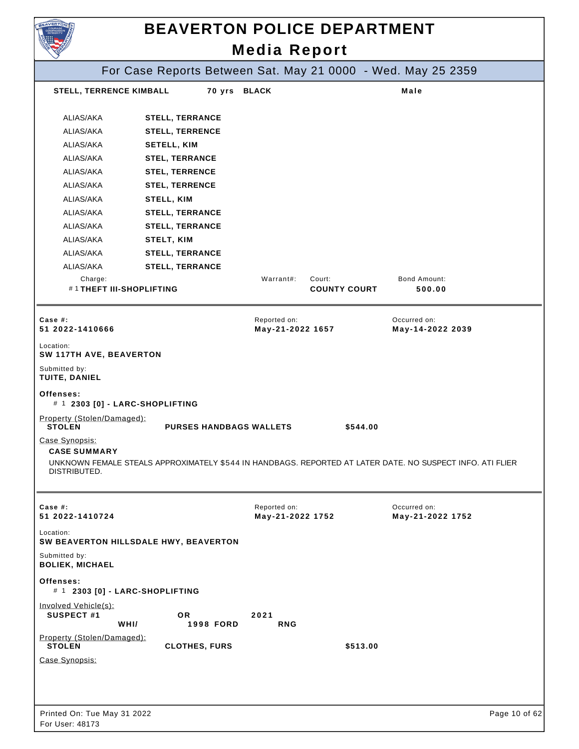|                                                       | <b>BEAVERTON POLICE DEPARTMENT</b>                                                                        | <b>Media Report</b>              |                     |                                  |               |
|-------------------------------------------------------|-----------------------------------------------------------------------------------------------------------|----------------------------------|---------------------|----------------------------------|---------------|
|                                                       | For Case Reports Between Sat. May 21 0000 - Wed. May 25 2359                                              |                                  |                     |                                  |               |
| <b>STELL, TERRENCE KIMBALL</b>                        |                                                                                                           | 70 yrs BLACK                     |                     | Male                             |               |
| ALIAS/AKA<br>ALIAS/AKA                                | <b>STELL, TERRANCE</b><br><b>STELL, TERRENCE</b>                                                          |                                  |                     |                                  |               |
| ALIAS/AKA<br>ALIAS/AKA                                | <b>SETELL, KIM</b><br><b>STEL, TERRANCE</b>                                                               |                                  |                     |                                  |               |
| ALIAS/AKA                                             | <b>STEL, TERRENCE</b>                                                                                     |                                  |                     |                                  |               |
| ALIAS/AKA                                             | <b>STEL, TERRENCE</b>                                                                                     |                                  |                     |                                  |               |
| ALIAS/AKA                                             | STELL, KIM                                                                                                |                                  |                     |                                  |               |
| ALIAS/AKA                                             | <b>STELL, TERRANCE</b>                                                                                    |                                  |                     |                                  |               |
| ALIAS/AKA                                             | <b>STELL, TERRANCE</b>                                                                                    |                                  |                     |                                  |               |
| ALIAS/AKA                                             | STELT, KIM                                                                                                |                                  |                     |                                  |               |
| ALIAS/AKA                                             | <b>STELL, TERRANCE</b>                                                                                    |                                  |                     |                                  |               |
| ALIAS/AKA                                             | <b>STELL, TERRANCE</b>                                                                                    |                                  |                     |                                  |               |
| Charge:<br>#1THEFT III-SHOPLIFTING                    |                                                                                                           | Warrant#:<br>Court:              | <b>COUNTY COURT</b> | Bond Amount:<br>500.00           |               |
| Case  #:<br>51 2022-1410666                           |                                                                                                           | Reported on:<br>May-21-2022 1657 |                     | Occurred on:<br>May-14-2022 2039 |               |
| Location:<br>SW 117TH AVE, BEAVERTON                  |                                                                                                           |                                  |                     |                                  |               |
| Submitted by:<br>TUITE, DANIEL                        |                                                                                                           |                                  |                     |                                  |               |
| Offenses:<br># 1 2303 [0] - LARC-SHOPLIFTING          |                                                                                                           |                                  |                     |                                  |               |
| Property (Stolen/Damaged):<br><b>STOLEN</b>           | <b>PURSES HANDBAGS WALLETS</b>                                                                            |                                  | \$544.00            |                                  |               |
| Case Synopsis:<br><b>CASE SUMMARY</b><br>DISTRIBUTED. | UNKNOWN FEMALE STEALS APPROXIMATELY \$544 IN HANDBAGS. REPORTED AT LATER DATE. NO SUSPECT INFO. ATI FLIER |                                  |                     |                                  |               |
| Case #:<br>51 2022-1410724                            |                                                                                                           | Reported on:<br>May-21-2022 1752 |                     | Occurred on:<br>May-21-2022 1752 |               |
| Location:                                             | SW BEAVERTON HILLSDALE HWY, BEAVERTON                                                                     |                                  |                     |                                  |               |
| Submitted by:<br><b>BOLIEK, MICHAEL</b>               |                                                                                                           |                                  |                     |                                  |               |
| Offenses:<br># 1 2303 [0] - LARC-SHOPLIFTING          |                                                                                                           |                                  |                     |                                  |               |
| Involved Vehicle(s):<br>SUSPECT #1<br>WHI/            | OR.<br><b>1998 FORD</b>                                                                                   | 2021<br><b>RNG</b>               |                     |                                  |               |
| Property (Stolen/Damaged):<br><b>STOLEN</b>           | <b>CLOTHES, FURS</b>                                                                                      |                                  | \$513.00            |                                  |               |
| Case Synopsis:                                        |                                                                                                           |                                  |                     |                                  |               |
|                                                       |                                                                                                           |                                  |                     |                                  |               |
| Printed On: Tue May 31 2022<br>For User: 48173        |                                                                                                           |                                  |                     |                                  | Page 10 of 62 |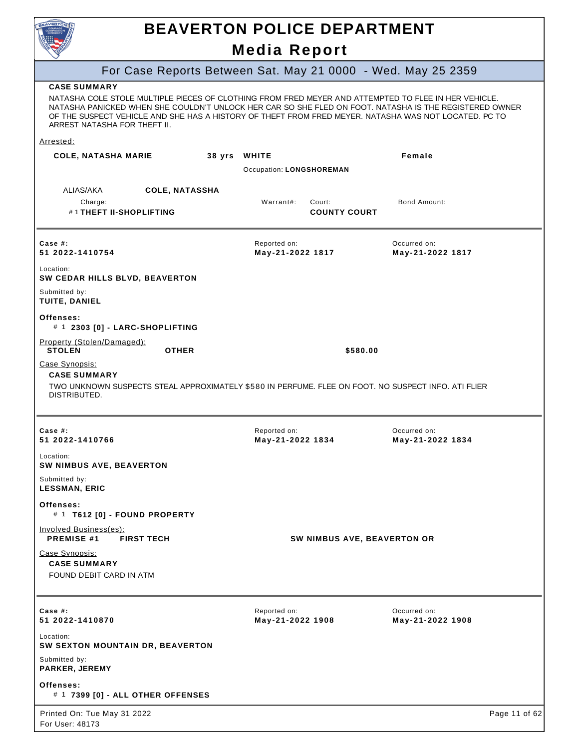

### **BEAVERTON POLICE DEPARTMENT**

### **Media Report**

#### For Case Reports Between Sat. May 21 0000 - Wed. May 25 2359

#### **CASE SUMMARY**

NATASHA COLE STOLE MULTIPLE PIECES OF CLOTHING FROM FRED MEYER AND ATTEMPTED TO FLEE IN HER VEHICLE. NATASHA PANICKED WHEN SHE COULDN'T UNLOCK HER CAR SO SHE FLED ON FOOT. NATASHA IS THE REGISTERED OWNER OF THE SUSPECT VEHICLE AND SHE HAS A HISTORY OF THEFT FROM FRED MEYER. NATASHA WAS NOT LOCATED. PC TO ARREST NATASHA FOR THEFT II.

#### Arrested:

| <b>COLE, NATASHA MARIE</b>                                                                                                                                   | 38 yrs                | <b>WHITE</b><br>Occupation: LONGSHOREMAN |                                    | Female                           |               |
|--------------------------------------------------------------------------------------------------------------------------------------------------------------|-----------------------|------------------------------------------|------------------------------------|----------------------------------|---------------|
| ALIAS/AKA<br>Charge:<br>#1THEFT II-SHOPLIFTING                                                                                                               | <b>COLE, NATASSHA</b> | Warrant#:                                | Court:<br><b>COUNTY COURT</b>      | Bond Amount:                     |               |
| Case #:<br>51 2022-1410754                                                                                                                                   |                       | Reported on:<br>May-21-2022 1817         |                                    | Occurred on:<br>May-21-2022 1817 |               |
| Location:<br>SW CEDAR HILLS BLVD, BEAVERTON                                                                                                                  |                       |                                          |                                    |                                  |               |
| Submitted by:<br>TUITE, DANIEL                                                                                                                               |                       |                                          |                                    |                                  |               |
| Offenses:<br># 1 2303 [0] - LARC-SHOPLIFTING                                                                                                                 |                       |                                          |                                    |                                  |               |
| Property (Stolen/Damaged):<br><b>STOLEN</b>                                                                                                                  | <b>OTHER</b>          |                                          | \$580.00                           |                                  |               |
| Case Synopsis:<br><b>CASE SUMMARY</b><br>TWO UNKNOWN SUSPECTS STEAL APPROXIMATELY \$580 IN PERFUME. FLEE ON FOOT. NO SUSPECT INFO. ATI FLIER<br>DISTRIBUTED. |                       |                                          |                                    |                                  |               |
| Case #:<br>51 2022-1410766                                                                                                                                   |                       | Reported on:<br>May-21-2022 1834         |                                    | Occurred on:<br>May-21-2022 1834 |               |
| Location:<br><b>SW NIMBUS AVE, BEAVERTON</b>                                                                                                                 |                       |                                          |                                    |                                  |               |
| Submitted by:<br><b>LESSMAN, ERIC</b>                                                                                                                        |                       |                                          |                                    |                                  |               |
| Offenses:<br># 1 T612 [0] - FOUND PROPERTY                                                                                                                   |                       |                                          |                                    |                                  |               |
| Involved Business(es):<br>PREMISE #1<br><b>FIRST TECH</b>                                                                                                    |                       |                                          | <b>SW NIMBUS AVE, BEAVERTON OR</b> |                                  |               |
| Case Synopsis:<br><b>CASE SUMMARY</b><br>FOUND DEBIT CARD IN ATM                                                                                             |                       |                                          |                                    |                                  |               |
| Case #:<br>51 2022-1410870                                                                                                                                   |                       | Reported on:<br>May-21-2022 1908         |                                    | Occurred on:<br>May-21-2022 1908 |               |
| Location:<br>SW SEXTON MOUNTAIN DR, BEAVERTON                                                                                                                |                       |                                          |                                    |                                  |               |
| Submitted by:<br>PARKER, JEREMY                                                                                                                              |                       |                                          |                                    |                                  |               |
| Offenses:<br># 1 7399 [0] - ALL OTHER OFFENSES                                                                                                               |                       |                                          |                                    |                                  |               |
| Printed On: Tue May 31 2022<br>For User: 48173                                                                                                               |                       |                                          |                                    |                                  | Page 11 of 62 |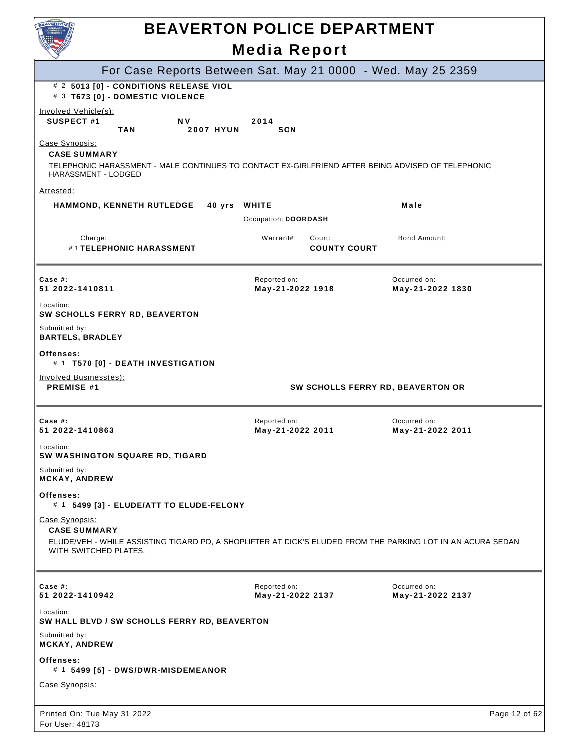| <b>BEAVERTON</b>                                                                                                                                                              | <b>BEAVERTON POLICE DEPARTMENT</b>                           |                                  |
|-------------------------------------------------------------------------------------------------------------------------------------------------------------------------------|--------------------------------------------------------------|----------------------------------|
|                                                                                                                                                                               | <b>Media Report</b>                                          |                                  |
|                                                                                                                                                                               | For Case Reports Between Sat. May 21 0000 - Wed. May 25 2359 |                                  |
| # 2 5013 [0] - CONDITIONS RELEASE VIOL<br># 3 T673 [0] - DOMESTIC VIOLENCE                                                                                                    |                                                              |                                  |
| Involved Vehicle(s):<br>SUSPECT #1<br>N <sub>V</sub><br><b>TAN</b><br><b>2007 HYUN</b>                                                                                        | 2014<br>SON                                                  |                                  |
| Case Synopsis:<br><b>CASE SUMMARY</b><br>TELEPHONIC HARASSMENT - MALE CONTINUES TO CONTACT EX-GIRLFRIEND AFTER BEING ADVISED OF TELEPHONIC<br><b>HARASSMENT - LODGED</b>      |                                                              |                                  |
| Arrested:                                                                                                                                                                     |                                                              |                                  |
| <b>HAMMOND, KENNETH RUTLEDGE</b><br>40 yrs WHITE                                                                                                                              | Occupation: DOORDASH                                         | Male                             |
| Charge:<br>#1TELEPHONIC HARASSMENT                                                                                                                                            | Warrant#:<br>Court:<br><b>COUNTY COURT</b>                   | <b>Bond Amount:</b>              |
| Case #:<br>51 2022-1410811                                                                                                                                                    | Reported on:<br>May-21-2022 1918                             | Occurred on:<br>May-21-2022 1830 |
| Location:<br>SW SCHOLLS FERRY RD, BEAVERTON                                                                                                                                   |                                                              |                                  |
| Submitted by:<br><b>BARTELS, BRADLEY</b>                                                                                                                                      |                                                              |                                  |
| Offenses:<br># 1 T570 [0] - DEATH INVESTIGATION                                                                                                                               |                                                              |                                  |
| Involved Business(es):<br><b>PREMISE #1</b>                                                                                                                                   | SW SCHOLLS FERRY RD, BEAVERTON OR                            |                                  |
| Case  #:<br>51 2022-1410863                                                                                                                                                   | Reported on:<br>May-21-2022 2011                             | Occurred on:<br>May-21-2022 2011 |
| Location:<br><b>SW WASHINGTON SQUARE RD, TIGARD</b>                                                                                                                           |                                                              |                                  |
| Submitted by:<br><b>MCKAY, ANDREW</b>                                                                                                                                         |                                                              |                                  |
| Offenses:<br># 1 5499 [3] - ELUDE/ATT TO ELUDE-FELONY                                                                                                                         |                                                              |                                  |
| Case Synopsis:<br><b>CASE SUMMARY</b><br>ELUDE/VEH - WHILE ASSISTING TIGARD PD, A SHOPLIFTER AT DICK'S ELUDED FROM THE PARKING LOT IN AN ACURA SEDAN<br>WITH SWITCHED PLATES. |                                                              |                                  |
| Case #:<br>51 2022-1410942                                                                                                                                                    | Reported on:<br>May-21-2022 2137                             | Occurred on:<br>May-21-2022 2137 |
| Location:<br>SW HALL BLVD / SW SCHOLLS FERRY RD, BEAVERTON                                                                                                                    |                                                              |                                  |
| Submitted by:<br><b>MCKAY, ANDREW</b>                                                                                                                                         |                                                              |                                  |
| Offenses:<br># 1 5499 [5] - DWS/DWR-MISDEMEANOR                                                                                                                               |                                                              |                                  |
| Case Synopsis:                                                                                                                                                                |                                                              |                                  |
| Printed On: Tue May 31 2022<br>For User: 48173                                                                                                                                |                                                              | Page 12 of 62                    |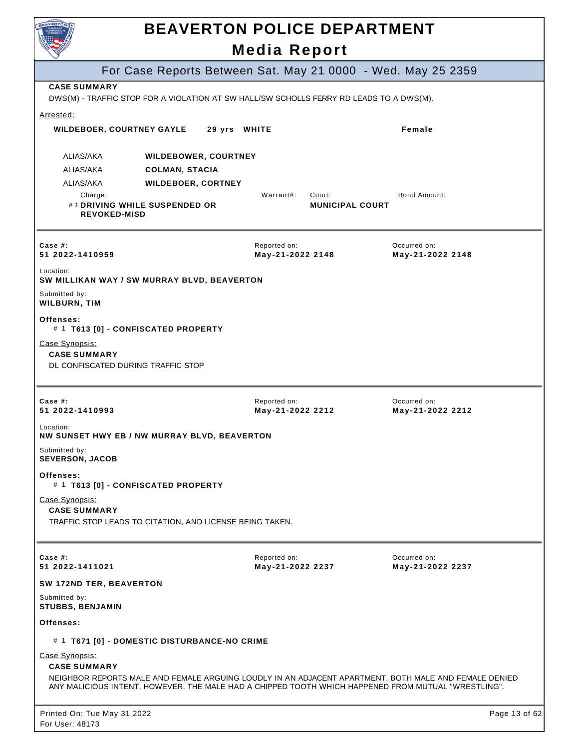| <b>NVERTE</b>                                                               | <b>BEAVERTON POLICE DEPARTMENT</b>                                                                                                                                                                           | <b>Media Report</b>              |                                  |                                  |               |
|-----------------------------------------------------------------------------|--------------------------------------------------------------------------------------------------------------------------------------------------------------------------------------------------------------|----------------------------------|----------------------------------|----------------------------------|---------------|
|                                                                             | For Case Reports Between Sat. May 21 0000 - Wed. May 25 2359                                                                                                                                                 |                                  |                                  |                                  |               |
| <b>CASE SUMMARY</b>                                                         | DWS(M) - TRAFFIC STOP FOR A VIOLATION AT SW HALL/SW SCHOLLS FERRY RD LEADS TO A DWS(M).                                                                                                                      |                                  |                                  |                                  |               |
| Arrested:<br><b>WILDEBOER, COURTNEY GAYLE</b>                               | 29 yrs WHITE                                                                                                                                                                                                 |                                  |                                  | Female                           |               |
| ALIAS/AKA                                                                   | <b>WILDEBOWER, COURTNEY</b>                                                                                                                                                                                  |                                  |                                  |                                  |               |
| ALIAS/AKA                                                                   | <b>COLMAN, STACIA</b>                                                                                                                                                                                        |                                  |                                  |                                  |               |
| ALIAS/AKA                                                                   | <b>WILDEBOER, CORTNEY</b>                                                                                                                                                                                    |                                  |                                  |                                  |               |
| Charge:<br><b>REVOKED-MISD</b>                                              | #1 DRIVING WHILE SUSPENDED OR                                                                                                                                                                                | Warrant#:                        | Court:<br><b>MUNICIPAL COURT</b> | <b>Bond Amount:</b>              |               |
| Case $#$ :<br>51 2022-1410959                                               |                                                                                                                                                                                                              | Reported on:<br>May-21-2022 2148 |                                  | Occurred on:<br>May-21-2022 2148 |               |
| Location:                                                                   | SW MILLIKAN WAY / SW MURRAY BLVD, BEAVERTON                                                                                                                                                                  |                                  |                                  |                                  |               |
| Submitted by:<br><b>WILBURN, TIM</b>                                        |                                                                                                                                                                                                              |                                  |                                  |                                  |               |
| Offenses:                                                                   | # 1 T613 [0] - CONFISCATED PROPERTY                                                                                                                                                                          |                                  |                                  |                                  |               |
| Case Synopsis:<br><b>CASE SUMMARY</b><br>DL CONFISCATED DURING TRAFFIC STOP |                                                                                                                                                                                                              |                                  |                                  |                                  |               |
| Case $#$ :<br>51 2022-1410993                                               |                                                                                                                                                                                                              | Reported on:<br>May-21-2022 2212 |                                  | Occurred on:<br>May-21-2022 2212 |               |
| Location:                                                                   | NW SUNSET HWY EB / NW MURRAY BLVD, BEAVERTON                                                                                                                                                                 |                                  |                                  |                                  |               |
| Submitted by:<br><b>SEVERSON, JACOB</b>                                     |                                                                                                                                                                                                              |                                  |                                  |                                  |               |
| Offenses:                                                                   | # 1 T613 [0] - CONFISCATED PROPERTY                                                                                                                                                                          |                                  |                                  |                                  |               |
| Case Synopsis:<br><b>CASE SUMMARY</b>                                       | TRAFFIC STOP LEADS TO CITATION, AND LICENSE BEING TAKEN.                                                                                                                                                     |                                  |                                  |                                  |               |
| Case $#$ :<br>51 2022-1411021                                               |                                                                                                                                                                                                              | Reported on:<br>May-21-2022 2237 |                                  | Occurred on:<br>May-21-2022 2237 |               |
| SW 172ND TER, BEAVERTON                                                     |                                                                                                                                                                                                              |                                  |                                  |                                  |               |
| Submitted by:<br><b>STUBBS, BENJAMIN</b>                                    |                                                                                                                                                                                                              |                                  |                                  |                                  |               |
| Offenses:                                                                   |                                                                                                                                                                                                              |                                  |                                  |                                  |               |
|                                                                             | # 1 T671 [0] - DOMESTIC DISTURBANCE-NO CRIME                                                                                                                                                                 |                                  |                                  |                                  |               |
| Case Synopsis:<br><b>CASE SUMMARY</b>                                       | NEIGHBOR REPORTS MALE AND FEMALE ARGUING LOUDLY IN AN ADJACENT APARTMENT. BOTH MALE AND FEMALE DENIED<br>ANY MALICIOUS INTENT, HOWEVER, THE MALE HAD A CHIPPED TOOTH WHICH HAPPENED FROM MUTUAL "WRESTLING". |                                  |                                  |                                  |               |
| Printed On: Tue May 31 2022<br>For User: 48173                              |                                                                                                                                                                                                              |                                  |                                  |                                  | Page 13 of 62 |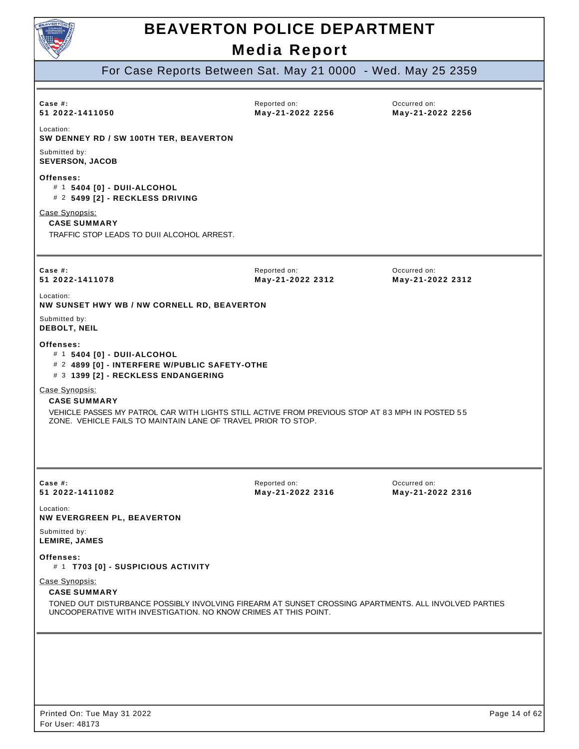

For Case Reports Between Sat. May 21 0000 - Wed. May 25 2359

| Case $#$ :                                                                                                                                                                                                       |                                  |                                  |
|------------------------------------------------------------------------------------------------------------------------------------------------------------------------------------------------------------------|----------------------------------|----------------------------------|
| 51 2022-1411050                                                                                                                                                                                                  | Reported on:<br>May-21-2022 2256 | Occurred on:<br>May-21-2022 2256 |
| Location:<br>SW DENNEY RD / SW 100TH TER, BEAVERTON                                                                                                                                                              |                                  |                                  |
| Submitted by:<br><b>SEVERSON, JACOB</b>                                                                                                                                                                          |                                  |                                  |
| Offenses:<br># 1 5404 [0] - DUII-ALCOHOL<br># 2 5499 [2] - RECKLESS DRIVING                                                                                                                                      |                                  |                                  |
| Case Synopsis:<br><b>CASE SUMMARY</b><br>TRAFFIC STOP LEADS TO DUII ALCOHOL ARREST.                                                                                                                              |                                  |                                  |
| Case $#$ :<br>51 2022-1411078                                                                                                                                                                                    | Reported on:<br>May-21-2022 2312 | Occurred on:<br>May-21-2022 2312 |
| Location:<br>NW SUNSET HWY WB / NW CORNELL RD, BEAVERTON                                                                                                                                                         |                                  |                                  |
| Submitted by:<br>DEBOLT, NEIL                                                                                                                                                                                    |                                  |                                  |
| Offenses:<br># 1 5404 [0] - DUII-ALCOHOL<br># 2 4899 [0] - INTERFERE W/PUBLIC SAFETY-OTHE<br># 3 1399 [2] - RECKLESS ENDANGERING                                                                                 |                                  |                                  |
| Case Synopsis:                                                                                                                                                                                                   |                                  |                                  |
| <b>CASE SUMMARY</b><br>VEHICLE PASSES MY PATROL CAR WITH LIGHTS STILL ACTIVE FROM PREVIOUS STOP AT 83 MPH IN POSTED 55<br>ZONE. VEHICLE FAILS TO MAINTAIN LANE OF TRAVEL PRIOR TO STOP.                          |                                  |                                  |
| Case #:<br>51 2022-1411082                                                                                                                                                                                       | Reported on:<br>May-21-2022 2316 | Occurred on:<br>May-21-2022 2316 |
| Location:<br><b>NW EVERGREEN PL, BEAVERTON</b>                                                                                                                                                                   |                                  |                                  |
| Submitted by:<br><b>LEMIRE, JAMES</b>                                                                                                                                                                            |                                  |                                  |
| Offenses:<br># 1 T703 [0] - SUSPICIOUS ACTIVITY                                                                                                                                                                  |                                  |                                  |
| Case Synopsis:<br><b>CASE SUMMARY</b><br>TONED OUT DISTURBANCE POSSIBLY INVOLVING FIREARM AT SUNSET CROSSING APARTMENTS. ALL INVOLVED PARTIES<br>UNCOOPERATIVE WITH INVESTIGATION. NO KNOW CRIMES AT THIS POINT. |                                  |                                  |
|                                                                                                                                                                                                                  |                                  |                                  |
|                                                                                                                                                                                                                  |                                  |                                  |
|                                                                                                                                                                                                                  |                                  |                                  |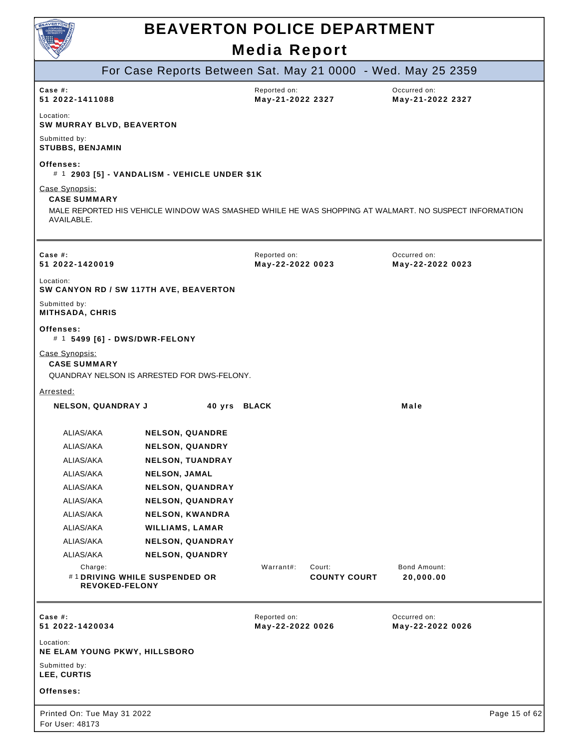

|                                                     |                                                        | <b>. .</b> .                               |                                                                                                       |
|-----------------------------------------------------|--------------------------------------------------------|--------------------------------------------|-------------------------------------------------------------------------------------------------------|
|                                                     |                                                        |                                            | For Case Reports Between Sat. May 21 0000 - Wed. May 25 2359                                          |
| Case #:<br>51 2022-1411088                          |                                                        | Reported on:<br>May-21-2022 2327           | Occurred on:<br>May-21-2022 2327                                                                      |
| Location:                                           | SW MURRAY BLVD, BEAVERTON                              |                                            |                                                                                                       |
| Submitted by:<br><b>STUBBS, BENJAMIN</b>            |                                                        |                                            |                                                                                                       |
| Offenses:                                           | # 1 2903 [5] - VANDALISM - VEHICLE UNDER \$1K          |                                            |                                                                                                       |
| Case Synopsis:<br><b>CASE SUMMARY</b><br>AVAILABLE. |                                                        |                                            | MALE REPORTED HIS VEHICLE WINDOW WAS SMASHED WHILE HE WAS SHOPPING AT WALMART. NO SUSPECT INFORMATION |
| Case $#$ :<br>51 2022-1420019                       |                                                        | Reported on:<br>May-22-2022 0023           | Occurred on:<br>May-22-2022 0023                                                                      |
| Location:                                           | SW CANYON RD / SW 117TH AVE, BEAVERTON                 |                                            |                                                                                                       |
| Submitted by:<br><b>MITHSADA, CHRIS</b>             |                                                        |                                            |                                                                                                       |
| Offenses:                                           | # 1 5499 [6] - DWS/DWR-FELONY                          |                                            |                                                                                                       |
| Case Synopsis:<br><b>CASE SUMMARY</b>               | QUANDRAY NELSON IS ARRESTED FOR DWS-FELONY.            |                                            |                                                                                                       |
| Arrested:                                           |                                                        |                                            |                                                                                                       |
|                                                     | <b>NELSON, QUANDRAY J</b>                              | 40 yrs BLACK                               | Male                                                                                                  |
| ALIAS/AKA                                           | <b>NELSON, QUANDRE</b>                                 |                                            |                                                                                                       |
| ALIAS/AKA                                           | <b>NELSON, QUANDRY</b>                                 |                                            |                                                                                                       |
| ALIAS/AKA                                           | <b>NELSON, TUANDRAY</b>                                |                                            |                                                                                                       |
| ALIAS/AKA                                           | <b>NELSON, JAMAL</b>                                   |                                            |                                                                                                       |
| ALIAS/AKA                                           | <b>NELSON, QUANDRAY</b>                                |                                            |                                                                                                       |
| ALIAS/AKA                                           | <b>NELSON, QUANDRAY</b>                                |                                            |                                                                                                       |
| ALIAS/AKA                                           | <b>NELSON, KWANDRA</b>                                 |                                            |                                                                                                       |
| ALIAS/AKA                                           | <b>WILLIAMS, LAMAR</b>                                 |                                            |                                                                                                       |
| ALIAS/AKA                                           | <b>NELSON, QUANDRAY</b>                                |                                            |                                                                                                       |
| ALIAS/AKA                                           | <b>NELSON, QUANDRY</b>                                 |                                            |                                                                                                       |
| Charge:                                             | #1 DRIVING WHILE SUSPENDED OR<br><b>REVOKED-FELONY</b> | Warrant#:<br>Court:<br><b>COUNTY COURT</b> | Bond Amount:<br>20,000.00                                                                             |
| Case #:<br>51 2022-1420034                          |                                                        | Reported on:<br>May-22-2022 0026           | Occurred on:<br>May-22-2022 0026                                                                      |
| Location:                                           | NE ELAM YOUNG PKWY, HILLSBORO                          |                                            |                                                                                                       |
| Submitted by:<br>LEE, CURTIS                        |                                                        |                                            |                                                                                                       |
| Offenses:                                           |                                                        |                                            |                                                                                                       |
| Printed On: Tue May 31 2022<br>For User: 48173      |                                                        |                                            | Page 15 of 62                                                                                         |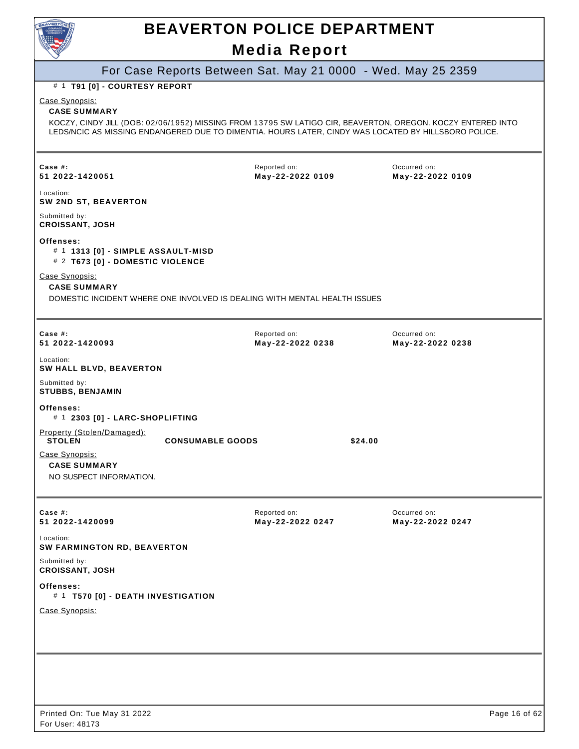

### For Case Reports Between Sat. May 21 0000 - Wed. May 25 2359

#### # 1 **T91 [0] - COURTESY REPORT**

Case Synopsis:

#### **CASE SUMMARY**

KOCZY, CINDY JILL (DOB: 02/06/1952) MISSING FROM 13795 SW LATIGO CIR, BEAVERTON, OREGON. KOCZY ENTERED INTO LEDS/NCIC AS MISSING ENDANGERED DUE TO DIMENTIA. HOURS LATER, CINDY WAS LOCATED BY HILLSBORO POLICE.

| Case $#$ :<br>51 2022-1420051                                                       | Reported on:<br>May-22-2022 0109                                          |         | Occurred on:<br>May-22-2022 0109 |               |
|-------------------------------------------------------------------------------------|---------------------------------------------------------------------------|---------|----------------------------------|---------------|
| Location:<br>SW 2ND ST, BEAVERTON                                                   |                                                                           |         |                                  |               |
| Submitted by:<br><b>CROISSANT, JOSH</b>                                             |                                                                           |         |                                  |               |
| Offenses:<br># 1 1313 [0] - SIMPLE ASSAULT-MISD<br># 2 T673 [0] - DOMESTIC VIOLENCE |                                                                           |         |                                  |               |
| Case Synopsis:<br><b>CASE SUMMARY</b>                                               | DOMESTIC INCIDENT WHERE ONE INVOLVED IS DEALING WITH MENTAL HEALTH ISSUES |         |                                  |               |
| Case $#$ :<br>51 2022-1420093                                                       | Reported on:<br>May-22-2022 0238                                          |         | Occurred on:<br>May-22-2022 0238 |               |
| Location:<br>SW HALL BLVD, BEAVERTON                                                |                                                                           |         |                                  |               |
| Submitted by:<br><b>STUBBS, BENJAMIN</b>                                            |                                                                           |         |                                  |               |
| Offenses:<br># 1 2303 [0] - LARC-SHOPLIFTING                                        |                                                                           |         |                                  |               |
| Property (Stolen/Damaged):<br><b>STOLEN</b>                                         | <b>CONSUMABLE GOODS</b>                                                   | \$24.00 |                                  |               |
| Case Synopsis:<br><b>CASE SUMMARY</b><br>NO SUSPECT INFORMATION.                    |                                                                           |         |                                  |               |
| Case #:<br>51 2022-1420099                                                          | Reported on:<br>May-22-2022 0247                                          |         | Occurred on:<br>May-22-2022 0247 |               |
| Location:<br>SW FARMINGTON RD, BEAVERTON                                            |                                                                           |         |                                  |               |
| Submitted by:<br><b>CROISSANT, JOSH</b>                                             |                                                                           |         |                                  |               |
| Offenses:<br># 1 T570 [0] - DEATH INVESTIGATION                                     |                                                                           |         |                                  |               |
| Case Synopsis:                                                                      |                                                                           |         |                                  |               |
|                                                                                     |                                                                           |         |                                  |               |
|                                                                                     |                                                                           |         |                                  |               |
|                                                                                     |                                                                           |         |                                  |               |
| Printed On: Tue May 31 2022<br>For User: 48173                                      |                                                                           |         |                                  | Page 16 of 62 |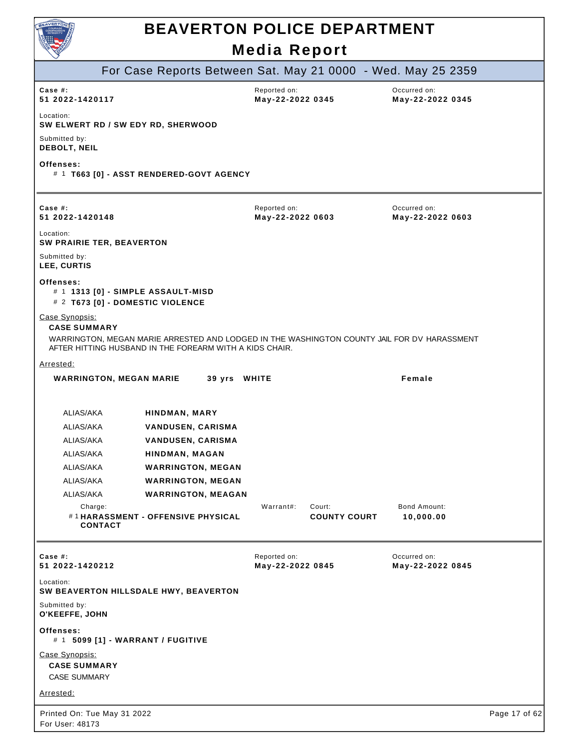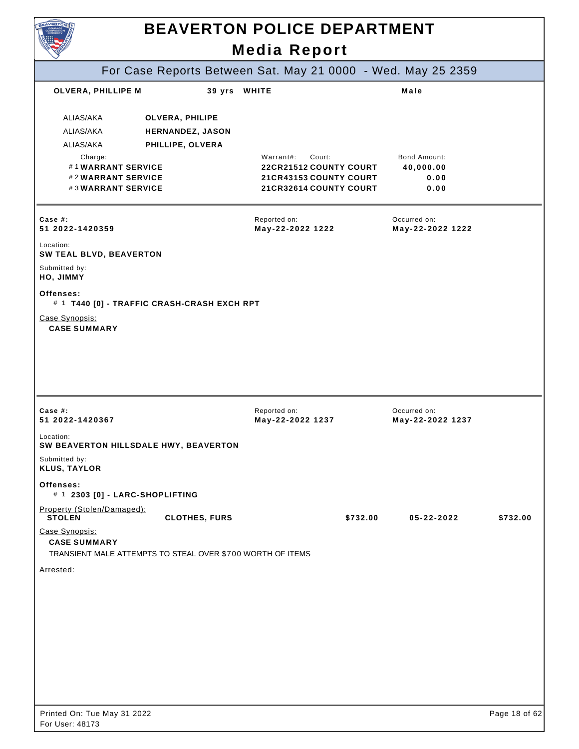|                                                                                      |                                                                | <b>Media Report</b>                                                          |                                  |          |
|--------------------------------------------------------------------------------------|----------------------------------------------------------------|------------------------------------------------------------------------------|----------------------------------|----------|
|                                                                                      |                                                                | For Case Reports Between Sat. May 21 0000 - Wed. May 25 2359                 |                                  |          |
| OLVERA, PHILLIPE M                                                                   | 39 yrs WHITE                                                   |                                                                              | Male                             |          |
| ALIAS/AKA<br>ALIAS/AKA<br>ALIAS/AKA<br>Charge:                                       | <b>OLVERA, PHILIPE</b><br>HERNANDEZ, JASON<br>PHILLIPE, OLVERA | Warrant#:<br>Court:                                                          | <b>Bond Amount:</b>              |          |
| #1WARRANT SERVICE<br>#2WARRANT SERVICE<br>#3WARRANT SERVICE                          |                                                                | 22CR21512 COUNTY COURT<br>21 CR43153 COUNTY COURT<br>21 CR32614 COUNTY COURT | 40,000.00<br>0.00<br>0.00        |          |
| Case #:<br>51 2022-1420359                                                           |                                                                | Reported on:<br>May-22-2022 1222                                             | Occurred on:<br>May-22-2022 1222 |          |
| Location:<br>SW TEAL BLVD, BEAVERTON<br>Submitted by:                                |                                                                |                                                                              |                                  |          |
| HO, JIMMY<br>Offenses:                                                               |                                                                |                                                                              |                                  |          |
| # 1 T440 [0] - TRAFFIC CRASH-CRASH EXCH RPT                                          |                                                                |                                                                              |                                  |          |
| Case Synopsis:<br><b>CASE SUMMARY</b>                                                |                                                                |                                                                              |                                  |          |
|                                                                                      |                                                                |                                                                              |                                  |          |
|                                                                                      |                                                                |                                                                              |                                  |          |
|                                                                                      |                                                                | Reported on:<br>May-22-2022 1237                                             | Occurred on:<br>May-22-2022 1237 |          |
| Case $#$ :<br>51 2022-1420367<br>Location:<br>SW BEAVERTON HILLSDALE HWY, BEAVERTON  |                                                                |                                                                              |                                  |          |
|                                                                                      |                                                                |                                                                              |                                  |          |
| Submitted by:<br><b>KLUS, TAYLOR</b><br>Offenses:<br># 1 2303 [0] - LARC-SHOPLIFTING |                                                                |                                                                              |                                  |          |
| Property (Stolen/Damaged):<br><b>STOLEN</b>                                          | <b>CLOTHES, FURS</b>                                           | \$732.00                                                                     | 05-22-2022                       |          |
| Case Synopsis:<br><b>CASE SUMMARY</b>                                                |                                                                |                                                                              |                                  |          |
| TRANSIENT MALE ATTEMPTS TO STEAL OVER \$700 WORTH OF ITEMS                           |                                                                |                                                                              |                                  |          |
|                                                                                      |                                                                |                                                                              |                                  |          |
|                                                                                      |                                                                |                                                                              |                                  |          |
|                                                                                      |                                                                |                                                                              |                                  |          |
|                                                                                      |                                                                |                                                                              |                                  |          |
| Arrested:                                                                            |                                                                |                                                                              |                                  | \$732.00 |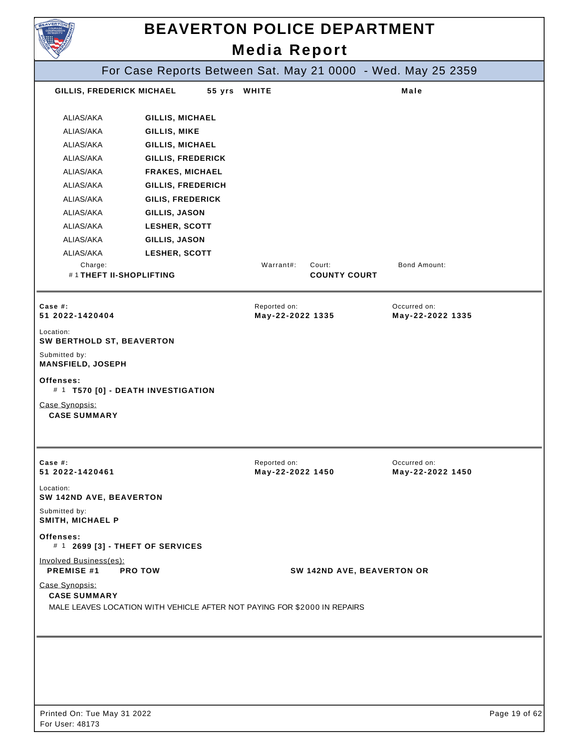| <b>EAVERTON</b>                             |                                                                          |        |                                  | <b>BEAVERTON POLICE DEPARTMENT</b> |                                                              |  |
|---------------------------------------------|--------------------------------------------------------------------------|--------|----------------------------------|------------------------------------|--------------------------------------------------------------|--|
| <b>Media Report</b>                         |                                                                          |        |                                  |                                    |                                                              |  |
|                                             |                                                                          |        |                                  |                                    | For Case Reports Between Sat. May 21 0000 - Wed. May 25 2359 |  |
| GILLIS, FREDERICK MICHAEL                   |                                                                          | 55 yrs | <b>WHITE</b>                     |                                    | Male                                                         |  |
| ALIAS/AKA                                   | <b>GILLIS, MICHAEL</b>                                                   |        |                                  |                                    |                                                              |  |
| ALIAS/AKA                                   | GILLIS, MIKE                                                             |        |                                  |                                    |                                                              |  |
| ALIAS/AKA                                   | GILLIS, MICHAEL                                                          |        |                                  |                                    |                                                              |  |
| ALIAS/AKA                                   | <b>GILLIS, FREDERICK</b>                                                 |        |                                  |                                    |                                                              |  |
| ALIAS/AKA                                   | <b>FRAKES, MICHAEL</b>                                                   |        |                                  |                                    |                                                              |  |
| ALIAS/AKA                                   | GILLIS, FREDERICH                                                        |        |                                  |                                    |                                                              |  |
| ALIAS/AKA                                   | <b>GILIS, FREDERICK</b>                                                  |        |                                  |                                    |                                                              |  |
| ALIAS/AKA                                   | GILLIS, JASON                                                            |        |                                  |                                    |                                                              |  |
| ALIAS/AKA                                   | LESHER, SCOTT                                                            |        |                                  |                                    |                                                              |  |
| ALIAS/AKA                                   | GILLIS, JASON                                                            |        |                                  |                                    |                                                              |  |
| ALIAS/AKA                                   | LESHER, SCOTT                                                            |        |                                  |                                    |                                                              |  |
| Charge:<br>#1THEFT II-SHOPLIFTING           |                                                                          |        | Warrant#:                        | Court:<br><b>COUNTY COURT</b>      | <b>Bond Amount:</b>                                          |  |
| Case $#$ :                                  |                                                                          |        | Reported on:                     |                                    | Occurred on:                                                 |  |
| 51 2022-1420404                             |                                                                          |        | May-22-2022 1335                 |                                    | May-22-2022 1335                                             |  |
| Location:                                   |                                                                          |        |                                  |                                    |                                                              |  |
| SW BERTHOLD ST, BEAVERTON<br>Submitted by:  |                                                                          |        |                                  |                                    |                                                              |  |
| <b>MANSFIELD, JOSEPH</b><br>Offenses:       |                                                                          |        |                                  |                                    |                                                              |  |
|                                             | # 1 T570 [0] - DEATH INVESTIGATION                                       |        |                                  |                                    |                                                              |  |
| Case Synopsis:<br><b>CASE SUMMARY</b>       |                                                                          |        |                                  |                                    |                                                              |  |
| Case $#$ :<br>51 2022-1420461               |                                                                          |        | Reported on:<br>May-22-2022 1450 |                                    | Occurred on:<br>May-22-2022 1450                             |  |
| Location:<br>SW 142ND AVE, BEAVERTON        |                                                                          |        |                                  |                                    |                                                              |  |
| Submitted by:<br>SMITH, MICHAEL P           |                                                                          |        |                                  |                                    |                                                              |  |
| Offenses:                                   | # 1 2699 [3] - THEFT OF SERVICES                                         |        |                                  |                                    |                                                              |  |
| Involved Business(es):<br><b>PREMISE #1</b> | <b>PRO TOW</b>                                                           |        |                                  | SW 142ND AVE, BEAVERTON OR         |                                                              |  |
| Case Synopsis:<br><b>CASE SUMMARY</b>       | MALE LEAVES LOCATION WITH VEHICLE AFTER NOT PAYING FOR \$2000 IN REPAIRS |        |                                  |                                    |                                                              |  |
|                                             |                                                                          |        |                                  |                                    |                                                              |  |
|                                             |                                                                          |        |                                  |                                    |                                                              |  |
|                                             |                                                                          |        |                                  |                                    |                                                              |  |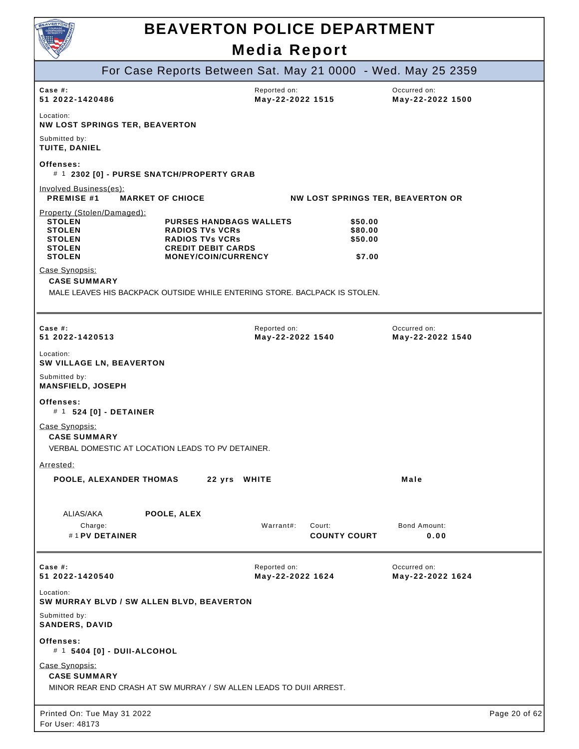

| $\vee$                                                                                                          |                                                                                                                                               |                                  |                                         |                                          |               |
|-----------------------------------------------------------------------------------------------------------------|-----------------------------------------------------------------------------------------------------------------------------------------------|----------------------------------|-----------------------------------------|------------------------------------------|---------------|
|                                                                                                                 | For Case Reports Between Sat. May 21 0000 - Wed. May 25 2359                                                                                  |                                  |                                         |                                          |               |
| Case $#$ :<br>51 2022-1420486                                                                                   |                                                                                                                                               | Reported on:<br>May-22-2022 1515 |                                         | Occurred on:<br>May-22-2022 1500         |               |
| Location:<br><b>NW LOST SPRINGS TER, BEAVERTON</b>                                                              |                                                                                                                                               |                                  |                                         |                                          |               |
| Submitted by:<br>TUITE, DANIEL                                                                                  |                                                                                                                                               |                                  |                                         |                                          |               |
| Offenses:                                                                                                       | # 1 2302 [0] - PURSE SNATCH/PROPERTY GRAB                                                                                                     |                                  |                                         |                                          |               |
| Involved Business(es):<br><b>PREMISE #1</b>                                                                     | <b>MARKET OF CHIOCE</b>                                                                                                                       |                                  |                                         | <b>NW LOST SPRINGS TER, BEAVERTON OR</b> |               |
| Property (Stolen/Damaged):<br><b>STOLEN</b><br><b>STOLEN</b><br><b>STOLEN</b><br><b>STOLEN</b><br><b>STOLEN</b> | <b>PURSES HANDBAGS WALLETS</b><br><b>RADIOS TVs VCRs</b><br><b>RADIOS TVs VCRs</b><br><b>CREDIT DEBIT CARDS</b><br><b>MONEY/COIN/CURRENCY</b> |                                  | \$50.00<br>\$80.00<br>\$50.00<br>\$7.00 |                                          |               |
| Case Synopsis:<br><b>CASE SUMMARY</b>                                                                           |                                                                                                                                               |                                  |                                         |                                          |               |
|                                                                                                                 | MALE LEAVES HIS BACKPACK OUTSIDE WHILE ENTERING STORE. BACLPACK IS STOLEN.                                                                    |                                  |                                         |                                          |               |
|                                                                                                                 |                                                                                                                                               |                                  |                                         |                                          |               |
| Case #:<br>51 2022-1420513                                                                                      |                                                                                                                                               | Reported on:<br>May-22-2022 1540 |                                         | Occurred on:<br>May-22-2022 1540         |               |
| Location:<br><b>SW VILLAGE LN, BEAVERTON</b>                                                                    |                                                                                                                                               |                                  |                                         |                                          |               |
| Submitted by:<br><b>MANSFIELD, JOSEPH</b>                                                                       |                                                                                                                                               |                                  |                                         |                                          |               |
| Offenses:<br># 1 524 [0] - DETAINER                                                                             |                                                                                                                                               |                                  |                                         |                                          |               |
| Case Synopsis:<br><b>CASE SUMMARY</b>                                                                           | VERBAL DOMESTIC AT LOCATION LEADS TO PV DETAINER.                                                                                             |                                  |                                         |                                          |               |
| <u>Arrested:</u>                                                                                                |                                                                                                                                               |                                  |                                         |                                          |               |
| <b>POOLE, ALEXANDER THOMAS</b>                                                                                  | 22 yrs WHITE                                                                                                                                  |                                  |                                         | Male                                     |               |
| ALIAS/AKA                                                                                                       | POOLE, ALEX                                                                                                                                   |                                  |                                         |                                          |               |
| Charge:<br>#1 PV DETAINER                                                                                       |                                                                                                                                               | Warrant#:                        | Court:<br><b>COUNTY COURT</b>           | Bond Amount:<br>0.00                     |               |
| Case #:<br>51 2022-1420540                                                                                      |                                                                                                                                               | Reported on:<br>May-22-2022 1624 |                                         | Occurred on:<br>May-22-2022 1624         |               |
| Location:<br>SW MURRAY BLVD / SW ALLEN BLVD, BEAVERTON                                                          |                                                                                                                                               |                                  |                                         |                                          |               |
| Submitted by:<br><b>SANDERS, DAVID</b>                                                                          |                                                                                                                                               |                                  |                                         |                                          |               |
| Offenses:<br># 1 5404 [0] - DUII-ALCOHOL                                                                        |                                                                                                                                               |                                  |                                         |                                          |               |
| Case Synopsis:<br><b>CASE SUMMARY</b>                                                                           | MINOR REAR END CRASH AT SW MURRAY / SW ALLEN LEADS TO DUII ARREST.                                                                            |                                  |                                         |                                          |               |
| Printed On: Tue May 31 2022<br>For User: 48173                                                                  |                                                                                                                                               |                                  |                                         |                                          | Page 20 of 62 |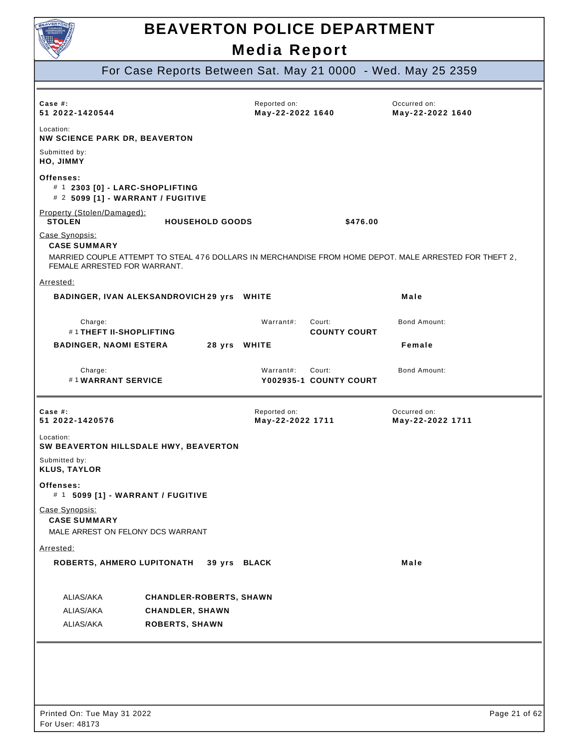

## **BEAVERTON POLICE DEPARTMENT**

**Media Report** 

For Case Reports Between Sat. May 21 0000 - Wed. May 25 2359

| Case $#$ :<br>51 2022-1420544                                                                                                                                                   | Reported on:<br>May-22-2022 1640 |                                  | Occurred on:<br>May-22-2022 1640 |
|---------------------------------------------------------------------------------------------------------------------------------------------------------------------------------|----------------------------------|----------------------------------|----------------------------------|
| Location:<br><b>NW SCIENCE PARK DR, BEAVERTON</b>                                                                                                                               |                                  |                                  |                                  |
| Submitted by:<br>HO, JIMMY                                                                                                                                                      |                                  |                                  |                                  |
| Offenses:<br># 1 2303 [0] - LARC-SHOPLIFTING<br># 2 5099 [1] - WARRANT / FUGITIVE                                                                                               |                                  |                                  |                                  |
| Property (Stolen/Damaged):<br><b>STOLEN</b><br><b>HOUSEHOLD GOODS</b>                                                                                                           |                                  | \$476.00                         |                                  |
| Case Synopsis:<br><b>CASE SUMMARY</b><br>MARRIED COUPLE ATTEMPT TO STEAL 476 DOLLARS IN MERCHANDISE FROM HOME DEPOT. MALE ARRESTED FOR THEFT 2,<br>FEMALE ARRESTED FOR WARRANT. |                                  |                                  |                                  |
| Arrested:                                                                                                                                                                       |                                  |                                  |                                  |
| BADINGER, IVAN ALEKSANDROVICH 29 yrs WHITE                                                                                                                                      |                                  |                                  | Male                             |
| Charge:<br># 1 THEFT II-SHOPLIFTING                                                                                                                                             | Warrant#:                        | Court:<br><b>COUNTY COURT</b>    | <b>Bond Amount:</b>              |
| <b>BADINGER, NAOMI ESTERA</b><br>28 yrs WHITE                                                                                                                                   |                                  |                                  | Female                           |
| Charge:<br>#1WARRANT SERVICE                                                                                                                                                    | Warrant#:                        | Court:<br>Y002935-1 COUNTY COURT | Bond Amount:                     |
| Case $#$ :<br>51 2022-1420576                                                                                                                                                   | Reported on:<br>May-22-2022 1711 |                                  | Occurred on:<br>May-22-2022 1711 |
| Location:<br>SW BEAVERTON HILLSDALE HWY, BEAVERTON                                                                                                                              |                                  |                                  |                                  |
| Submitted by:<br><b>KLUS, TAYLOR</b>                                                                                                                                            |                                  |                                  |                                  |
| Offenses:<br># 1 5099 [1] - WARRANT / FUGITIVE                                                                                                                                  |                                  |                                  |                                  |
| Case Synopsis:<br><b>CASE SUMMARY</b><br>MALE ARREST ON FELONY DCS WARRANT                                                                                                      |                                  |                                  |                                  |
| Arrested:                                                                                                                                                                       |                                  |                                  |                                  |
| <b>ROBERTS, AHMERO LUPITONATH</b><br>39 yrs BLACK                                                                                                                               |                                  |                                  | Male                             |
| ALIAS/AKA<br><b>CHANDLER-ROBERTS, SHAWN</b><br>ALIAS/AKA<br><b>CHANDLER, SHAWN</b><br>ALIAS/AKA<br><b>ROBERTS, SHAWN</b>                                                        |                                  |                                  |                                  |
|                                                                                                                                                                                 |                                  |                                  |                                  |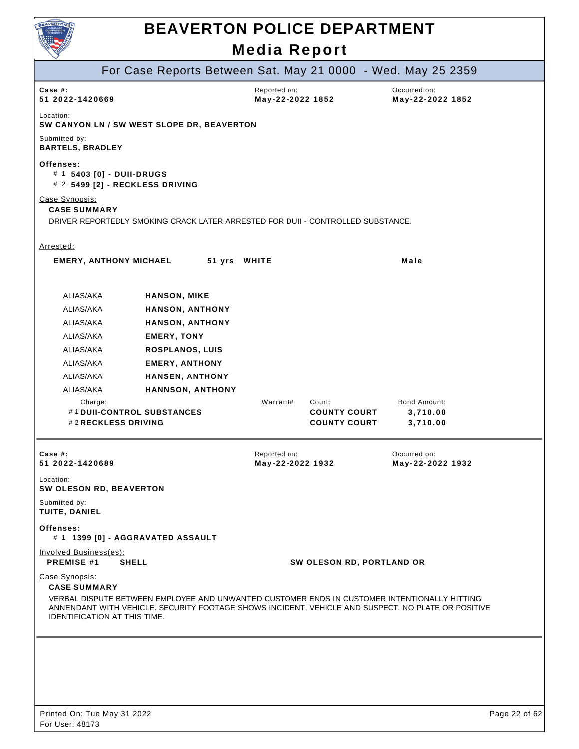

|                                                                                                                                                                                                                                                                             | For Case Reports Between Sat. May 21 0000 - Wed. May 25 2359                    |                                  |                                                      |                                      |  |  |
|-----------------------------------------------------------------------------------------------------------------------------------------------------------------------------------------------------------------------------------------------------------------------------|---------------------------------------------------------------------------------|----------------------------------|------------------------------------------------------|--------------------------------------|--|--|
| Case #:<br>51 2022-1420669                                                                                                                                                                                                                                                  |                                                                                 | Reported on:<br>May-22-2022 1852 |                                                      | Occurred on:<br>May-22-2022 1852     |  |  |
| Location:                                                                                                                                                                                                                                                                   | SW CANYON LN / SW WEST SLOPE DR, BEAVERTON                                      |                                  |                                                      |                                      |  |  |
| Submitted by:<br><b>BARTELS, BRADLEY</b>                                                                                                                                                                                                                                    |                                                                                 |                                  |                                                      |                                      |  |  |
| Offenses:<br># 1 5403 [0] - DUII-DRUGS<br># 2 5499 [2] - RECKLESS DRIVING                                                                                                                                                                                                   |                                                                                 |                                  |                                                      |                                      |  |  |
| Case Synopsis:<br><b>CASE SUMMARY</b>                                                                                                                                                                                                                                       | DRIVER REPORTEDLY SMOKING CRACK LATER ARRESTED FOR DUII - CONTROLLED SUBSTANCE. |                                  |                                                      |                                      |  |  |
| Arrested:                                                                                                                                                                                                                                                                   |                                                                                 |                                  |                                                      |                                      |  |  |
| <b>EMERY, ANTHONY MICHAEL</b>                                                                                                                                                                                                                                               | 51 yrs WHITE                                                                    |                                  |                                                      | Male                                 |  |  |
| ALIAS/AKA                                                                                                                                                                                                                                                                   | <b>HANSON, MIKE</b>                                                             |                                  |                                                      |                                      |  |  |
| ALIAS/AKA                                                                                                                                                                                                                                                                   | <b>HANSON, ANTHONY</b>                                                          |                                  |                                                      |                                      |  |  |
| ALIAS/AKA                                                                                                                                                                                                                                                                   | <b>HANSON, ANTHONY</b>                                                          |                                  |                                                      |                                      |  |  |
| ALIAS/AKA                                                                                                                                                                                                                                                                   | <b>EMERY, TONY</b>                                                              |                                  |                                                      |                                      |  |  |
| ALIAS/AKA                                                                                                                                                                                                                                                                   | <b>ROSPLANOS, LUIS</b>                                                          |                                  |                                                      |                                      |  |  |
| ALIAS/AKA                                                                                                                                                                                                                                                                   | <b>EMERY, ANTHONY</b>                                                           |                                  |                                                      |                                      |  |  |
| ALIAS/AKA                                                                                                                                                                                                                                                                   | <b>HANSEN, ANTHONY</b>                                                          |                                  |                                                      |                                      |  |  |
| ALIAS/AKA                                                                                                                                                                                                                                                                   | <b>HANNSON, ANTHONY</b>                                                         |                                  |                                                      |                                      |  |  |
| Charge:<br>#1 DUII-CONTROL SUBSTANCES<br>#2 RECKLESS DRIVING                                                                                                                                                                                                                |                                                                                 | Warrant#:                        | Court:<br><b>COUNTY COURT</b><br><b>COUNTY COURT</b> | Bond Amount:<br>3,710.00<br>3,710.00 |  |  |
| Case #:<br>51 2022-1420689                                                                                                                                                                                                                                                  |                                                                                 | Reported on:<br>May-22-2022 1932 |                                                      | Occurred on:<br>May-22-2022 1932     |  |  |
| Location:<br>SW OLESON RD, BEAVERTON                                                                                                                                                                                                                                        |                                                                                 |                                  |                                                      |                                      |  |  |
| Submitted by:<br>TUITE, DANIEL                                                                                                                                                                                                                                              |                                                                                 |                                  |                                                      |                                      |  |  |
| Offenses:<br># 1 1399 [0] - AGGRAVATED ASSAULT                                                                                                                                                                                                                              |                                                                                 |                                  |                                                      |                                      |  |  |
| Involved Business(es):<br><b>PREMISE #1</b><br><b>SHELL</b>                                                                                                                                                                                                                 |                                                                                 |                                  | SW OLESON RD, PORTLAND OR                            |                                      |  |  |
| Case Synopsis:<br><b>CASE SUMMARY</b><br>VERBAL DISPUTE BETWEEN EMPLOYEE AND UNWANTED CUSTOMER ENDS IN CUSTOMER INTENTIONALLY HITTING<br>ANNENDANT WITH VEHICLE. SECURITY FOOTAGE SHOWS INCIDENT, VEHICLE AND SUSPECT. NO PLATE OR POSITIVE<br>IDENTIFICATION AT THIS TIME. |                                                                                 |                                  |                                                      |                                      |  |  |
|                                                                                                                                                                                                                                                                             |                                                                                 |                                  |                                                      |                                      |  |  |
|                                                                                                                                                                                                                                                                             |                                                                                 |                                  |                                                      |                                      |  |  |
|                                                                                                                                                                                                                                                                             |                                                                                 |                                  |                                                      |                                      |  |  |
|                                                                                                                                                                                                                                                                             |                                                                                 |                                  |                                                      |                                      |  |  |
| $T_{112}$ M <sub>211</sub> 04, 0000                                                                                                                                                                                                                                         |                                                                                 |                                  |                                                      |                                      |  |  |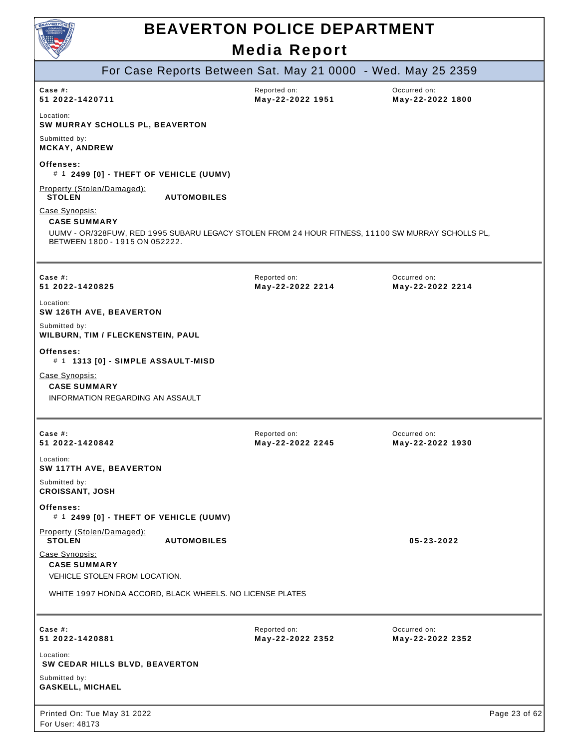

| For Case Reports Between Sat. May 21 0000 - Wed. May 25 2359                                                                                                                 |                                  |                                  |
|------------------------------------------------------------------------------------------------------------------------------------------------------------------------------|----------------------------------|----------------------------------|
| Case $#$ :<br>51 2022-1420711                                                                                                                                                | Reported on:<br>May-22-2022 1951 | Occurred on:<br>May-22-2022 1800 |
| Location:<br>SW MURRAY SCHOLLS PL, BEAVERTON                                                                                                                                 |                                  |                                  |
| Submitted by:<br><b>MCKAY, ANDREW</b>                                                                                                                                        |                                  |                                  |
| Offenses:<br># 1 2499 [0] - THEFT OF VEHICLE (UUMV)                                                                                                                          |                                  |                                  |
| Property (Stolen/Damaged):<br><b>STOLEN</b><br><b>AUTOMOBILES</b>                                                                                                            |                                  |                                  |
| Case Synopsis:<br><b>CASE SUMMARY</b><br>UUMV - OR/328FUW, RED 1995 SUBARU LEGACY STOLEN FROM 24 HOUR FITNESS, 11100 SW MURRAY SCHOLLS PL,<br>BETWEEN 1800 - 1915 ON 052222. |                                  |                                  |
| Case $#$ :<br>51 2022-1420825                                                                                                                                                | Reported on:<br>May-22-2022 2214 | Occurred on:<br>May-22-2022 2214 |
| Location:<br>SW 126TH AVE, BEAVERTON                                                                                                                                         |                                  |                                  |
| Submitted by:<br>WILBURN, TIM / FLECKENSTEIN, PAUL                                                                                                                           |                                  |                                  |
| Offenses:<br># 1 1313 [0] - SIMPLE ASSAULT-MISD                                                                                                                              |                                  |                                  |
| Case Synopsis:<br><b>CASE SUMMARY</b><br>INFORMATION REGARDING AN ASSAULT                                                                                                    |                                  |                                  |
| Case #:<br>51 2022-1420842                                                                                                                                                   | Reported on:<br>May-22-2022 2245 | Occurred on:<br>May-22-2022 1930 |
| Location:<br>SW 117TH AVE, BEAVERTON                                                                                                                                         |                                  |                                  |
| Submitted by:<br><b>CROISSANT, JOSH</b>                                                                                                                                      |                                  |                                  |
| Offenses:<br># 1 2499 [0] - THEFT OF VEHICLE (UUMV)                                                                                                                          |                                  |                                  |
| Property (Stolen/Damaged):<br><b>STOLEN</b><br><b>AUTOMOBILES</b>                                                                                                            |                                  | 05-23-2022                       |
| Case Synopsis:<br><b>CASE SUMMARY</b><br>VEHICLE STOLEN FROM LOCATION.                                                                                                       |                                  |                                  |
| WHITE 1997 HONDA ACCORD, BLACK WHEELS. NO LICENSE PLATES                                                                                                                     |                                  |                                  |
| Case #:<br>51 2022-1420881                                                                                                                                                   | Reported on:<br>May-22-2022 2352 | Occurred on:<br>May-22-2022 2352 |
| Location:<br>SW CEDAR HILLS BLVD, BEAVERTON                                                                                                                                  |                                  |                                  |
| Submitted by:<br><b>GASKELL, MICHAEL</b>                                                                                                                                     |                                  |                                  |
| Printed On: Tue May 31 2022<br>For User: 48173                                                                                                                               |                                  | Page 23 of 62                    |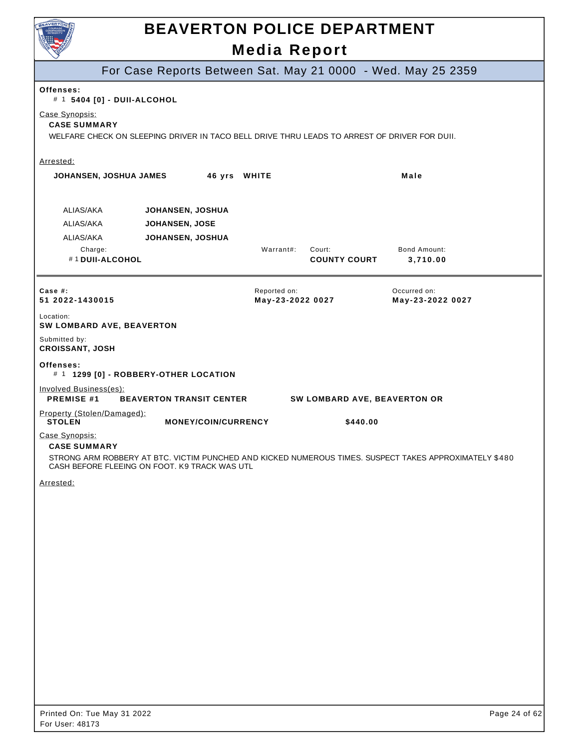

For Case Reports Between Sat. May 21 0000 - Wed. May 25 2359 **COUNTY COURT Offenses:**  # 1 **5404 [0] - DUII-ALCOHOL**  Case Synopsis: **CASE SUMMARY**  WELFARE CHECK ON SLEEPING DRIVER IN TACO BELL DRIVE THRU LEADS TO ARREST OF DRIVER FOR DUII. Arrested: **JOHANSEN, JOSHUA JAMES 46 yrs WHITE All and South American Male** ALIAS/AKA **JOHANSEN, JOSHUA**  ALIAS/AKA **JOHANSEN, JOSE**  ALIAS/AKA **JOHANSEN, JOSHUA**  Charge: Warrant#: Court: Bond Amount: #1 **DUII-ALCOHOL COUNTY COURT 3,710.00 Case #: 51 2022-1430015**  Reported on: **May-23-2022 0027**  Occurred on: **May-23-2022 0027**  Location: **SW LOMBARD AVE, BEAVERTON**  Submitted by: **CROISSANT, JOSH Offenses:**  # 1 **1299 [0] - ROBBERY-OTHER LOCATION**  Involved Business(es): **PREMISE #1 BEAVERTON TRANSIT CENTER SW LOMBARD AVE, BEAVERTON OR**  Property (Stolen/Damaged):<br>STOLEN **MONEY/COIN/CURRENCY** \$440.00 Case Synopsis: **CASE SUMMARY**  STRONG ARM ROBBERY AT BTC. VICTIM PUNCHED AND KICKED NUMEROUS TIMES. SUSPECT TAKES APPROXIMATELY \$480 CASH BEFORE FLEEING ON FOOT. K9 TRACK WAS UTL Arrested: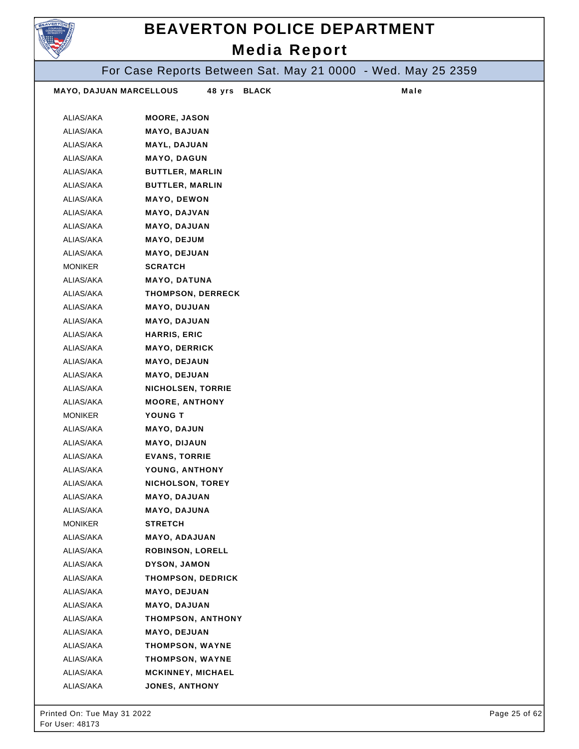

For Case Reports Between Sat. May 21 0000 - Wed. May 25 2359

| <b>MAYO, DAJUAN MARCELLOUS</b> | 48 yrs                              | <b>BLACK</b> | Male |  |
|--------------------------------|-------------------------------------|--------------|------|--|
| ALIAS/AKA                      | <b>MOORE, JASON</b>                 |              |      |  |
| ALIAS/AKA                      | <b>MAYO, BAJUAN</b>                 |              |      |  |
| ALIAS/AKA                      | MAYL, DAJUAN                        |              |      |  |
| ALIAS/AKA                      | <b>MAYO, DAGUN</b>                  |              |      |  |
| ALIAS/AKA                      | <b>BUTTLER, MARLIN</b>              |              |      |  |
| ALIAS/AKA                      | <b>BUTTLER, MARLIN</b>              |              |      |  |
| ALIAS/AKA                      | <b>MAYO, DEWON</b>                  |              |      |  |
| ALIAS/AKA                      | <b>MAYO, DAJVAN</b>                 |              |      |  |
| ALIAS/AKA                      | <b>MAYO, DAJUAN</b>                 |              |      |  |
| ALIAS/AKA                      | <b>MAYO, DEJUM</b>                  |              |      |  |
| ALIAS/AKA                      | <b>MAYO, DEJUAN</b>                 |              |      |  |
| <b>MONIKER</b>                 | <b>SCRATCH</b>                      |              |      |  |
| ALIAS/AKA                      | MAYO, DATUNA                        |              |      |  |
| ALIAS/AKA                      | THOMPSON, DERRECK                   |              |      |  |
| ALIAS/AKA                      | <b>MAYO, DUJUAN</b>                 |              |      |  |
| ALIAS/AKA                      | <b>MAYO, DAJUAN</b>                 |              |      |  |
| ALIAS/AKA                      | <b>HARRIS, ERIC</b>                 |              |      |  |
| ALIAS/AKA                      | <b>MAYO, DERRICK</b>                |              |      |  |
| ALIAS/AKA                      | <b>MAYO, DEJAUN</b>                 |              |      |  |
| ALIAS/AKA                      | <b>MAYO, DEJUAN</b>                 |              |      |  |
| ALIAS/AKA                      | <b>NICHOLSEN, TORRIE</b>            |              |      |  |
| ALIAS/AKA                      | <b>MOORE, ANTHONY</b>               |              |      |  |
| <b>MONIKER</b>                 | YOUNG T                             |              |      |  |
| ALIAS/AKA                      | <b>MAYO, DAJUN</b>                  |              |      |  |
| ALIAS/AKA                      | <b>MAYO, DIJAUN</b>                 |              |      |  |
| ALIAS/AKA                      | <b>EVANS, TORRIE</b>                |              |      |  |
| ALIAS/AKA                      | YOUNG, ANTHONY                      |              |      |  |
| ALIAS/AKA                      | <b>NICHOLSON, TOREY</b>             |              |      |  |
| ALIAS/AKA                      | <b>MAYO, DAJUAN</b>                 |              |      |  |
| ALIAS/AKA                      | <b>MAYO, DAJUNA</b>                 |              |      |  |
| <b>MONIKER</b>                 | <b>STRETCH</b>                      |              |      |  |
| ALIAS/AKA                      | <b>MAYO, ADAJUAN</b>                |              |      |  |
| ALIAS/AKA                      | <b>ROBINSON, LORELL</b>             |              |      |  |
| ALIAS/AKA                      | DYSON, JAMON                        |              |      |  |
| ALIAS/AKA                      | THOMPSON, DEDRICK                   |              |      |  |
| ALIAS/AKA<br>ALIAS/AKA         | <b>MAYO, DEJUAN</b><br>MAYO, DAJUAN |              |      |  |
| ALIAS/AKA                      | THOMPSON, ANTHONY                   |              |      |  |
| ALIAS/AKA                      | <b>MAYO, DEJUAN</b>                 |              |      |  |
| ALIAS/AKA                      | <b>THOMPSON, WAYNE</b>              |              |      |  |
| ALIAS/AKA                      | <b>THOMPSON, WAYNE</b>              |              |      |  |
| ALIAS/AKA                      | <b>MCKINNEY, MICHAEL</b>            |              |      |  |
| ALIAS/AKA                      | <b>JONES, ANTHONY</b>               |              |      |  |
|                                |                                     |              |      |  |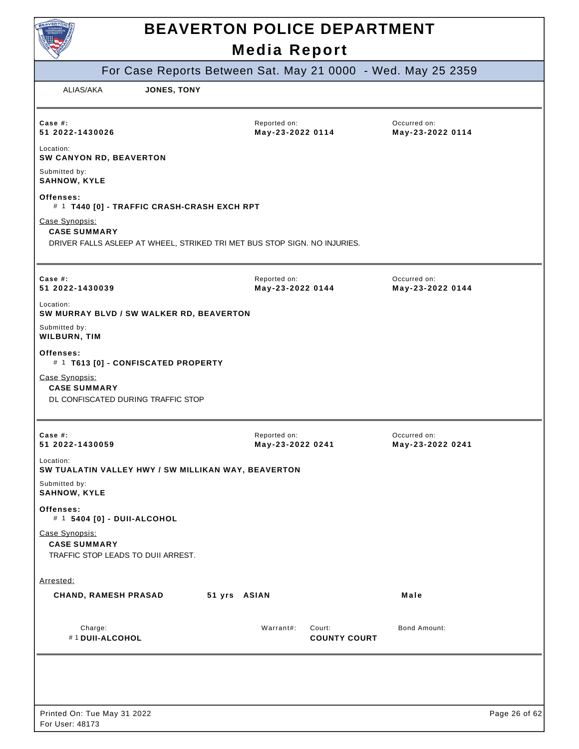| For Case Reports Between Sat. May 21 0000 - Wed. May 25 2359                                                       |                                  |                               |                                  |               |
|--------------------------------------------------------------------------------------------------------------------|----------------------------------|-------------------------------|----------------------------------|---------------|
| ALIAS/AKA<br>JONES, TONY                                                                                           |                                  |                               |                                  |               |
|                                                                                                                    |                                  |                               |                                  |               |
| Case #:<br>51 2022-1430026                                                                                         | Reported on:<br>May-23-2022 0114 |                               | Occurred on:<br>May-23-2022 0114 |               |
| Location:<br>SW CANYON RD, BEAVERTON                                                                               |                                  |                               |                                  |               |
| Submitted by:<br><b>SAHNOW, KYLE</b>                                                                               |                                  |                               |                                  |               |
| Offenses:<br># 1 T440 [0] - TRAFFIC CRASH-CRASH EXCH RPT                                                           |                                  |                               |                                  |               |
| Case Synopsis:<br><b>CASE SUMMARY</b><br>DRIVER FALLS ASLEEP AT WHEEL, STRIKED TRI MET BUS STOP SIGN. NO INJURIES. |                                  |                               |                                  |               |
|                                                                                                                    |                                  |                               |                                  |               |
| Case #:<br>51 2022-1430039                                                                                         | Reported on:<br>May-23-2022 0144 |                               | Occurred on:<br>May-23-2022 0144 |               |
| Location:<br>SW MURRAY BLVD / SW WALKER RD, BEAVERTON                                                              |                                  |                               |                                  |               |
| Submitted by:<br>WILBURN, TIM                                                                                      |                                  |                               |                                  |               |
| Offenses:<br># 1 T613 [0] - CONFISCATED PROPERTY                                                                   |                                  |                               |                                  |               |
| Case Synopsis:<br><b>CASE SUMMARY</b><br>DL CONFISCATED DURING TRAFFIC STOP                                        |                                  |                               |                                  |               |
| Case #:<br>51 2022-1430059                                                                                         | Reported on:<br>May-23-2022 0241 |                               | Occurred on:<br>May-23-2022 0241 |               |
| Location:<br>SW TUALATIN VALLEY HWY / SW MILLIKAN WAY, BEAVERTON                                                   |                                  |                               |                                  |               |
| Submitted by:<br><b>SAHNOW, KYLE</b>                                                                               |                                  |                               |                                  |               |
| Offenses:<br># 1 5404 [0] - DUII-ALCOHOL                                                                           |                                  |                               |                                  |               |
| Case Synopsis:<br><b>CASE SUMMARY</b><br>TRAFFIC STOP LEADS TO DUII ARREST.                                        |                                  |                               |                                  |               |
| Arrested:                                                                                                          |                                  |                               |                                  |               |
| <b>CHAND, RAMESH PRASAD</b><br>51 yrs ASIAN                                                                        |                                  |                               | Male                             |               |
| Charge:<br>#1 DUII-ALCOHOL                                                                                         | Warrant#:                        | Court:<br><b>COUNTY COURT</b> | Bond Amount:                     |               |
|                                                                                                                    |                                  |                               |                                  |               |
|                                                                                                                    |                                  |                               |                                  |               |
| Printed On: Tue May 31 2022<br>For User: 48173                                                                     |                                  |                               |                                  | Page 26 of 62 |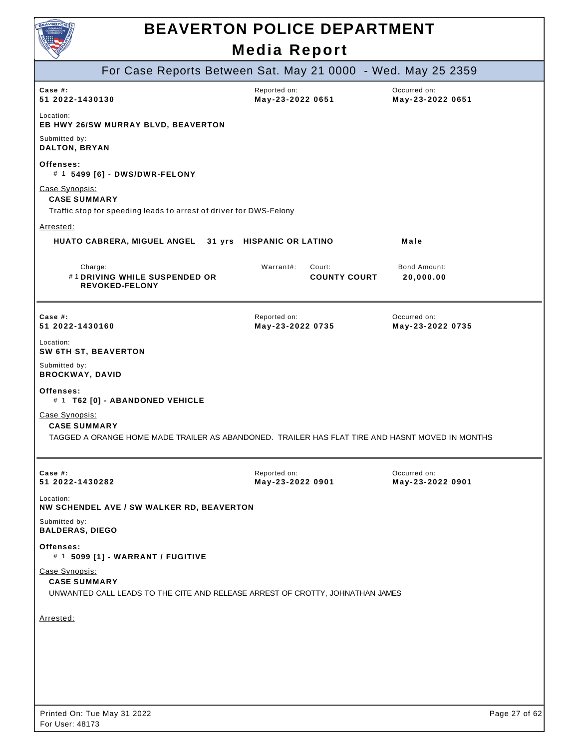

| $\smallsmile$                            |                                                                    |                                                                                                 |                                  |
|------------------------------------------|--------------------------------------------------------------------|-------------------------------------------------------------------------------------------------|----------------------------------|
|                                          |                                                                    | For Case Reports Between Sat. May 21 0000 - Wed. May 25 2359                                    |                                  |
| Case #:<br>51 2022-1430130               |                                                                    | Reported on:<br>May-23-2022 0651                                                                | Occurred on:<br>May-23-2022 0651 |
| Location:                                | EB HWY 26/SW MURRAY BLVD, BEAVERTON                                |                                                                                                 |                                  |
| Submitted by:<br>DALTON, BRYAN           |                                                                    |                                                                                                 |                                  |
| Offenses:                                | # 1 5499 [6] - DWS/DWR-FELONY                                      |                                                                                                 |                                  |
| Case Synopsis:<br><b>CASE SUMMARY</b>    |                                                                    |                                                                                                 |                                  |
|                                          | Traffic stop for speeding leads to arrest of driver for DWS-Felony |                                                                                                 |                                  |
| Arrested:                                |                                                                    |                                                                                                 |                                  |
|                                          | HUATO CABRERA, MIGUEL ANGEL 31 yrs HISPANIC OR LATINO              |                                                                                                 | Male                             |
| Charge:                                  | #1 DRIVING WHILE SUSPENDED OR<br><b>REVOKED-FELONY</b>             | Warrant#:<br>Court:<br><b>COUNTY COURT</b>                                                      | Bond Amount:<br>20,000.00        |
| Case $#$ :<br>51 2022-1430160            |                                                                    | Reported on:<br>May-23-2022 0735                                                                | Occurred on:<br>May-23-2022 0735 |
| Location:<br><b>SW 6TH ST, BEAVERTON</b> |                                                                    |                                                                                                 |                                  |
| Submitted by:<br><b>BROCKWAY, DAVID</b>  |                                                                    |                                                                                                 |                                  |
| Offenses:                                | # 1 T62 [0] - ABANDONED VEHICLE                                    |                                                                                                 |                                  |
| Case Synopsis:<br><b>CASE SUMMARY</b>    |                                                                    | TAGGED A ORANGE HOME MADE TRAILER AS ABANDONED. TRAILER HAS FLAT TIRE AND HASNT MOVED IN MONTHS |                                  |
| Case #:<br>51 2022-1430282               |                                                                    | Reported on:<br>May-23-2022 0901                                                                | Occurred on:<br>May-23-2022 0901 |
| Location:                                | NW SCHENDEL AVE / SW WALKER RD, BEAVERTON                          |                                                                                                 |                                  |
| Submitted by:<br><b>BALDERAS, DIEGO</b>  |                                                                    |                                                                                                 |                                  |
| Offenses:                                | # 1 5099 [1] - WARRANT / FUGITIVE                                  |                                                                                                 |                                  |
| Case Synopsis:<br><b>CASE SUMMARY</b>    |                                                                    | UNWANTED CALL LEADS TO THE CITE AND RELEASE ARREST OF CROTTY, JOHNATHAN JAMES                   |                                  |
| Arrested:                                |                                                                    |                                                                                                 |                                  |
|                                          |                                                                    |                                                                                                 |                                  |
|                                          |                                                                    |                                                                                                 |                                  |
|                                          |                                                                    |                                                                                                 |                                  |
|                                          |                                                                    |                                                                                                 |                                  |
|                                          |                                                                    |                                                                                                 |                                  |
|                                          |                                                                    |                                                                                                 |                                  |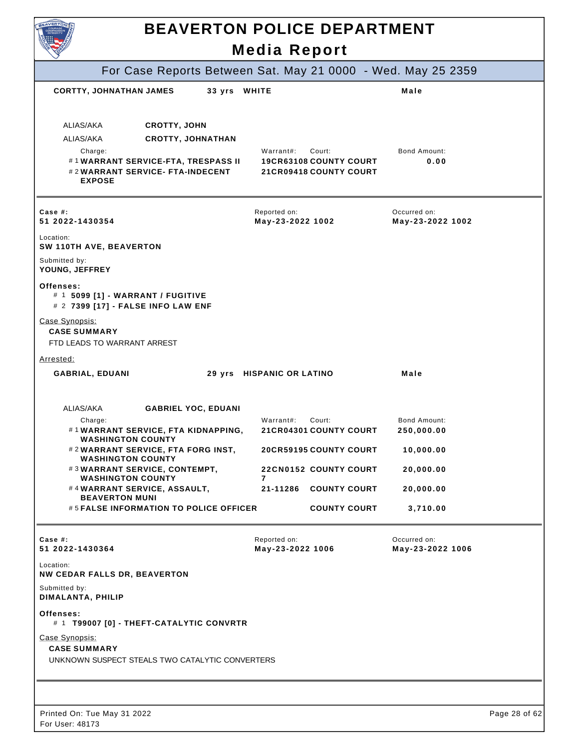|                                                                                                   | <b>BEAVERTON POLICE DEPARTMENT</b><br><b>Media Report</b>                             |                                   |               |
|---------------------------------------------------------------------------------------------------|---------------------------------------------------------------------------------------|-----------------------------------|---------------|
| For Case Reports Between Sat. May 21 0000 - Wed. May 25 2359                                      |                                                                                       |                                   |               |
| <b>CORTTY, JOHNATHAN JAMES</b><br>33 yrs WHITE                                                    |                                                                                       | Male                              |               |
| ALIAS/AKA<br><b>CROTTY, JOHN</b>                                                                  |                                                                                       |                                   |               |
| ALIAS/AKA<br><b>CROTTY, JOHNATHAN</b>                                                             |                                                                                       |                                   |               |
| Charge:<br>#1WARRANT SERVICE-FTA, TRESPASS II<br>#2WARRANT SERVICE- FTA-INDECENT<br><b>EXPOSE</b> | Warrant#:<br>Court:<br><b>19CR63108 COUNTY COURT</b><br><b>21CR09418 COUNTY COURT</b> | Bond Amount:<br>0.00              |               |
| Case #:<br>51 2022-1430354                                                                        | Reported on:<br>May-23-2022 1002                                                      | Occurred on:<br>May-23-2022 1002  |               |
| Location:<br>SW 110TH AVE, BEAVERTON                                                              |                                                                                       |                                   |               |
| Submitted by:<br>YOUNG, JEFFREY                                                                   |                                                                                       |                                   |               |
| Offenses:<br># 1 5099 [1] - WARRANT / FUGITIVE<br># 2 7399 [17] - FALSE INFO LAW ENF              |                                                                                       |                                   |               |
| Case Synopsis:<br><b>CASE SUMMARY</b><br>FTD LEADS TO WARRANT ARREST                              |                                                                                       |                                   |               |
| Arrested:                                                                                         |                                                                                       |                                   |               |
| <b>GABRIAL, EDUANI</b>                                                                            | 29 yrs HISPANIC OR LATINO                                                             | Male                              |               |
| ALIAS/AKA<br><b>GABRIEL YOC, EDUANI</b>                                                           |                                                                                       |                                   |               |
| Charge:<br>#1WARRANT SERVICE, FTA KIDNAPPING,<br><b>WASHINGTON COUNTY</b>                         | Warrant#:<br>Court:<br><b>21CR04301 COUNTY COURT</b>                                  | <b>Bond Amount:</b><br>250,000.00 |               |
| #2WARRANT SERVICE, FTA FORG INST,<br><b>WASHINGTON COUNTY</b>                                     | <b>20CR59195 COUNTY COURT</b>                                                         | 10,000.00                         |               |
| #3WARRANT SERVICE, CONTEMPT,<br><b>WASHINGTON COUNTY</b>                                          | 22CN0152 COUNTY COURT<br>7                                                            | 20,000.00                         |               |
| #4WARRANT SERVICE, ASSAULT,                                                                       | 21-11286 COUNTY COURT                                                                 | 20,000.00                         |               |
| <b>BEAVERTON MUNI</b><br>#5 FALSE INFORMATION TO POLICE OFFICER                                   | <b>COUNTY COURT</b>                                                                   | 3,710.00                          |               |
| Case $#$ :<br>51 2022-1430364                                                                     | Reported on:<br>May-23-2022 1006                                                      | Occurred on:<br>May-23-2022 1006  |               |
| Location:<br><b>NW CEDAR FALLS DR, BEAVERTON</b>                                                  |                                                                                       |                                   |               |
| Submitted by:<br>DIMALANTA, PHILIP                                                                |                                                                                       |                                   |               |
| Offenses:<br># 1 T99007 [0] - THEFT-CATALYTIC CONVRTR                                             |                                                                                       |                                   |               |
| Case Synopsis:<br><b>CASE SUMMARY</b>                                                             |                                                                                       |                                   |               |
| UNKNOWN SUSPECT STEALS TWO CATALYTIC CONVERTERS                                                   |                                                                                       |                                   |               |
|                                                                                                   |                                                                                       |                                   |               |
| Printed On: Tue May 31 2022                                                                       |                                                                                       |                                   | Page 28 of 62 |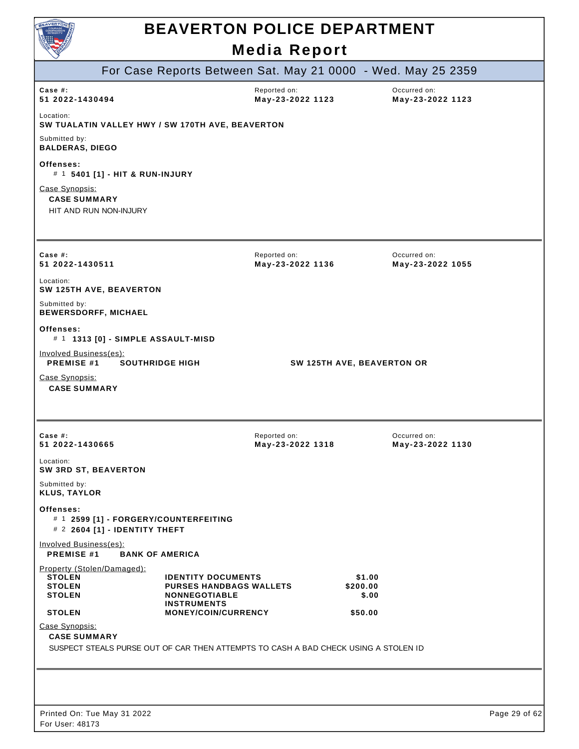

|                                                                                     |                                                                                                           | For Case Reports Between Sat. May 21 0000 - Wed. May 25 2359 |                             |                                  |               |
|-------------------------------------------------------------------------------------|-----------------------------------------------------------------------------------------------------------|--------------------------------------------------------------|-----------------------------|----------------------------------|---------------|
| Case $#$ :<br>51 2022-1430494                                                       |                                                                                                           | Reported on:<br>May-23-2022 1123                             |                             | Occurred on:<br>May-23-2022 1123 |               |
| Location:<br>SW TUALATIN VALLEY HWY / SW 170TH AVE, BEAVERTON                       |                                                                                                           |                                                              |                             |                                  |               |
| Submitted by:<br><b>BALDERAS, DIEGO</b>                                             |                                                                                                           |                                                              |                             |                                  |               |
| Offenses:<br># 1 5401 [1] - HIT & RUN-INJURY                                        |                                                                                                           |                                                              |                             |                                  |               |
| Case Synopsis:<br><b>CASE SUMMARY</b><br>HIT AND RUN NON-INJURY                     |                                                                                                           |                                                              |                             |                                  |               |
|                                                                                     |                                                                                                           |                                                              |                             |                                  |               |
| Case $#$ :<br>51 2022-1430511                                                       |                                                                                                           | Reported on:<br>May-23-2022 1136                             |                             | Occurred on:<br>May-23-2022 1055 |               |
| Location:<br>SW 125TH AVE, BEAVERTON                                                |                                                                                                           |                                                              |                             |                                  |               |
| Submitted by:<br><b>BEWERSDORFF, MICHAEL</b>                                        |                                                                                                           |                                                              |                             |                                  |               |
| Offenses:<br># 1 1313 [0] - SIMPLE ASSAULT-MISD                                     |                                                                                                           |                                                              |                             |                                  |               |
| Involved Business(es):<br><b>PREMISE #1</b>                                         | <b>SOUTHRIDGE HIGH</b>                                                                                    | SW 125TH AVE, BEAVERTON OR                                   |                             |                                  |               |
| Case Synopsis:<br><b>CASE SUMMARY</b>                                               |                                                                                                           |                                                              |                             |                                  |               |
|                                                                                     |                                                                                                           |                                                              |                             |                                  |               |
|                                                                                     |                                                                                                           |                                                              |                             |                                  |               |
| Case #:<br>51 2022-1430665                                                          |                                                                                                           | Reported on:<br>May-23-2022 1318                             |                             | Occurred on:<br>May-23-2022 1130 |               |
| Location:<br><b>SW 3RD ST, BEAVERTON</b>                                            |                                                                                                           |                                                              |                             |                                  |               |
| Submitted by:<br><b>KLUS, TAYLOR</b>                                                |                                                                                                           |                                                              |                             |                                  |               |
| Offenses:<br># 1 2599 [1] - FORGERY/COUNTERFEITING<br># 2 2604 [1] - IDENTITY THEFT |                                                                                                           |                                                              |                             |                                  |               |
| Involved Business(es):<br><b>PREMISE #1</b>                                         | <b>BANK OF AMERICA</b>                                                                                    |                                                              |                             |                                  |               |
| Property (Stolen/Damaged):<br><b>STOLEN</b><br><b>STOLEN</b><br><b>STOLEN</b>       | <b>IDENTITY DOCUMENTS</b><br><b>PURSES HANDBAGS WALLETS</b><br><b>NONNEGOTIABLE</b><br><b>INSTRUMENTS</b> |                                                              | \$1.00<br>\$200.00<br>\$.00 |                                  |               |
| <b>STOLEN</b>                                                                       | MONEY/COIN/CURRENCY                                                                                       |                                                              | \$50.00                     |                                  |               |
| Case Synopsis:<br><b>CASE SUMMARY</b>                                               |                                                                                                           |                                                              |                             |                                  |               |
| SUSPECT STEALS PURSE OUT OF CAR THEN ATTEMPTS TO CASH A BAD CHECK USING A STOLEN ID |                                                                                                           |                                                              |                             |                                  |               |
|                                                                                     |                                                                                                           |                                                              |                             |                                  |               |
|                                                                                     |                                                                                                           |                                                              |                             |                                  |               |
| Printed On: Tue May 31 2022                                                         |                                                                                                           |                                                              |                             |                                  | Page 29 of 62 |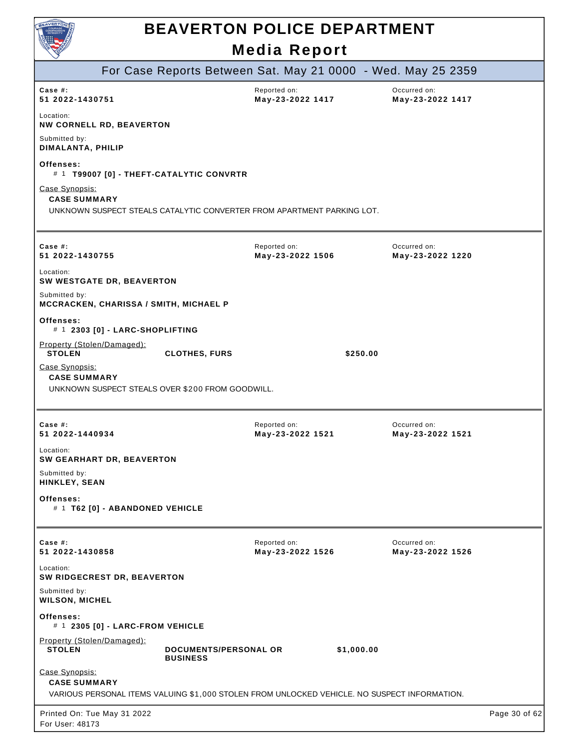| AVERTON<br><b>COURAGE</b><br><b>COMPASSION</b><br><b>INTEGRITY</b> |  |
|--------------------------------------------------------------------|--|
|                                                                    |  |

|                                                |                                  | For Case Reports Between Sat. May 21 0000 - Wed. May 25 2359                                 |                                  |            |                                  |               |
|------------------------------------------------|----------------------------------|----------------------------------------------------------------------------------------------|----------------------------------|------------|----------------------------------|---------------|
| Case  #:<br>51 2022-1430751                    |                                  |                                                                                              | Reported on:<br>May-23-2022 1417 |            | Occurred on:<br>May-23-2022 1417 |               |
| Location:                                      | <b>NW CORNELL RD, BEAVERTON</b>  |                                                                                              |                                  |            |                                  |               |
| Submitted by:<br>DIMALANTA, PHILIP             |                                  |                                                                                              |                                  |            |                                  |               |
| Offenses:                                      |                                  | # 1 T99007 [0] - THEFT-CATALYTIC CONVRTR                                                     |                                  |            |                                  |               |
| Case Synopsis:<br><b>CASE SUMMARY</b>          |                                  |                                                                                              |                                  |            |                                  |               |
|                                                |                                  | UNKNOWN SUSPECT STEALS CATALYTIC CONVERTER FROM APARTMENT PARKING LOT.                       |                                  |            |                                  |               |
|                                                |                                  |                                                                                              |                                  |            |                                  |               |
| Case #:<br>51 2022-1430755                     |                                  |                                                                                              | Reported on:<br>May-23-2022 1506 |            | Occurred on:<br>May-23-2022 1220 |               |
| Location:                                      | SW WESTGATE DR, BEAVERTON        |                                                                                              |                                  |            |                                  |               |
| Submitted by:                                  |                                  | MCCRACKEN, CHARISSA / SMITH, MICHAEL P                                                       |                                  |            |                                  |               |
| Offenses:                                      | # 1 2303 [0] - LARC-SHOPLIFTING  |                                                                                              |                                  |            |                                  |               |
| Property (Stolen/Damaged):<br><b>STOLEN</b>    |                                  | <b>CLOTHES, FURS</b>                                                                         |                                  | \$250.00   |                                  |               |
| Case Synopsis:<br><b>CASE SUMMARY</b>          |                                  | UNKNOWN SUSPECT STEALS OVER \$200 FROM GOODWILL.                                             |                                  |            |                                  |               |
|                                                |                                  |                                                                                              |                                  |            |                                  |               |
| Case $#$ :<br>51 2022-1440934                  |                                  |                                                                                              | Reported on:<br>May-23-2022 1521 |            | Occurred on:<br>May-23-2022 1521 |               |
| Location:                                      | <b>SW GEARHART DR, BEAVERTON</b> |                                                                                              |                                  |            |                                  |               |
| Submitted by:<br>HINKLEY, SEAN                 |                                  |                                                                                              |                                  |            |                                  |               |
| Offenses:                                      | # 1 T62 [0] - ABANDONED VEHICLE  |                                                                                              |                                  |            |                                  |               |
| Case $#$ :                                     |                                  |                                                                                              | Reported on:                     |            | Occurred on:                     |               |
| 51 2022-1430858<br>Location:                   |                                  |                                                                                              | May-23-2022 1526                 |            | May-23-2022 1526                 |               |
|                                                | SW RIDGECREST DR, BEAVERTON      |                                                                                              |                                  |            |                                  |               |
| Submitted by:<br><b>WILSON, MICHEL</b>         |                                  |                                                                                              |                                  |            |                                  |               |
| Offenses:                                      | # 1 2305 [0] - LARC-FROM VEHICLE |                                                                                              |                                  |            |                                  |               |
| Property (Stolen/Damaged):<br><b>STOLEN</b>    |                                  | <b>DOCUMENTS/PERSONAL OR</b><br><b>BUSINESS</b>                                              |                                  | \$1,000.00 |                                  |               |
| Case Synopsis:<br><b>CASE SUMMARY</b>          |                                  |                                                                                              |                                  |            |                                  |               |
|                                                |                                  | VARIOUS PERSONAL ITEMS VALUING \$1,000 STOLEN FROM UNLOCKED VEHICLE. NO SUSPECT INFORMATION. |                                  |            |                                  |               |
| Printed On: Tue May 31 2022<br>For User: 48173 |                                  |                                                                                              |                                  |            |                                  | Page 30 of 62 |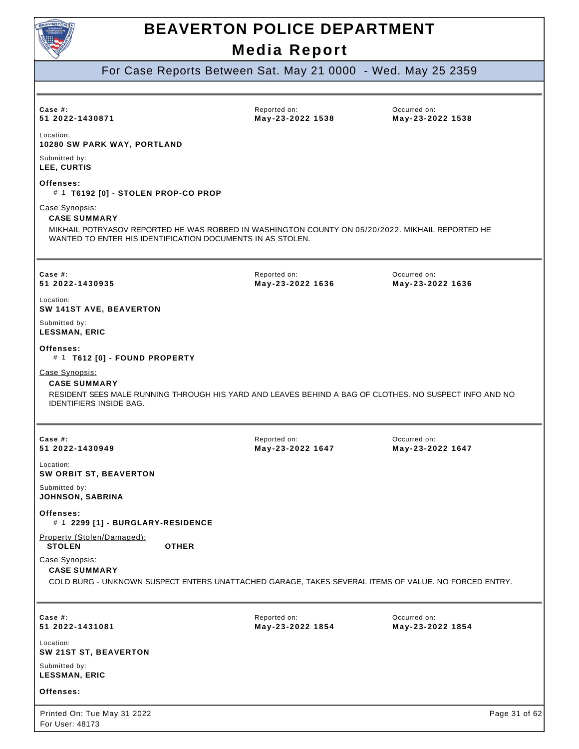

For Case Reports Between Sat. May 21 0000 - Wed. May 25 2359

| Case #:<br>51 2022-1430871                                                                          | Reported on:<br>May-23-2022 1538                                                                       | Occurred on:<br>May-23-2022 1538 |
|-----------------------------------------------------------------------------------------------------|--------------------------------------------------------------------------------------------------------|----------------------------------|
| Location:<br><b>10280 SW PARK WAY, PORTLAND</b>                                                     |                                                                                                        |                                  |
| Submitted by:<br>LEE, CURTIS                                                                        |                                                                                                        |                                  |
| Offenses:<br># 1 T6192 [0] - STOLEN PROP-CO PROP                                                    |                                                                                                        |                                  |
| Case Synopsis:<br><b>CASE SUMMARY</b><br>WANTED TO ENTER HIS IDENTIFICATION DOCUMENTS IN AS STOLEN. | MIKHAIL POTRYASOV REPORTED HE WAS ROBBED IN WASHINGTON COUNTY ON 05/20/2022. MIKHAIL REPORTED HE       |                                  |
| Case #:<br>51 2022-1430935                                                                          | Reported on:<br>May-23-2022 1636                                                                       | Occurred on:<br>May-23-2022 1636 |
| Location:<br>SW 141ST AVE, BEAVERTON                                                                |                                                                                                        |                                  |
| Submitted by:<br><b>LESSMAN, ERIC</b>                                                               |                                                                                                        |                                  |
| <b>Offenses:</b><br># 1 T612 [0] - FOUND PROPERTY                                                   |                                                                                                        |                                  |
| Case Synopsis:<br><b>CASE SUMMARY</b><br><b>IDENTIFIERS INSIDE BAG.</b>                             | RESIDENT SEES MALE RUNNING THROUGH HIS YARD AND LEAVES BEHIND A BAG OF CLOTHES. NO SUSPECT INFO AND NO |                                  |
| Case #:<br>51 2022-1430949                                                                          | Reported on:<br>May-23-2022 1647                                                                       | Occurred on:<br>May-23-2022 1647 |
| Location:<br><b>SW ORBIT ST, BEAVERTON</b>                                                          |                                                                                                        |                                  |
| Submitted by:<br><b>JOHNSON, SABRINA</b>                                                            |                                                                                                        |                                  |
| <b>Offenses:</b><br># 1 2299 [1] - BURGLARY-RESIDENCE                                               |                                                                                                        |                                  |
| Property (Stolen/Damaged):<br><b>STOLEN</b><br><b>OTHER</b>                                         |                                                                                                        |                                  |
| Case Synopsis:<br><b>CASE SUMMARY</b>                                                               | COLD BURG - UNKNOWN SUSPECT ENTERS UNATTACHED GARAGE, TAKES SEVERAL ITEMS OF VALUE. NO FORCED ENTRY.   |                                  |
| Case #:<br>51 2022-1431081                                                                          | Reported on:<br>May-23-2022 1854                                                                       | Occurred on:<br>May-23-2022 1854 |
| Location:<br>SW 21ST ST, BEAVERTON                                                                  |                                                                                                        |                                  |
| Submitted by:<br><b>LESSMAN, ERIC</b>                                                               |                                                                                                        |                                  |
| Offenses:                                                                                           |                                                                                                        |                                  |
| Printed On: Tue May 31 2022<br>For User: 48173                                                      |                                                                                                        | Page 31 of 62                    |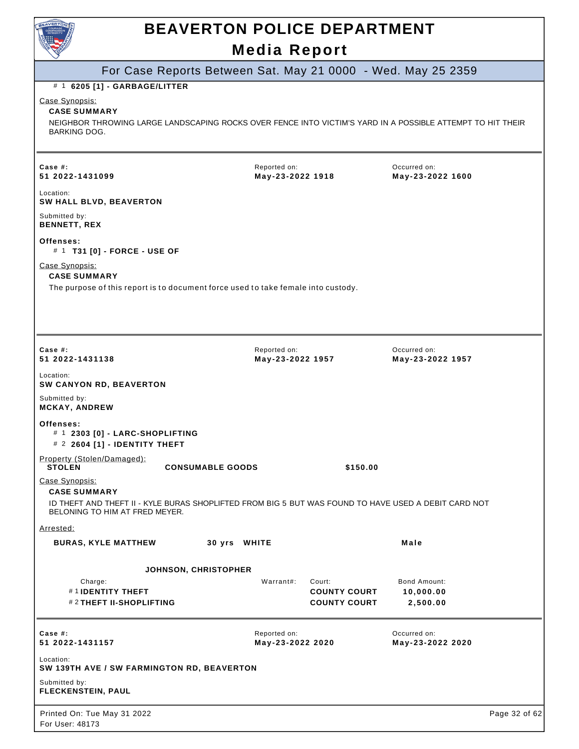

## **BEAVERTON POLICE DEPARTMENT**

### **Media Report**

### For Case Reports Between Sat. May 21 0000 - Wed. May 25 2359

#### # 1 **6205 [1] - GARBAGE/LITTER**

Case Synopsis:

#### **CASE SUMMARY**

NEIGHBOR THROWING LARGE LANDSCAPING ROCKS OVER FENCE INTO VICTIM'S YARD IN A POSSIBLE ATTEMPT TO HIT THEIR BARKING DOG.

| Case #:<br>51 2022-1431099                                                                                                             |                             | Reported on:<br>May-23-2022 1918 |                                                      | Occurred on:<br>May-23-2022 1600             |               |
|----------------------------------------------------------------------------------------------------------------------------------------|-----------------------------|----------------------------------|------------------------------------------------------|----------------------------------------------|---------------|
| Location:<br>SW HALL BLVD, BEAVERTON                                                                                                   |                             |                                  |                                                      |                                              |               |
| Submitted by:<br><b>BENNETT, REX</b>                                                                                                   |                             |                                  |                                                      |                                              |               |
| Offenses:<br># 1 T31 [0] - FORCE - USE OF                                                                                              |                             |                                  |                                                      |                                              |               |
| Case Synopsis:<br><b>CASE SUMMARY</b><br>The purpose of this report is to document force used to take female into custody.             |                             |                                  |                                                      |                                              |               |
| Case  #:<br>51 2022-1431138                                                                                                            |                             | Reported on:<br>May-23-2022 1957 |                                                      | Occurred on:<br>May-23-2022 1957             |               |
| Location:<br><b>SW CANYON RD, BEAVERTON</b>                                                                                            |                             |                                  |                                                      |                                              |               |
| Submitted by:<br><b>MCKAY, ANDREW</b>                                                                                                  |                             |                                  |                                                      |                                              |               |
| Offenses:<br># 1 2303 [0] - LARC-SHOPLIFTING<br># 2 2604 [1] - IDENTITY THEFT                                                          |                             |                                  |                                                      |                                              |               |
| Property (Stolen/Damaged):<br><b>STOLEN</b>                                                                                            | <b>CONSUMABLE GOODS</b>     |                                  | \$150.00                                             |                                              |               |
| Case Synopsis:<br><b>CASE SUMMARY</b>                                                                                                  |                             |                                  |                                                      |                                              |               |
| ID THEFT AND THEFT II - KYLE BURAS SHOPLIFTED FROM BIG 5 BUT WAS FOUND TO HAVE USED A DEBIT CARD NOT<br>BELONING TO HIM AT FRED MEYER. |                             |                                  |                                                      |                                              |               |
| Arrested:                                                                                                                              |                             |                                  |                                                      |                                              |               |
| <b>BURAS, KYLE MATTHEW</b>                                                                                                             | 30 yrs WHITE                |                                  |                                                      | Male                                         |               |
|                                                                                                                                        | <b>JOHNSON, CHRISTOPHER</b> |                                  |                                                      |                                              |               |
| Charge:<br>#1IDENTITY THEFT<br>#2 THEFT II-SHOPLIFTING                                                                                 |                             | Warrant#:                        | Court:<br><b>COUNTY COURT</b><br><b>COUNTY COURT</b> | <b>Bond Amount:</b><br>10,000.00<br>2,500.00 |               |
| Case #:<br>51 2022-1431157                                                                                                             |                             | Reported on:<br>May-23-2022 2020 |                                                      | Occurred on:<br>May-23-2022 2020             |               |
| Location:<br>SW 139TH AVE / SW FARMINGTON RD, BEAVERTON                                                                                |                             |                                  |                                                      |                                              |               |
| Submitted by:<br><b>FLECKENSTEIN, PAUL</b>                                                                                             |                             |                                  |                                                      |                                              |               |
| Printed On: Tue May 31 2022<br>For User: 48173                                                                                         |                             |                                  |                                                      |                                              | Page 32 of 62 |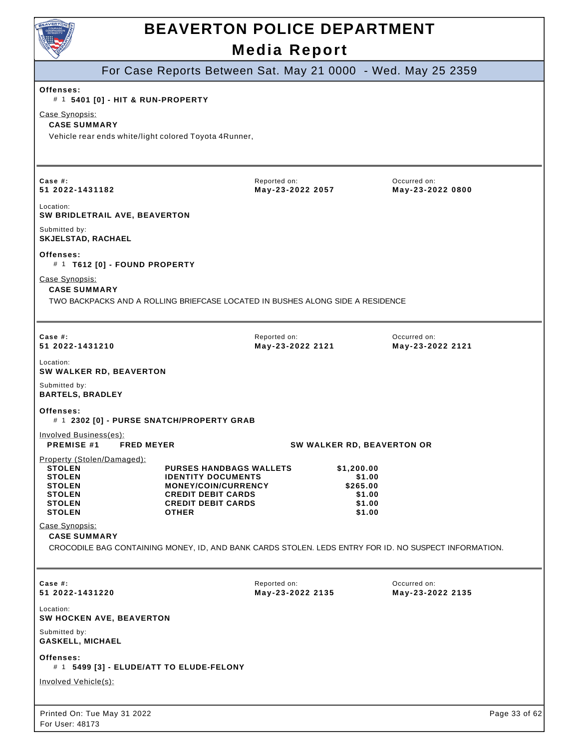

For User: 48173

### **Media Report BEAVERTON POLICE DEPARTMENT**

For Case Reports Between Sat. May 21 0000 - Wed. May 25 2359

| Offenses:<br># 1 5401 [0] - HIT & RUN-PROPERTY                                                                                                 |                                                                                                                                                              |                                  |                                                                |                                  |               |
|------------------------------------------------------------------------------------------------------------------------------------------------|--------------------------------------------------------------------------------------------------------------------------------------------------------------|----------------------------------|----------------------------------------------------------------|----------------------------------|---------------|
| Case Synopsis:<br><b>CASE SUMMARY</b><br>Vehicle rear ends white/light colored Toyota 4Runner,                                                 |                                                                                                                                                              |                                  |                                                                |                                  |               |
| Case #:<br>51 2022-1431182                                                                                                                     |                                                                                                                                                              | Reported on:<br>May-23-2022 2057 |                                                                | Occurred on:<br>May-23-2022 0800 |               |
| Location:<br>SW BRIDLETRAIL AVE, BEAVERTON                                                                                                     |                                                                                                                                                              |                                  |                                                                |                                  |               |
| Submitted by:<br><b>SKJELSTAD, RACHAEL</b>                                                                                                     |                                                                                                                                                              |                                  |                                                                |                                  |               |
| Offenses:<br># 1 T612 [0] - FOUND PROPERTY                                                                                                     |                                                                                                                                                              |                                  |                                                                |                                  |               |
| Case Synopsis:<br><b>CASE SUMMARY</b><br>TWO BACKPACKS AND A ROLLING BRIEFCASE LOCATED IN BUSHES ALONG SIDE A RESIDENCE                        |                                                                                                                                                              |                                  |                                                                |                                  |               |
| Case #:<br>51 2022-1431210                                                                                                                     |                                                                                                                                                              | Reported on:<br>May-23-2022 2121 |                                                                | Occurred on:<br>May-23-2022 2121 |               |
| Location:<br>SW WALKER RD, BEAVERTON                                                                                                           |                                                                                                                                                              |                                  |                                                                |                                  |               |
| Submitted by:<br><b>BARTELS, BRADLEY</b>                                                                                                       |                                                                                                                                                              |                                  |                                                                |                                  |               |
| Offenses:<br># 1 2302 [0] - PURSE SNATCH/PROPERTY GRAB                                                                                         |                                                                                                                                                              |                                  |                                                                |                                  |               |
| Involved Business(es):<br><b>PREMISE #1</b><br><b>FRED MEYER</b>                                                                               |                                                                                                                                                              | SW WALKER RD, BEAVERTON OR       |                                                                |                                  |               |
| Property (Stolen/Damaged):<br><b>STOLEN</b><br><b>STOLEN</b><br><b>STOLEN</b><br><b>STOLEN</b><br><b>STOLEN</b><br><b>STOLEN</b>               | <b>PURSES HANDBAGS WALLETS</b><br><b>IDENTITY DOCUMENTS</b><br>MONEY/COIN/CURRENCY<br><b>CREDIT DEBIT CARDS</b><br><b>CREDIT DEBIT CARDS</b><br><b>OTHER</b> |                                  | \$1,200.00<br>\$1.00<br>\$265.00<br>\$1.00<br>\$1.00<br>\$1.00 |                                  |               |
| Case Synopsis:<br><b>CASE SUMMARY</b><br>CROCODILE BAG CONTAINING MONEY, ID, AND BANK CARDS STOLEN. LEDS ENTRY FOR ID. NO SUSPECT INFORMATION. |                                                                                                                                                              |                                  |                                                                |                                  |               |
| Case #:<br>51 2022-1431220                                                                                                                     |                                                                                                                                                              | Reported on:<br>May-23-2022 2135 |                                                                | Occurred on:<br>May-23-2022 2135 |               |
| Location:<br>SW HOCKEN AVE, BEAVERTON                                                                                                          |                                                                                                                                                              |                                  |                                                                |                                  |               |
| Submitted by:<br><b>GASKELL, MICHAEL</b>                                                                                                       |                                                                                                                                                              |                                  |                                                                |                                  |               |
| Offenses:<br># 1 5499 [3] - ELUDE/ATT TO ELUDE-FELONY                                                                                          |                                                                                                                                                              |                                  |                                                                |                                  |               |
| <b>Involved Vehicle(s):</b>                                                                                                                    |                                                                                                                                                              |                                  |                                                                |                                  |               |
| Printed On: Tue May 31 2022                                                                                                                    |                                                                                                                                                              |                                  |                                                                |                                  | Page 33 of 62 |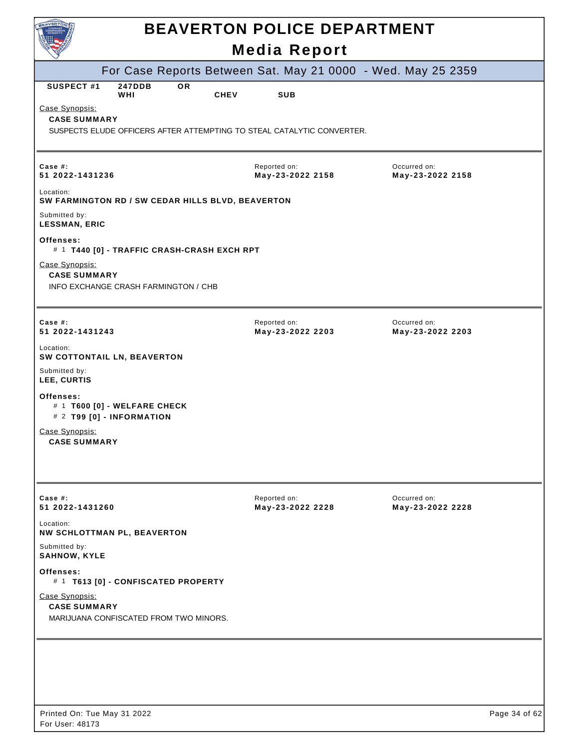| BEAVERTON                                                                                                       | <b>BEAVERTON POLICE DEPARTMENT</b> |                                  |               |
|-----------------------------------------------------------------------------------------------------------------|------------------------------------|----------------------------------|---------------|
|                                                                                                                 | <b>Media Report</b>                |                                  |               |
| For Case Reports Between Sat. May 21 0000 - Wed. May 25 2359                                                    |                                    |                                  |               |
| SUSPECT#1<br><b>247DDB</b><br><b>OR</b><br><b>CHEV</b><br>WHI                                                   | <b>SUB</b>                         |                                  |               |
| Case Synopsis:<br><b>CASE SUMMARY</b><br>SUSPECTS ELUDE OFFICERS AFTER ATTEMPTING TO STEAL CATALYTIC CONVERTER. |                                    |                                  |               |
|                                                                                                                 |                                    |                                  |               |
| Case #:<br>51 2022-1431236                                                                                      | Reported on:<br>May-23-2022 2158   | Occurred on:<br>May-23-2022 2158 |               |
| Location:<br>SW FARMINGTON RD / SW CEDAR HILLS BLVD, BEAVERTON                                                  |                                    |                                  |               |
| Submitted by:<br><b>LESSMAN, ERIC</b>                                                                           |                                    |                                  |               |
| Offenses:<br># 1 T440 [0] - TRAFFIC CRASH-CRASH EXCH RPT                                                        |                                    |                                  |               |
| Case Synopsis:<br><b>CASE SUMMARY</b><br>INFO EXCHANGE CRASH FARMINGTON / CHB                                   |                                    |                                  |               |
| Case #:<br>51 2022-1431243                                                                                      | Reported on:<br>May-23-2022 2203   | Occurred on:<br>May-23-2022 2203 |               |
| Location:<br>SW COTTONTAIL LN, BEAVERTON                                                                        |                                    |                                  |               |
| Submitted by:<br>LEE, CURTIS                                                                                    |                                    |                                  |               |
| Offenses:<br># 1 T600 [0] - WELFARE CHECK<br># 2 T99 [0] - INFORMATION                                          |                                    |                                  |               |
| Case Synopsis:<br><b>CASE SUMMARY</b>                                                                           |                                    |                                  |               |
| Case  #:                                                                                                        | Reported on:                       | Occurred on:                     |               |
| 51 2022-1431260<br>Location:                                                                                    | May-23-2022 2228                   | May-23-2022 2228                 |               |
| NW SCHLOTTMAN PL, BEAVERTON<br>Submitted by:                                                                    |                                    |                                  |               |
| <b>SAHNOW, KYLE</b>                                                                                             |                                    |                                  |               |
| Offenses:<br># 1 T613 [0] - CONFISCATED PROPERTY                                                                |                                    |                                  |               |
| Case Synopsis:<br><b>CASE SUMMARY</b><br>MARIJUANA CONFISCATED FROM TWO MINORS.                                 |                                    |                                  |               |
|                                                                                                                 |                                    |                                  |               |
|                                                                                                                 |                                    |                                  |               |
|                                                                                                                 |                                    |                                  |               |
| Printed On: Tue May 31 2022                                                                                     |                                    |                                  | Page 34 of 62 |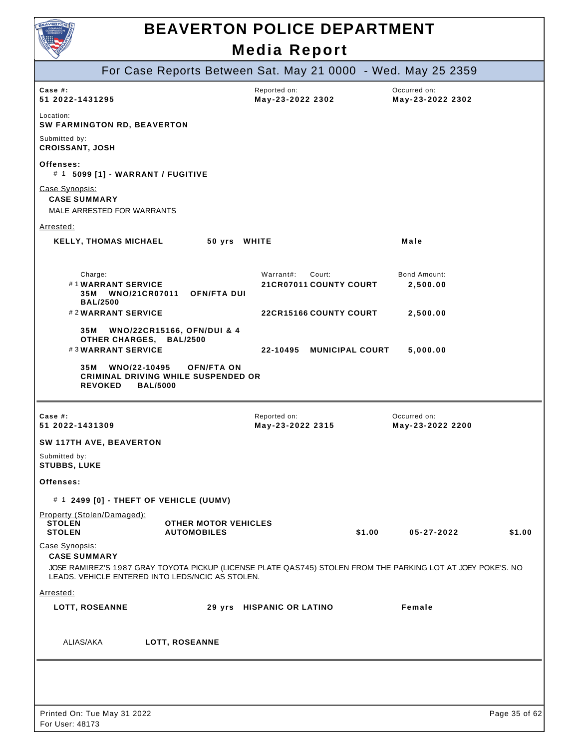

|                                                              |                                                              |                                                                 |                                  |        | For Case Reports Between Sat. May 21 0000 - Wed. May 25 2359                                                 |               |
|--------------------------------------------------------------|--------------------------------------------------------------|-----------------------------------------------------------------|----------------------------------|--------|--------------------------------------------------------------------------------------------------------------|---------------|
| Case $#$ :<br>51 2022-1431295                                |                                                              |                                                                 | Reported on:<br>May-23-2022 2302 |        | Occurred on:<br>May-23-2022 2302                                                                             |               |
| Location:                                                    | <b>SW FARMINGTON RD, BEAVERTON</b>                           |                                                                 |                                  |        |                                                                                                              |               |
| Submitted by:<br><b>CROISSANT, JOSH</b>                      |                                                              |                                                                 |                                  |        |                                                                                                              |               |
| Offenses:                                                    | # 1 5099 [1] - WARRANT / FUGITIVE                            |                                                                 |                                  |        |                                                                                                              |               |
| Case Synopsis:<br><b>CASE SUMMARY</b>                        | MALE ARRESTED FOR WARRANTS                                   |                                                                 |                                  |        |                                                                                                              |               |
| <u>Arrested:</u>                                             |                                                              |                                                                 |                                  |        |                                                                                                              |               |
|                                                              | <b>KELLY, THOMAS MICHAEL</b>                                 | 50 yrs WHITE                                                    |                                  |        | Male                                                                                                         |               |
| Charge:                                                      |                                                              |                                                                 | Warrant#:<br>Court:              |        | <b>Bond Amount:</b>                                                                                          |               |
| 35M                                                          | #1WARRANT SERVICE<br><b>WNO/21CR07011</b><br><b>BAL/2500</b> | <b>OFN/FTA DUI</b>                                              | 21 CR07011 COUNTY COURT          |        | 2,500.00                                                                                                     |               |
|                                                              | #2WARRANT SERVICE                                            |                                                                 | <b>22CR15166 COUNTY COURT</b>    |        | 2,500.00                                                                                                     |               |
| 35M                                                          | OTHER CHARGES, BAL/2500                                      | WNO/22CR15166, OFN/DUI & 4                                      |                                  |        |                                                                                                              |               |
|                                                              | #3WARRANT SERVICE                                            |                                                                 | 22-10495 MUNICIPAL COURT         |        | 5,000.00                                                                                                     |               |
| 35M                                                          | WNO/22-10495<br><b>REVOKED</b><br><b>BAL/5000</b>            | <b>OFN/FTA ON</b><br><b>CRIMINAL DRIVING WHILE SUSPENDED OR</b> |                                  |        |                                                                                                              |               |
| Case #:<br>51 2022-1431309                                   |                                                              |                                                                 | Reported on:<br>May-23-2022 2315 |        | Occurred on:<br>May-23-2022 2200                                                                             |               |
|                                                              | SW 117TH AVE, BEAVERTON                                      |                                                                 |                                  |        |                                                                                                              |               |
| Submitted by:<br><b>STUBBS, LUKE</b>                         |                                                              |                                                                 |                                  |        |                                                                                                              |               |
| Offenses:                                                    |                                                              |                                                                 |                                  |        |                                                                                                              |               |
|                                                              |                                                              | # 1 2499 [0] - THEFT OF VEHICLE (UUMV)                          |                                  |        |                                                                                                              |               |
| Property (Stolen/Damaged):<br><b>STOLEN</b><br><b>STOLEN</b> |                                                              | <b>OTHER MOTOR VEHICLES</b><br><b>AUTOMOBILES</b>               |                                  | \$1.00 | 05-27-2022                                                                                                   | \$1.00        |
| Case Synopsis:<br><b>CASE SUMMARY</b>                        |                                                              |                                                                 |                                  |        |                                                                                                              |               |
|                                                              |                                                              | LEADS. VEHICLE ENTERED INTO LEDS/NCIC AS STOLEN.                |                                  |        | JOSE RAMIREZ'S 1987 GRAY TOYOTA PICKUP (LICENSE PLATE QAS745) STOLEN FROM THE PARKING LOT AT JOEY POKE'S. NO |               |
| Arrested:                                                    |                                                              |                                                                 |                                  |        |                                                                                                              |               |
| <b>LOTT, ROSEANNE</b>                                        |                                                              |                                                                 | 29 yrs HISPANIC OR LATINO        |        | Female                                                                                                       |               |
| ALIAS/AKA                                                    |                                                              | LOTT, ROSEANNE                                                  |                                  |        |                                                                                                              |               |
|                                                              |                                                              |                                                                 |                                  |        |                                                                                                              |               |
|                                                              |                                                              |                                                                 |                                  |        |                                                                                                              |               |
|                                                              |                                                              |                                                                 |                                  |        |                                                                                                              |               |
| Printed On: Tue May 31 2022                                  |                                                              |                                                                 |                                  |        |                                                                                                              | Page 35 of 62 |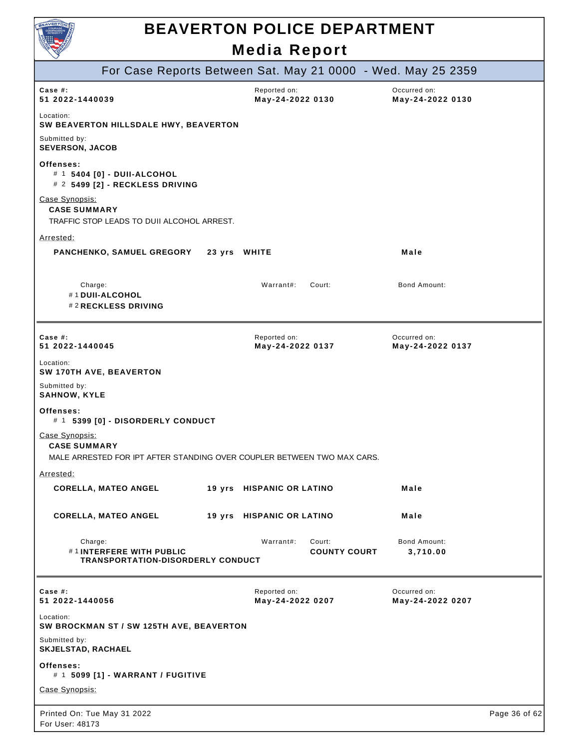

|                                                                                                                  | <b>INCAIA REPOIL</b>             |                               |                                                              |               |
|------------------------------------------------------------------------------------------------------------------|----------------------------------|-------------------------------|--------------------------------------------------------------|---------------|
|                                                                                                                  |                                  |                               | For Case Reports Between Sat. May 21 0000 - Wed. May 25 2359 |               |
| Case $#$ :<br>51 2022-1440039                                                                                    | Reported on:<br>May-24-2022 0130 |                               | Occurred on:<br>May-24-2022 0130                             |               |
| Location:<br>SW BEAVERTON HILLSDALE HWY, BEAVERTON                                                               |                                  |                               |                                                              |               |
| Submitted by:<br><b>SEVERSON, JACOB</b>                                                                          |                                  |                               |                                                              |               |
| Offenses:<br># 1 5404 [0] - DUII-ALCOHOL<br># 2 5499 [2] - RECKLESS DRIVING                                      |                                  |                               |                                                              |               |
| Case Synopsis:<br><b>CASE SUMMARY</b><br>TRAFFIC STOP LEADS TO DUII ALCOHOL ARREST.                              |                                  |                               |                                                              |               |
| Arrested:                                                                                                        |                                  |                               |                                                              |               |
| PANCHENKO, SAMUEL GREGORY 23 yrs WHITE                                                                           |                                  |                               | Male                                                         |               |
| Charge:<br>#1 DUII-ALCOHOL<br>#2 RECKLESS DRIVING                                                                | Warrant#:                        | Court:                        | Bond Amount:                                                 |               |
| Case $#$ :<br>51 2022-1440045                                                                                    | Reported on:<br>May-24-2022 0137 |                               | Occurred on:<br>May-24-2022 0137                             |               |
| Location:<br>SW 170TH AVE, BEAVERTON                                                                             |                                  |                               |                                                              |               |
| Submitted by:<br><b>SAHNOW, KYLE</b>                                                                             |                                  |                               |                                                              |               |
| Offenses:<br># 1 5399 [0] - DISORDERLY CONDUCT                                                                   |                                  |                               |                                                              |               |
| Case Synopsis:<br><b>CASE SUMMARY</b><br>MALE ARRESTED FOR IPT AFTER STANDING OVER COUPLER BETWEEN TWO MAX CARS. |                                  |                               |                                                              |               |
| Arrested:                                                                                                        |                                  |                               |                                                              |               |
| <b>CORELLA, MATEO ANGEL</b>                                                                                      | 19 yrs HISPANIC OR LATINO        |                               | Male                                                         |               |
| <b>CORELLA, MATEO ANGEL</b>                                                                                      | 19 yrs HISPANIC OR LATINO        |                               | Male                                                         |               |
| Charge:<br>#1INTERFERE WITH PUBLIC<br><b>TRANSPORTATION-DISORDERLY CONDUCT</b>                                   | Warrant#:                        | Court:<br><b>COUNTY COURT</b> | Bond Amount:<br>3,710.00                                     |               |
| Case #:<br>51 2022-1440056                                                                                       | Reported on:<br>May-24-2022 0207 |                               | Occurred on:<br>May-24-2022 0207                             |               |
| Location:<br>SW BROCKMAN ST / SW 125TH AVE, BEAVERTON                                                            |                                  |                               |                                                              |               |
| Submitted by:<br>SKJELSTAD, RACHAEL                                                                              |                                  |                               |                                                              |               |
| Offenses:<br># 1 5099 [1] - WARRANT / FUGITIVE                                                                   |                                  |                               |                                                              |               |
| Case Synopsis:                                                                                                   |                                  |                               |                                                              |               |
| Printed On: Tue May 31 2022<br>For User: 48173                                                                   |                                  |                               |                                                              | Page 36 of 62 |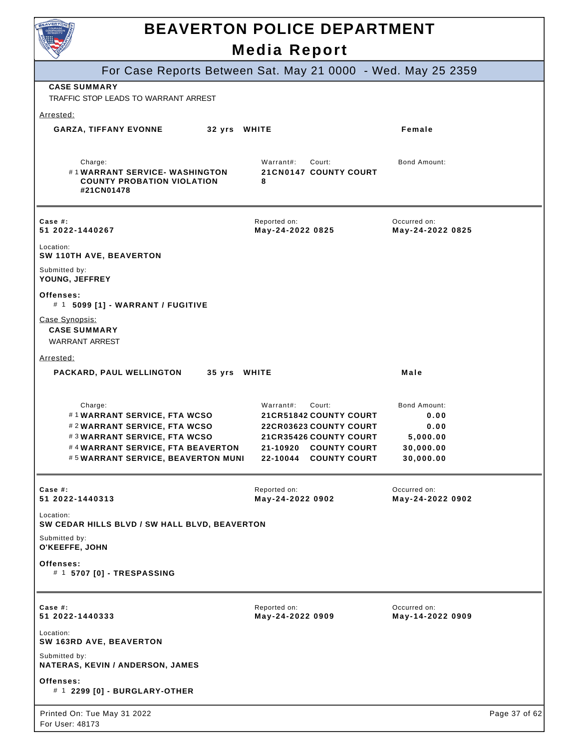

|                                                                                                                                                                               | Media Report                                                                                                                                                             |                                                                           |               |
|-------------------------------------------------------------------------------------------------------------------------------------------------------------------------------|--------------------------------------------------------------------------------------------------------------------------------------------------------------------------|---------------------------------------------------------------------------|---------------|
| For Case Reports Between Sat. May 21 0000 - Wed. May 25 2359                                                                                                                  |                                                                                                                                                                          |                                                                           |               |
| <b>CASE SUMMARY</b><br>TRAFFIC STOP LEADS TO WARRANT ARREST                                                                                                                   |                                                                                                                                                                          |                                                                           |               |
| Arrested:                                                                                                                                                                     |                                                                                                                                                                          |                                                                           |               |
| <b>GARZA, TIFFANY EVONNE</b><br>32 yrs WHITE                                                                                                                                  |                                                                                                                                                                          | Female                                                                    |               |
| Charge:<br>#1WARRANT SERVICE-WASHINGTON<br><b>COUNTY PROBATION VIOLATION</b><br>#21CN01478                                                                                    | Warrant#:<br>Court:<br><b>21CN0147 COUNTY COURT</b><br>8                                                                                                                 | Bond Amount:                                                              |               |
| Case #:<br>51 2022-1440267                                                                                                                                                    | Reported on:<br>May-24-2022 0825                                                                                                                                         | Occurred on:<br>May-24-2022 0825                                          |               |
| Location:<br>SW 110TH AVE, BEAVERTON                                                                                                                                          |                                                                                                                                                                          |                                                                           |               |
| Submitted by:<br>YOUNG, JEFFREY                                                                                                                                               |                                                                                                                                                                          |                                                                           |               |
| Offenses:<br># 1 5099 [1] - WARRANT / FUGITIVE                                                                                                                                |                                                                                                                                                                          |                                                                           |               |
| Case Synopsis:<br><b>CASE SUMMARY</b><br><b>WARRANT ARREST</b>                                                                                                                |                                                                                                                                                                          |                                                                           |               |
| Arrested:                                                                                                                                                                     |                                                                                                                                                                          |                                                                           |               |
| PACKARD, PAUL WELLINGTON<br>35 yrs WHITE                                                                                                                                      |                                                                                                                                                                          | Male                                                                      |               |
| Charge:<br>#1WARRANT SERVICE, FTA WCSO<br>#2WARRANT SERVICE, FTA WCSO<br>#3WARRANT SERVICE, FTA WCSO<br>#4WARRANT SERVICE, FTA BEAVERTON<br>#5WARRANT SERVICE, BEAVERTON MUNI | Warrant#:<br>Court:<br><b>21CR51842 COUNTY COURT</b><br><b>22CR03623 COUNTY COURT</b><br><b>21CR35426 COUNTY COURT</b><br>21-10920 COUNTY COURT<br>22-10044 COUNTY COURT | <b>Bond Amount:</b><br>0.00<br>0.00<br>5,000.00<br>30,000.00<br>30,000.00 |               |
| Case $#$ :<br>51 2022-1440313                                                                                                                                                 | Reported on:<br>May-24-2022 0902                                                                                                                                         | Occurred on:<br>May-24-2022 0902                                          |               |
| Location:<br>SW CEDAR HILLS BLVD / SW HALL BLVD, BEAVERTON                                                                                                                    |                                                                                                                                                                          |                                                                           |               |
| Submitted by:<br>O'KEEFFE, JOHN                                                                                                                                               |                                                                                                                                                                          |                                                                           |               |
| Offenses:<br># 1 5707 [0] - TRESPASSING                                                                                                                                       |                                                                                                                                                                          |                                                                           |               |
| Case #:<br>51 2022-1440333                                                                                                                                                    | Reported on:<br>May-24-2022 0909                                                                                                                                         | Occurred on:<br>May-14-2022 0909                                          |               |
| Location:<br>SW 163RD AVE, BEAVERTON                                                                                                                                          |                                                                                                                                                                          |                                                                           |               |
| Submitted by:<br>NATERAS, KEVIN / ANDERSON, JAMES                                                                                                                             |                                                                                                                                                                          |                                                                           |               |
| Offenses:<br># 1 2299 [0] - BURGLARY-OTHER                                                                                                                                    |                                                                                                                                                                          |                                                                           |               |
| Printed On: Tue May 31 2022<br>For User: 48173                                                                                                                                |                                                                                                                                                                          |                                                                           | Page 37 of 62 |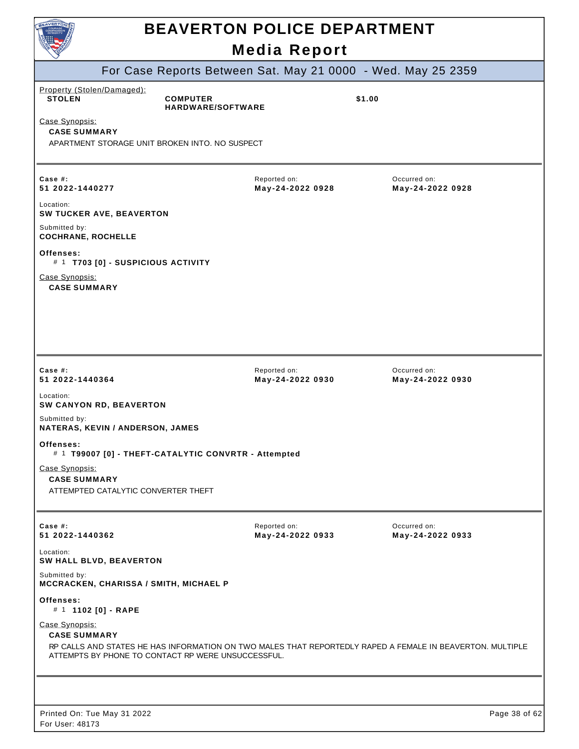|                                                                                                                                                                                                          | <b>BEAVERTON POLICE DEPARTMENT</b><br><b>Media Report</b> |                                  |
|----------------------------------------------------------------------------------------------------------------------------------------------------------------------------------------------------------|-----------------------------------------------------------|----------------------------------|
| For Case Reports Between Sat. May 21 0000 - Wed. May 25 2359                                                                                                                                             |                                                           |                                  |
| Property (Stolen/Damaged):<br><b>STOLEN</b><br><b>COMPUTER</b><br>HARDWARE/SOFTWARE<br>Case Synopsis:<br><b>CASE SUMMARY</b><br>APARTMENT STORAGE UNIT BROKEN INTO. NO SUSPECT                           |                                                           | \$1.00                           |
| Case $#$ :<br>51 2022-1440277<br>Location:<br>SW TUCKER AVE, BEAVERTON                                                                                                                                   | Reported on:<br>May-24-2022 0928                          | Occurred on:<br>May-24-2022 0928 |
| Submitted by:<br><b>COCHRANE, ROCHELLE</b><br>Offenses:<br># 1 T703 [0] - SUSPICIOUS ACTIVITY<br>Case Synopsis:<br><b>CASE SUMMARY</b>                                                                   |                                                           |                                  |
| Case $#$ :<br>51 2022-1440364<br>Location:<br>SW CANYON RD, BEAVERTON                                                                                                                                    | Reported on:<br>May-24-2022 0930                          | Occurred on:<br>May-24-2022 0930 |
| Submitted by:<br>NATERAS, KEVIN / ANDERSON, JAMES<br>Offenses:<br># 1 T99007 [0] - THEFT-CATALYTIC CONVRTR - Attempted<br>Case Synopsis:<br><b>CASE SUMMARY</b><br>ATTEMPTED CATALYTIC CONVERTER THEFT   |                                                           |                                  |
| Case #:<br>51 2022-1440362                                                                                                                                                                               | Reported on:<br>May-24-2022 0933                          | Occurred on:<br>May-24-2022 0933 |
| Location:<br>SW HALL BLVD, BEAVERTON<br>Submitted by:                                                                                                                                                    |                                                           |                                  |
| MCCRACKEN, CHARISSA / SMITH, MICHAEL P<br>Offenses:<br># 1 1102 [0] - RAPE                                                                                                                               |                                                           |                                  |
| Case Synopsis:<br><b>CASE SUMMARY</b><br>RP CALLS AND STATES HE HAS INFORMATION ON TWO MALES THAT REPORTEDLY RAPED A FEMALE IN BEAVERTON. MULTIPLE<br>ATTEMPTS BY PHONE TO CONTACT RP WERE UNSUCCESSFUL. |                                                           |                                  |
|                                                                                                                                                                                                          |                                                           |                                  |
| Printed On: Tue May 31 2022<br>For User: 48173                                                                                                                                                           |                                                           | Page 38 of 62                    |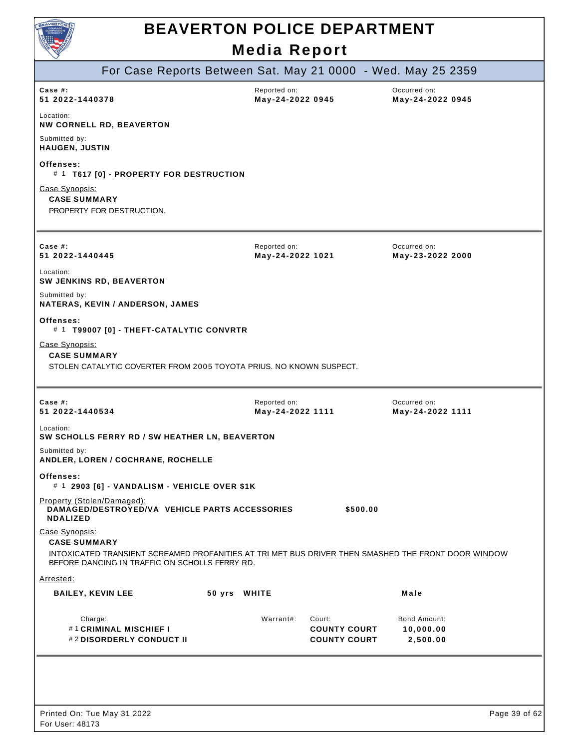

|                                                                                                                                                       | For Case Reports Between Sat. May 21 0000 - Wed. May 25 2359 |                                                      |                                              |
|-------------------------------------------------------------------------------------------------------------------------------------------------------|--------------------------------------------------------------|------------------------------------------------------|----------------------------------------------|
| Case  #:<br>51 2022-1440378                                                                                                                           | Reported on:<br>May-24-2022 0945                             |                                                      | Occurred on:<br>May-24-2022 0945             |
| Location:<br><b>NW CORNELL RD, BEAVERTON</b>                                                                                                          |                                                              |                                                      |                                              |
| Submitted by:<br><b>HAUGEN, JUSTIN</b>                                                                                                                |                                                              |                                                      |                                              |
| Offenses:<br># 1 T617 [0] - PROPERTY FOR DESTRUCTION                                                                                                  |                                                              |                                                      |                                              |
| Case Synopsis:<br><b>CASE SUMMARY</b><br>PROPERTY FOR DESTRUCTION.                                                                                    |                                                              |                                                      |                                              |
| Case $#$ :                                                                                                                                            | Reported on:                                                 |                                                      | Occurred on:                                 |
| 51 2022-1440445                                                                                                                                       | May-24-2022 1021                                             |                                                      | May-23-2022 2000                             |
| Location:<br><b>SW JENKINS RD, BEAVERTON</b>                                                                                                          |                                                              |                                                      |                                              |
| Submitted by:<br>NATERAS, KEVIN / ANDERSON, JAMES                                                                                                     |                                                              |                                                      |                                              |
| Offenses:<br># 1 T99007 [0] - THEFT-CATALYTIC CONVRTR                                                                                                 |                                                              |                                                      |                                              |
| Case Synopsis:<br><b>CASE SUMMARY</b><br>STOLEN CATALYTIC COVERTER FROM 2005 TOYOTA PRIUS. NO KNOWN SUSPECT.                                          |                                                              |                                                      |                                              |
| Case #:<br>51 2022-1440534                                                                                                                            | Reported on:<br>May-24-2022 1111                             |                                                      | Occurred on:<br>May-24-2022 1111             |
| Location:<br>SW SCHOLLS FERRY RD / SW HEATHER LN, BEAVERTON                                                                                           |                                                              |                                                      |                                              |
| Submitted by:<br>ANDLER, LOREN / COCHRANE, ROCHELLE                                                                                                   |                                                              |                                                      |                                              |
| Offenses:<br># 1 2903 [6] - VANDALISM - VEHICLE OVER \$1K                                                                                             |                                                              |                                                      |                                              |
| Property (Stolen/Damaged):<br>DAMAGED/DESTROYED/VA VEHICLE PARTS ACCESSORIES<br><b>NDALIZED</b>                                                       |                                                              | \$500.00                                             |                                              |
| Case Synopsis:<br><b>CASE SUMMARY</b>                                                                                                                 |                                                              |                                                      |                                              |
| INTOXICATED TRANSIENT SCREAMED PROFANITIES AT TRI MET BUS DRIVER THEN SMASHED THE FRONT DOOR WINDOW<br>BEFORE DANCING IN TRAFFIC ON SCHOLLS FERRY RD. |                                                              |                                                      |                                              |
| Arrested:                                                                                                                                             |                                                              |                                                      |                                              |
| <b>BAILEY, KEVIN LEE</b>                                                                                                                              | 50 yrs WHITE                                                 |                                                      | Male                                         |
| Charge:<br>#1 CRIMINAL MISCHIEF I<br>#2DISORDERLY CONDUCT II                                                                                          | Warrant#:                                                    | Court:<br><b>COUNTY COURT</b><br><b>COUNTY COURT</b> | <b>Bond Amount:</b><br>10,000.00<br>2,500.00 |
|                                                                                                                                                       |                                                              |                                                      |                                              |
|                                                                                                                                                       |                                                              |                                                      |                                              |
| Printed On: Tue May 31 2022                                                                                                                           |                                                              |                                                      | Page 39 of 62                                |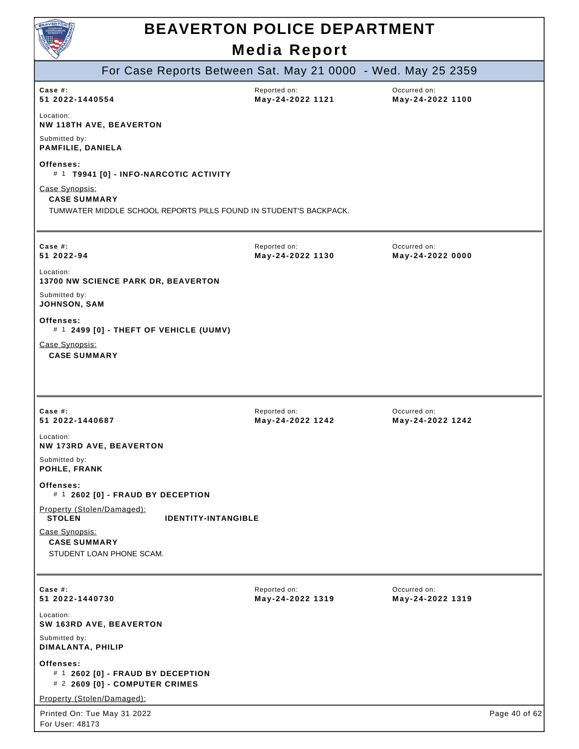

| For Case Reports Between Sat. May 21 0000 - Wed. May 25 2359                                               |                                  |                                  |               |
|------------------------------------------------------------------------------------------------------------|----------------------------------|----------------------------------|---------------|
| Case $#$ :<br>51 2022-1440554                                                                              | Reported on:<br>May-24-2022 1121 | Occurred on:<br>May-24-2022 1100 |               |
| Location:<br><b>NW 118TH AVE, BEAVERTON</b>                                                                |                                  |                                  |               |
| Submitted by:<br>PAMFILIE, DANIELA                                                                         |                                  |                                  |               |
| Offenses:<br># 1 T9941 [0] - INFO-NARCOTIC ACTIVITY                                                        |                                  |                                  |               |
| Case Synopsis:<br><b>CASE SUMMARY</b><br>TUMWATER MIDDLE SCHOOL REPORTS PILLS FOUND IN STUDENT'S BACKPACK. |                                  |                                  |               |
| Case #:<br>51 2022-94                                                                                      | Reported on:<br>May-24-2022 1130 | Occurred on:<br>May-24-2022 0000 |               |
| Location:<br>13700 NW SCIENCE PARK DR, BEAVERTON                                                           |                                  |                                  |               |
| Submitted by:<br>JOHNSON, SAM                                                                              |                                  |                                  |               |
| Offenses:<br>$#$ 1 2499 [0] - THEFT OF VEHICLE (UUMV)                                                      |                                  |                                  |               |
| Case Synopsis:<br><b>CASE SUMMARY</b>                                                                      |                                  |                                  |               |
|                                                                                                            |                                  |                                  |               |
|                                                                                                            |                                  |                                  |               |
| Case #:<br>51 2022-1440687                                                                                 | Reported on:<br>May-24-2022 1242 | Occurred on:<br>May-24-2022 1242 |               |
| Location:<br><b>NW 173RD AVE, BEAVERTON</b>                                                                |                                  |                                  |               |
| Submitted by:<br>POHLE, FRANK                                                                              |                                  |                                  |               |
| Offenses:<br># 1 2602 [0] - FRAUD BY DECEPTION                                                             |                                  |                                  |               |
| Property (Stolen/Damaged):<br><b>STOLEN</b><br><b>IDENTITY-INTANGIBLE</b>                                  |                                  |                                  |               |
| Case Synopsis:<br><b>CASE SUMMARY</b><br>STUDENT LOAN PHONE SCAM.                                          |                                  |                                  |               |
| Case #:<br>51 2022-1440730                                                                                 | Reported on:<br>May-24-2022 1319 | Occurred on:<br>May-24-2022 1319 |               |
| Location:<br>SW 163RD AVE, BEAVERTON                                                                       |                                  |                                  |               |
| Submitted by:<br>DIMALANTA, PHILIP                                                                         |                                  |                                  |               |
| Offenses:<br># 1 2602 [0] - FRAUD BY DECEPTION<br># 2 2609 [0] - COMPUTER CRIMES                           |                                  |                                  |               |
| Property (Stolen/Damaged):                                                                                 |                                  |                                  |               |
| Printed On: Tue May 31 2022<br>For User: 48173                                                             |                                  |                                  | Page 40 of 62 |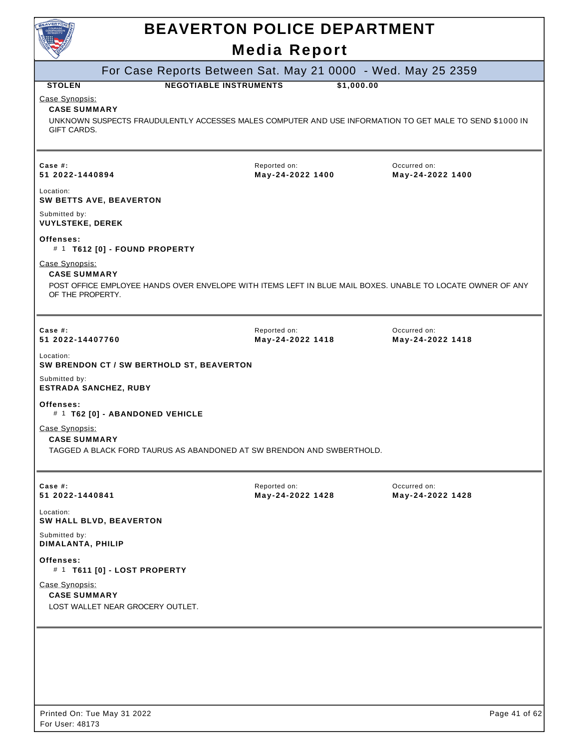|                                                                                                                                                                                                                                 |  | <b>BEAVERTON POLICE DEPARTMENT</b>                                    |                                                                                                            |  |  |  |
|---------------------------------------------------------------------------------------------------------------------------------------------------------------------------------------------------------------------------------|--|-----------------------------------------------------------------------|------------------------------------------------------------------------------------------------------------|--|--|--|
|                                                                                                                                                                                                                                 |  | <b>Media Report</b>                                                   |                                                                                                            |  |  |  |
|                                                                                                                                                                                                                                 |  | For Case Reports Between Sat. May 21 0000 - Wed. May 25 2359          |                                                                                                            |  |  |  |
| <b>NEGOTIABLE INSTRUMENTS</b><br>\$1,000.00<br><b>STOLEN</b><br>Case Synopsis:<br><b>CASE SUMMARY</b><br>UNKNOWN SUSPECTS FRAUDULENTLY ACCESSES MALES COMPUTER AND USE INFORMATION TO GET MALE TO SEND \$1000 IN<br>GIFT CARDS. |  |                                                                       |                                                                                                            |  |  |  |
| Case #:<br>51 2022-1440894                                                                                                                                                                                                      |  | Reported on:<br>May-24-2022 1400                                      | Occurred on:<br>May-24-2022 1400                                                                           |  |  |  |
| Location:<br><b>SW BETTS AVE, BEAVERTON</b>                                                                                                                                                                                     |  |                                                                       |                                                                                                            |  |  |  |
| Submitted by:<br><b>VUYLSTEKE, DEREK</b>                                                                                                                                                                                        |  |                                                                       |                                                                                                            |  |  |  |
| Offenses:<br># 1 T612 [0] - FOUND PROPERTY                                                                                                                                                                                      |  |                                                                       |                                                                                                            |  |  |  |
| Case Synopsis:<br><b>CASE SUMMARY</b><br>OF THE PROPERTY.                                                                                                                                                                       |  |                                                                       | POST OFFICE EMPLOYEE HANDS OVER ENVELOPE WITH ITEMS LEFT IN BLUE MAIL BOXES. UNABLE TO LOCATE OWNER OF ANY |  |  |  |
| Case #:<br>51 2022-14407760                                                                                                                                                                                                     |  | Reported on:<br>May-24-2022 1418                                      | Occurred on:<br>May-24-2022 1418                                                                           |  |  |  |
| Location:<br>SW BRENDON CT / SW BERTHOLD ST, BEAVERTON                                                                                                                                                                          |  |                                                                       |                                                                                                            |  |  |  |
| Submitted by:<br><b>ESTRADA SANCHEZ, RUBY</b>                                                                                                                                                                                   |  |                                                                       |                                                                                                            |  |  |  |
| Offenses:<br># 1 T62 [0] - ABANDONED VEHICLE                                                                                                                                                                                    |  |                                                                       |                                                                                                            |  |  |  |
| Case Synopsis:<br><b>CASE SUMMARY</b>                                                                                                                                                                                           |  | TAGGED A BLACK FORD TAURUS AS ABANDONED AT SW BRENDON AND SWBERTHOLD. |                                                                                                            |  |  |  |
| Case #:<br>51 2022-1440841                                                                                                                                                                                                      |  | Reported on:<br>May-24-2022 1428                                      | Occurred on:<br>May-24-2022 1428                                                                           |  |  |  |
| Location:<br>SW HALL BLVD, BEAVERTON                                                                                                                                                                                            |  |                                                                       |                                                                                                            |  |  |  |
| Submitted by:<br>DIMALANTA, PHILIP                                                                                                                                                                                              |  |                                                                       |                                                                                                            |  |  |  |
|                                                                                                                                                                                                                                 |  |                                                                       |                                                                                                            |  |  |  |
| Offenses:<br># 1 T611 [0] - LOST PROPERTY                                                                                                                                                                                       |  |                                                                       |                                                                                                            |  |  |  |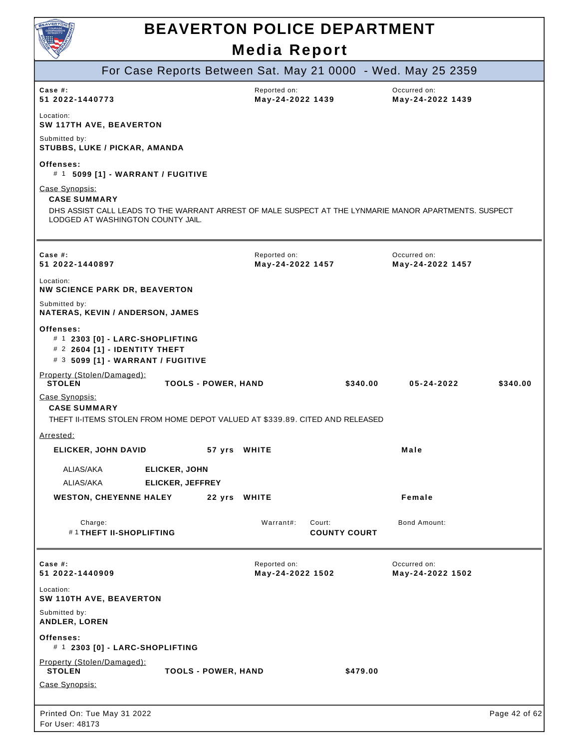

|                                                                                                                                            |                            |                                  |                               | For Case Reports Between Sat. May 21 0000 - Wed. May 25 2359 |               |
|--------------------------------------------------------------------------------------------------------------------------------------------|----------------------------|----------------------------------|-------------------------------|--------------------------------------------------------------|---------------|
| Case $#$ :<br>51 2022-1440773                                                                                                              |                            | Reported on:<br>May-24-2022 1439 |                               | Occurred on:<br>May-24-2022 1439                             |               |
| Location:<br><b>SW 117TH AVE, BEAVERTON</b>                                                                                                |                            |                                  |                               |                                                              |               |
| Submitted by:<br>STUBBS, LUKE / PICKAR, AMANDA                                                                                             |                            |                                  |                               |                                                              |               |
| Offenses:<br># 1 5099 [1] - WARRANT / FUGITIVE                                                                                             |                            |                                  |                               |                                                              |               |
| Case Synopsis:<br><b>CASE SUMMARY</b>                                                                                                      |                            |                                  |                               |                                                              |               |
| DHS ASSIST CALL LEADS TO THE WARRANT ARREST OF MALE SUSPECT AT THE LYNMARIE MANOR APARTMENTS. SUSPECT<br>LODGED AT WASHINGTON COUNTY JAIL. |                            |                                  |                               |                                                              |               |
|                                                                                                                                            |                            |                                  |                               |                                                              |               |
| Case $#$ :<br>51 2022-1440897                                                                                                              |                            | Reported on:<br>May-24-2022 1457 |                               | Occurred on:<br>May-24-2022 1457                             |               |
| Location:<br><b>NW SCIENCE PARK DR, BEAVERTON</b>                                                                                          |                            |                                  |                               |                                                              |               |
| Submitted by:<br>NATERAS, KEVIN / ANDERSON, JAMES                                                                                          |                            |                                  |                               |                                                              |               |
| Offenses:<br># 1 2303 [0] - LARC-SHOPLIFTING<br># 2 2604 [1] - IDENTITY THEFT<br># 3 5099 [1] - WARRANT / FUGITIVE                         |                            |                                  |                               |                                                              |               |
| Property (Stolen/Damaged):<br><b>STOLEN</b>                                                                                                | <b>TOOLS - POWER, HAND</b> |                                  | \$340.00                      | 05-24-2022                                                   | \$340.00      |
| Case Synopsis:<br><b>CASE SUMMARY</b><br>THEFT II-ITEMS STOLEN FROM HOME DEPOT VALUED AT \$339.89. CITED AND RELEASED                      |                            |                                  |                               |                                                              |               |
| Arrested:                                                                                                                                  |                            |                                  |                               |                                                              |               |
| <b>ELICKER, JOHN DAVID</b>                                                                                                                 |                            | 57 yrs WHITE                     |                               | Male                                                         |               |
| ALIAS/AKA<br><b>ELICKER, JOHN</b>                                                                                                          |                            |                                  |                               |                                                              |               |
| ALIAS/AKA<br><b>ELICKER, JEFFREY</b>                                                                                                       |                            |                                  |                               |                                                              |               |
| <b>WESTON, CHEYENNE HALEY</b>                                                                                                              |                            | 22 yrs WHITE                     |                               | Female                                                       |               |
| Charge:<br>#1THEFT II-SHOPLIFTING                                                                                                          |                            | Warrant#:                        | Court:<br><b>COUNTY COURT</b> | Bond Amount:                                                 |               |
| Case $#$ :<br>51 2022-1440909                                                                                                              |                            | Reported on:<br>May-24-2022 1502 |                               | Occurred on:<br>May-24-2022 1502                             |               |
| Location:<br>SW 110TH AVE, BEAVERTON                                                                                                       |                            |                                  |                               |                                                              |               |
| Submitted by:<br>ANDLER, LOREN                                                                                                             |                            |                                  |                               |                                                              |               |
| Offenses:<br># 1 2303 [0] - LARC-SHOPLIFTING                                                                                               |                            |                                  |                               |                                                              |               |
| Property (Stolen/Damaged):<br><b>STOLEN</b>                                                                                                | <b>TOOLS - POWER, HAND</b> |                                  | \$479.00                      |                                                              |               |
| Case Synopsis:                                                                                                                             |                            |                                  |                               |                                                              |               |
| Printed On: Tue May 31 2022<br>For User: 48173                                                                                             |                            |                                  |                               |                                                              | Page 42 of 62 |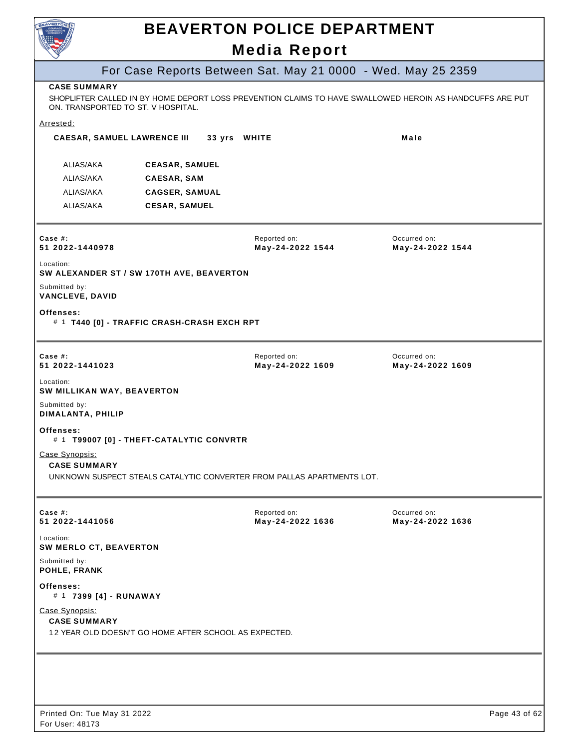

۰

## **BEAVERTON POLICE DEPARTMENT**

### **Media Report**

|                                                |                                             | <b>INGUIA IVEPULI</b>                                                  |                                                                                                          |
|------------------------------------------------|---------------------------------------------|------------------------------------------------------------------------|----------------------------------------------------------------------------------------------------------|
|                                                |                                             | For Case Reports Between Sat. May 21 0000 - Wed. May 25 2359           |                                                                                                          |
| <b>CASE SUMMARY</b>                            | ON. TRANSPORTED TO ST. V HOSPITAL.          |                                                                        | SHOPLIFTER CALLED IN BY HOME DEPORT LOSS PREVENTION CLAIMS TO HAVE SWALLOWED HEROIN AS HANDCUFFS ARE PUT |
| <u>Arrested:</u>                               |                                             |                                                                        |                                                                                                          |
|                                                | <b>CAESAR, SAMUEL LAWRENCE III</b>          | 33 yrs WHITE                                                           | Male                                                                                                     |
| ALIAS/AKA                                      | <b>CEASAR, SAMUEL</b>                       |                                                                        |                                                                                                          |
| ALIAS/AKA                                      | CAESAR, SAM                                 |                                                                        |                                                                                                          |
| ALIAS/AKA                                      | <b>CAGSER, SAMUAL</b>                       |                                                                        |                                                                                                          |
| ALIAS/AKA                                      | <b>CESAR, SAMUEL</b>                        |                                                                        |                                                                                                          |
| Case #:<br>51 2022-1440978                     |                                             | Reported on:<br>May-24-2022 1544                                       | Occurred on:<br>May-24-2022 1544                                                                         |
| Location:                                      | SW ALEXANDER ST / SW 170TH AVE, BEAVERTON   |                                                                        |                                                                                                          |
| Submitted by:<br><b>VANCLEVE, DAVID</b>        |                                             |                                                                        |                                                                                                          |
| Offenses:                                      | # 1 T440 [0] - TRAFFIC CRASH-CRASH EXCH RPT |                                                                        |                                                                                                          |
| Case $#$ :<br>51 2022-1441023                  |                                             | Reported on:<br>May-24-2022 1609                                       | Occurred on:<br>May-24-2022 1609                                                                         |
| Location:<br><b>SW MILLIKAN WAY, BEAVERTON</b> |                                             |                                                                        |                                                                                                          |
| Submitted by:<br>DIMALANTA, PHILIP             |                                             |                                                                        |                                                                                                          |
| Offenses:                                      | # 1 T99007 [0] - THEFT-CATALYTIC CONVRTR    |                                                                        |                                                                                                          |
| Case Synopsis:<br><b>CASE SUMMARY</b>          |                                             | UNKNOWN SUSPECT STEALS CATALYTIC CONVERTER FROM PALLAS APARTMENTS LOT. |                                                                                                          |
| Case $#$ :<br>51 2022-1441056                  |                                             | Reported on:<br>May-24-2022 1636                                       | Occurred on:<br>May-24-2022 1636                                                                         |
| Location:<br>SW MERLO CT, BEAVERTON            |                                             |                                                                        |                                                                                                          |
| Submitted by:<br>POHLE, FRANK                  |                                             |                                                                        |                                                                                                          |
| Offenses:<br># 1 7399 [4] - RUNAWAY            |                                             |                                                                        |                                                                                                          |
| Case Synopsis:<br><b>CASE SUMMARY</b>          |                                             | 12 YEAR OLD DOESN'T GO HOME AFTER SCHOOL AS EXPECTED.                  |                                                                                                          |
|                                                |                                             |                                                                        |                                                                                                          |
|                                                |                                             |                                                                        |                                                                                                          |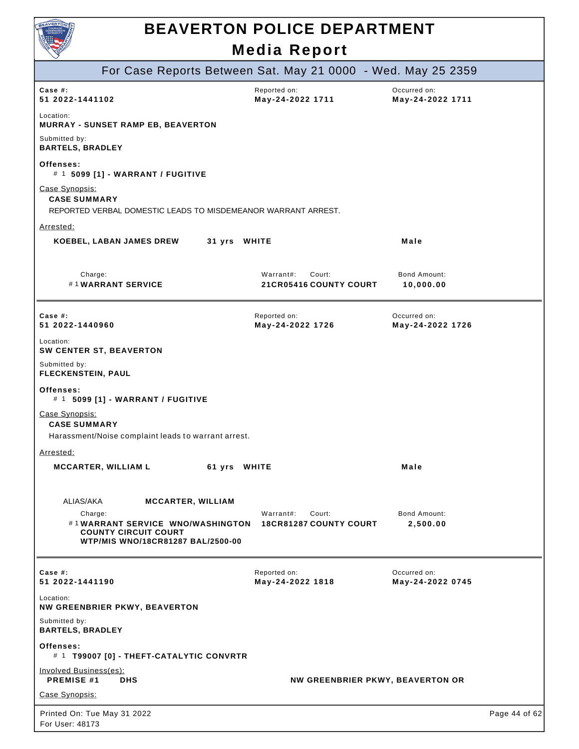

| $\smallsmile$                                                                                                          | 5 1 1 1 1                                            |                                  |               |
|------------------------------------------------------------------------------------------------------------------------|------------------------------------------------------|----------------------------------|---------------|
| For Case Reports Between Sat. May 21 0000 - Wed. May 25 2359                                                           |                                                      |                                  |               |
| Case #:<br>51 2022-1441102                                                                                             | Reported on:<br>May-24-2022 1711                     | Occurred on:<br>May-24-2022 1711 |               |
| Location:<br><b>MURRAY - SUNSET RAMP EB, BEAVERTON</b>                                                                 |                                                      |                                  |               |
| Submitted by:<br><b>BARTELS, BRADLEY</b>                                                                               |                                                      |                                  |               |
| Offenses:<br># 1 5099 [1] - WARRANT / FUGITIVE                                                                         |                                                      |                                  |               |
| Case Synopsis:<br><b>CASE SUMMARY</b><br>REPORTED VERBAL DOMESTIC LEADS TO MISDEMEANOR WARRANT ARREST.                 |                                                      |                                  |               |
| Arrested:                                                                                                              |                                                      |                                  |               |
| <b>KOEBEL, LABAN JAMES DREW</b><br>31 yrs WHITE                                                                        |                                                      | Male                             |               |
| Charge:<br>#1WARRANT SERVICE                                                                                           | Warrant#:<br>Court:<br>21 CR05416 COUNTY COURT       | Bond Amount:<br>10,000.00        |               |
| Case #:<br>51 2022-1440960                                                                                             | Reported on:<br>May-24-2022 1726                     | Occurred on:<br>May-24-2022 1726 |               |
| Location:<br><b>SW CENTER ST, BEAVERTON</b>                                                                            |                                                      |                                  |               |
| Submitted by:<br>FLECKENSTEIN, PAUL                                                                                    |                                                      |                                  |               |
| Offenses:<br># 1 5099 [1] - WARRANT / FUGITIVE                                                                         |                                                      |                                  |               |
| Case Synopsis:<br><b>CASE SUMMARY</b>                                                                                  |                                                      |                                  |               |
| Harassment/Noise complaint leads to warrant arrest.                                                                    |                                                      |                                  |               |
| Arrested:                                                                                                              |                                                      |                                  |               |
| <b>MCCARTER, WILLIAM L</b><br>61 yrs WHITE                                                                             |                                                      | Male                             |               |
| ALIAS/AKA<br><b>MCCARTER, WILLIAM</b>                                                                                  |                                                      |                                  |               |
| Charge:<br>#1WARRANT SERVICE WNO/WASHINGTON<br><b>COUNTY CIRCUIT COURT</b><br><b>WTP/MIS WNO/18CR81287 BAL/2500-00</b> | Warrant#:<br>Court:<br><b>18CR81287 COUNTY COURT</b> | Bond Amount:<br>2,500.00         |               |
| Case $#$ :<br>51 2022-1441190                                                                                          | Reported on:<br>May-24-2022 1818                     | Occurred on:<br>May-24-2022 0745 |               |
| Location:<br>NW GREENBRIER PKWY, BEAVERTON                                                                             |                                                      |                                  |               |
| Submitted by:<br><b>BARTELS, BRADLEY</b>                                                                               |                                                      |                                  |               |
| Offenses:<br># 1 T99007 [0] - THEFT-CATALYTIC CONVRTR                                                                  |                                                      |                                  |               |
| Involved Business(es):<br><b>PREMISE #1</b><br><b>DHS</b>                                                              | NW GREENBRIER PKWY, BEAVERTON OR                     |                                  |               |
| Case Synopsis:                                                                                                         |                                                      |                                  |               |
| Printed On: Tue May 31 2022<br>For User: 48173                                                                         |                                                      |                                  | Page 44 of 62 |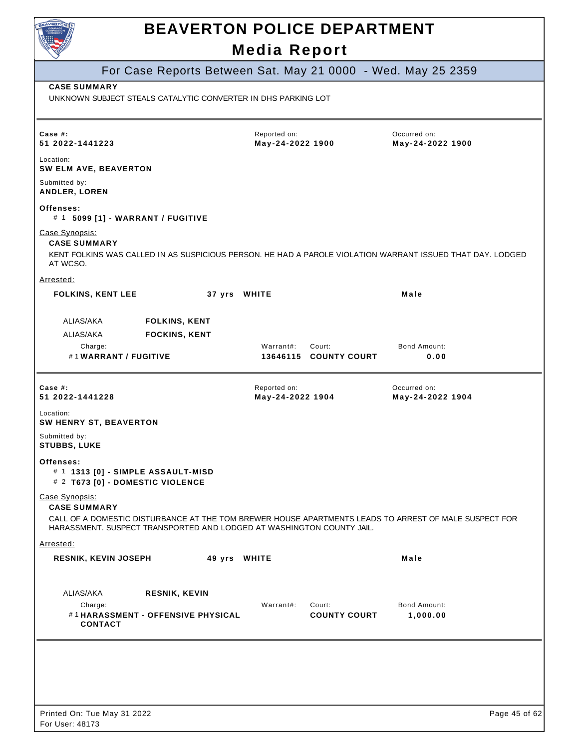|                                                                                                                                                                                |                                              | <b>Media Report</b>              | <b>BEAVERTON POLICE DEPARTMENT</b> |                                                              |  |
|--------------------------------------------------------------------------------------------------------------------------------------------------------------------------------|----------------------------------------------|----------------------------------|------------------------------------|--------------------------------------------------------------|--|
|                                                                                                                                                                                |                                              |                                  |                                    |                                                              |  |
| <b>CASE SUMMARY</b>                                                                                                                                                            |                                              |                                  |                                    | For Case Reports Between Sat. May 21 0000 - Wed. May 25 2359 |  |
| UNKNOWN SUBJECT STEALS CATALYTIC CONVERTER IN DHS PARKING LOT                                                                                                                  |                                              |                                  |                                    |                                                              |  |
| Case $#$ :<br>51 2022-1441223                                                                                                                                                  |                                              | Reported on:<br>May-24-2022 1900 |                                    | Occurred on:<br>May-24-2022 1900                             |  |
| Location:<br>SW ELM AVE, BEAVERTON                                                                                                                                             |                                              |                                  |                                    |                                                              |  |
| Submitted by:<br><b>ANDLER, LOREN</b>                                                                                                                                          |                                              |                                  |                                    |                                                              |  |
| Offenses:<br># 1 5099 [1] - WARRANT / FUGITIVE                                                                                                                                 |                                              |                                  |                                    |                                                              |  |
| Case Synopsis:<br><b>CASE SUMMARY</b>                                                                                                                                          |                                              |                                  |                                    |                                                              |  |
| KENT FOLKINS WAS CALLED IN AS SUSPICIOUS PERSON. HE HAD A PAROLE VIOLATION WARRANT ISSUED THAT DAY. LODGED<br>AT WCSO.                                                         |                                              |                                  |                                    |                                                              |  |
| Arrested:                                                                                                                                                                      |                                              |                                  |                                    |                                                              |  |
| <b>FOLKINS, KENT LEE</b>                                                                                                                                                       | 37 yrs WHITE                                 |                                  |                                    | Male                                                         |  |
| ALIAS/AKA<br>ALIAS/AKA                                                                                                                                                         | <b>FOLKINS, KENT</b><br><b>FOCKINS, KENT</b> |                                  |                                    |                                                              |  |
| Charge:<br>#1WARRANT / FUGITIVE                                                                                                                                                |                                              | Warrant#:                        | Court:<br>13646115 COUNTY COURT    | <b>Bond Amount:</b><br>0.00                                  |  |
| Case $#$ :<br>51 2022-1441228                                                                                                                                                  |                                              | Reported on:<br>May-24-2022 1904 |                                    | Occurred on:<br>May-24-2022 1904                             |  |
| Location:<br><b>SW HENRY ST, BEAVERTON</b>                                                                                                                                     |                                              |                                  |                                    |                                                              |  |
| Submitted by:<br><b>STUBBS, LUKE</b>                                                                                                                                           |                                              |                                  |                                    |                                                              |  |
| Offenses:<br># 1 1313 [0] - SIMPLE ASSAULT-MISD<br># 2 T673 [0] - DOMESTIC VIOLENCE                                                                                            |                                              |                                  |                                    |                                                              |  |
| Case Synopsis:<br><b>CASE SUMMARY</b>                                                                                                                                          |                                              |                                  |                                    |                                                              |  |
| CALL OF A DOMESTIC DISTURBANCE AT THE TOM BREWER HOUSE APARTMENTS LEADS TO ARREST OF MALE SUSPECT FOR<br>HARASSMENT, SUSPECT TRANSPORTED AND LODGED AT WASHINGTON COUNTY JAIL. |                                              |                                  |                                    |                                                              |  |
| Arrested:<br><b>RESNIK, KEVIN JOSEPH</b>                                                                                                                                       | 49 yrs WHITE                                 |                                  |                                    | Male                                                         |  |
|                                                                                                                                                                                |                                              |                                  |                                    |                                                              |  |
| ALIAS/AKA                                                                                                                                                                      | <b>RESNIK, KEVIN</b>                         |                                  |                                    |                                                              |  |
| Charge:<br>#1HARASSMENT - OFFENSIVE PHYSICAL<br><b>CONTACT</b>                                                                                                                 |                                              | Warrant#:                        | Court:<br><b>COUNTY COURT</b>      | <b>Bond Amount:</b><br>1,000.00                              |  |
|                                                                                                                                                                                |                                              |                                  |                                    |                                                              |  |
|                                                                                                                                                                                |                                              |                                  |                                    |                                                              |  |
|                                                                                                                                                                                |                                              |                                  |                                    |                                                              |  |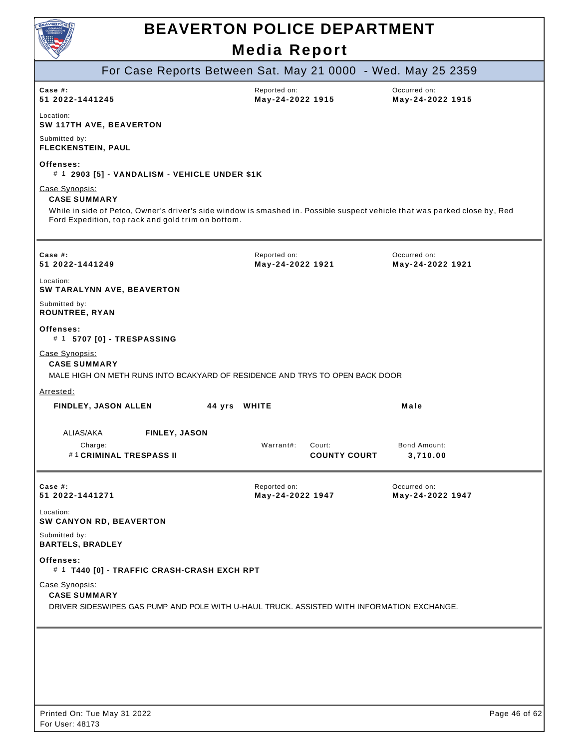

| $\smallsmile$                                                                                                                                                                                                             |                                                              |                                  |
|---------------------------------------------------------------------------------------------------------------------------------------------------------------------------------------------------------------------------|--------------------------------------------------------------|----------------------------------|
|                                                                                                                                                                                                                           | For Case Reports Between Sat. May 21 0000 - Wed. May 25 2359 |                                  |
| Case #:<br>51 2022-1441245                                                                                                                                                                                                | Reported on:<br>May-24-2022 1915                             | Occurred on:<br>May-24-2022 1915 |
| Location:<br>SW 117TH AVE, BEAVERTON                                                                                                                                                                                      |                                                              |                                  |
| Submitted by:<br>FLECKENSTEIN, PAUL                                                                                                                                                                                       |                                                              |                                  |
| Offenses:<br># 1 2903 [5] - VANDALISM - VEHICLE UNDER \$1K                                                                                                                                                                |                                                              |                                  |
| Case Synopsis:<br><b>CASE SUMMARY</b><br>While in side of Petco, Owner's driver's side window is smashed in. Possible suspect vehicle that was parked close by, Red<br>Ford Expedition, top rack and gold trim on bottom. |                                                              |                                  |
|                                                                                                                                                                                                                           |                                                              |                                  |
| Case $#$ :<br>51 2022-1441249                                                                                                                                                                                             | Reported on:<br>May-24-2022 1921                             | Occurred on:<br>May-24-2022 1921 |
| Location:<br>SW TARALYNN AVE, BEAVERTON                                                                                                                                                                                   |                                                              |                                  |
| Submitted by:<br><b>ROUNTREE, RYAN</b>                                                                                                                                                                                    |                                                              |                                  |
| Offenses:<br># 1 5707 [0] - TRESPASSING                                                                                                                                                                                   |                                                              |                                  |
| Case Synopsis:<br><b>CASE SUMMARY</b><br>MALE HIGH ON METH RUNS INTO BCAKYARD OF RESIDENCE AND TRYS TO OPEN BACK DOOR                                                                                                     |                                                              |                                  |
| Arrested:                                                                                                                                                                                                                 |                                                              |                                  |
| <b>FINDLEY, JASON ALLEN</b>                                                                                                                                                                                               | 44 yrs WHITE                                                 | Male                             |
| ALIAS/AKA<br>FINLEY, JASON                                                                                                                                                                                                |                                                              |                                  |
| Charge:<br>#1 CRIMINAL TRESPASS II                                                                                                                                                                                        | Warrant#:<br>Court:<br><b>COUNTY COURT</b>                   | Bond Amount:<br>3,710.00         |
| Case #:<br>51 2022-1441271                                                                                                                                                                                                | Reported on:<br>May-24-2022 1947                             | Occurred on:<br>May-24-2022 1947 |
| Location:<br>SW CANYON RD, BEAVERTON                                                                                                                                                                                      |                                                              |                                  |
| Submitted by:<br><b>BARTELS, BRADLEY</b>                                                                                                                                                                                  |                                                              |                                  |
| Offenses:<br># 1 T440 [0] - TRAFFIC CRASH-CRASH EXCH RPT                                                                                                                                                                  |                                                              |                                  |
| Case Synopsis:<br><b>CASE SUMMARY</b><br>DRIVER SIDESWIPES GAS PUMP AND POLE WITH U-HAUL TRUCK. ASSISTED WITH INFORMATION EXCHANGE.                                                                                       |                                                              |                                  |
|                                                                                                                                                                                                                           |                                                              |                                  |
|                                                                                                                                                                                                                           |                                                              |                                  |
|                                                                                                                                                                                                                           |                                                              |                                  |
| Printed On: Tue May 31 2022                                                                                                                                                                                               |                                                              | Page 46 of 62                    |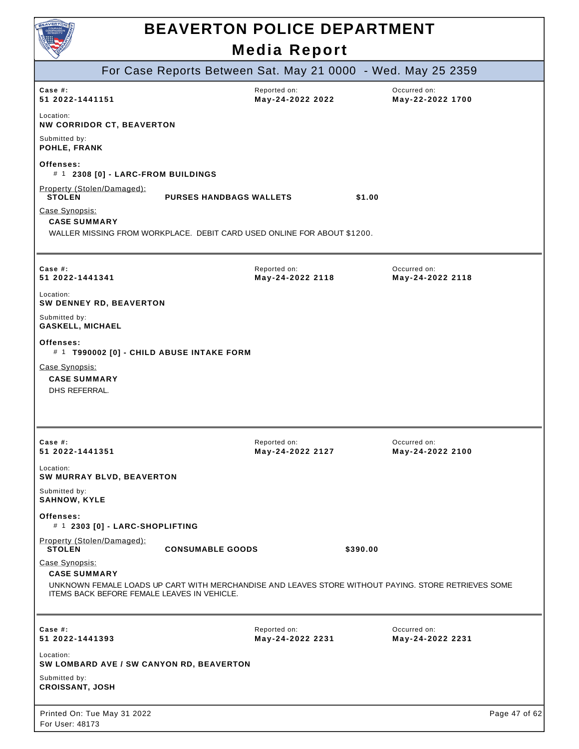| VERTON                              |  |
|-------------------------------------|--|
| <b>COURAGE</b><br><b>COMPASSION</b> |  |
|                                     |  |
|                                     |  |
|                                     |  |
|                                     |  |

|                                                                                      |                                | For Case Reports Between Sat. May 21 0000 - Wed. May 25 2359                                        |                                  |               |
|--------------------------------------------------------------------------------------|--------------------------------|-----------------------------------------------------------------------------------------------------|----------------------------------|---------------|
| Case #:<br>51 2022-1441151                                                           |                                | Reported on:<br>May-24-2022 2022                                                                    | Occurred on:<br>May-22-2022 1700 |               |
| Location:<br><b>NW CORRIDOR CT, BEAVERTON</b>                                        |                                |                                                                                                     |                                  |               |
| Submitted by:<br>POHLE, FRANK                                                        |                                |                                                                                                     |                                  |               |
| Offenses:<br># 1 2308 [0] - LARC-FROM BUILDINGS                                      |                                |                                                                                                     |                                  |               |
| Property (Stolen/Damaged):<br><b>STOLEN</b>                                          | <b>PURSES HANDBAGS WALLETS</b> | \$1.00                                                                                              |                                  |               |
| Case Synopsis:<br><b>CASE SUMMARY</b>                                                |                                | WALLER MISSING FROM WORKPLACE. DEBIT CARD USED ONLINE FOR ABOUT \$1200.                             |                                  |               |
|                                                                                      |                                |                                                                                                     |                                  |               |
| Case #:<br>51 2022-1441341                                                           |                                | Reported on:<br>May-24-2022 2118                                                                    | Occurred on:<br>May-24-2022 2118 |               |
| Location:<br><b>SW DENNEY RD, BEAVERTON</b>                                          |                                |                                                                                                     |                                  |               |
| Submitted by:<br><b>GASKELL, MICHAEL</b>                                             |                                |                                                                                                     |                                  |               |
| Offenses:<br># 1 T990002 [0] - CHILD ABUSE INTAKE FORM                               |                                |                                                                                                     |                                  |               |
| Case Synopsis:<br><b>CASE SUMMARY</b><br>DHS REFERRAL.                               |                                |                                                                                                     |                                  |               |
|                                                                                      |                                |                                                                                                     |                                  |               |
| Case #:<br>51 2022-1441351                                                           |                                | Reported on:<br>May-24-2022 2127                                                                    | Occurred on:<br>May-24-2022 2100 |               |
| Location:<br>SW MURRAY BLVD, BEAVERTON                                               |                                |                                                                                                     |                                  |               |
| Submitted by:<br><b>SAHNOW, KYLE</b>                                                 |                                |                                                                                                     |                                  |               |
| Offenses:<br># 1 2303 [0] - LARC-SHOPLIFTING                                         |                                |                                                                                                     |                                  |               |
| Property (Stolen/Damaged):<br><b>STOLEN</b>                                          | <b>CONSUMABLE GOODS</b>        | \$390.00                                                                                            |                                  |               |
| Case Synopsis:<br><b>CASE SUMMARY</b><br>ITEMS BACK BEFORE FEMALE LEAVES IN VEHICLE. |                                | UNKNOWN FEMALE LOADS UP CART WITH MERCHANDISE AND LEAVES STORE WITHOUT PAYING. STORE RETRIEVES SOME |                                  |               |
|                                                                                      |                                |                                                                                                     |                                  |               |
| Case #:<br>51 2022-1441393                                                           |                                | Reported on:<br>May-24-2022 2231                                                                    | Occurred on:<br>May-24-2022 2231 |               |
| Location:<br>SW LOMBARD AVE / SW CANYON RD, BEAVERTON                                |                                |                                                                                                     |                                  |               |
| Submitted by:<br><b>CROISSANT, JOSH</b>                                              |                                |                                                                                                     |                                  |               |
| Printed On: Tue May 31 2022<br>For User: 48173                                       |                                |                                                                                                     |                                  | Page 47 of 62 |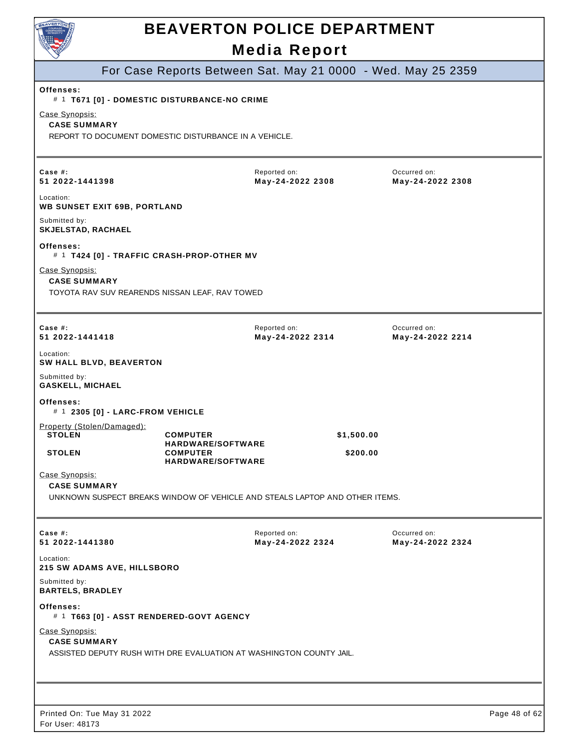| <b>AVERTO</b>                                                                           | <b>BEAVERTON POLICE DEPARTMENT</b>                                          |                                  |                                                              |               |
|-----------------------------------------------------------------------------------------|-----------------------------------------------------------------------------|----------------------------------|--------------------------------------------------------------|---------------|
|                                                                                         |                                                                             |                                  |                                                              |               |
|                                                                                         |                                                                             | <b>Media Report</b>              |                                                              |               |
|                                                                                         |                                                                             |                                  | For Case Reports Between Sat. May 21 0000 - Wed. May 25 2359 |               |
| Offenses:                                                                               | # 1 T671 [0] - DOMESTIC DISTURBANCE-NO CRIME                                |                                  |                                                              |               |
| Case Synopsis:<br><b>CASE SUMMARY</b>                                                   | REPORT TO DOCUMENT DOMESTIC DISTURBANCE IN A VEHICLE.                       |                                  |                                                              |               |
| Case $#$ :<br>51 2022-1441398                                                           |                                                                             | Reported on:<br>May-24-2022 2308 | Occurred on:<br>May-24-2022 2308                             |               |
| Location:<br><b>WB SUNSET EXIT 69B, PORTLAND</b>                                        |                                                                             |                                  |                                                              |               |
| Submitted by:<br>SKJELSTAD, RACHAEL                                                     |                                                                             |                                  |                                                              |               |
| Offenses:<br># 1 T424 [0] - TRAFFIC CRASH-PROP-OTHER MV                                 |                                                                             |                                  |                                                              |               |
| Case Synopsis:<br><b>CASE SUMMARY</b><br>TOYOTA RAV SUV REARENDS NISSAN LEAF, RAV TOWED |                                                                             |                                  |                                                              |               |
| Case $#$ :<br>51 2022-1441418                                                           |                                                                             | Reported on:<br>May-24-2022 2314 | Occurred on:<br>May-24-2022 2214                             |               |
| Location:<br>SW HALL BLVD, BEAVERTON                                                    |                                                                             |                                  |                                                              |               |
| Submitted by:<br><b>GASKELL, MICHAEL</b>                                                |                                                                             |                                  |                                                              |               |
| Offenses:<br># 1 2305 [0] - LARC-FROM VEHICLE                                           |                                                                             |                                  |                                                              |               |
| Property (Stolen/Damaged):<br><b>STOLEN</b>                                             | <b>COMPUTER</b>                                                             |                                  | \$1,500.00                                                   |               |
| <b>STOLEN</b>                                                                           | <b>HARDWARE/SOFTWARE</b><br><b>COMPUTER</b><br><b>HARDWARE/SOFTWARE</b>     |                                  | \$200.00                                                     |               |
| Case Synopsis:<br><b>CASE SUMMARY</b>                                                   | UNKNOWN SUSPECT BREAKS WINDOW OF VEHICLE AND STEALS LAPTOP AND OTHER ITEMS. |                                  |                                                              |               |
| Case $#$ :<br>51 2022-1441380                                                           |                                                                             | Reported on:<br>May-24-2022 2324 | Occurred on:<br>May-24-2022 2324                             |               |
| Location:<br><b>215 SW ADAMS AVE, HILLSBORO</b>                                         |                                                                             |                                  |                                                              |               |
| Submitted by:<br><b>BARTELS, BRADLEY</b>                                                |                                                                             |                                  |                                                              |               |
| Offenses:<br># 1 T663 [0] - ASST RENDERED-GOVT AGENCY                                   |                                                                             |                                  |                                                              |               |
| Case Synopsis:<br><b>CASE SUMMARY</b>                                                   | ASSISTED DEPUTY RUSH WITH DRE EVALUATION AT WASHINGTON COUNTY JAIL.         |                                  |                                                              |               |
|                                                                                         |                                                                             |                                  |                                                              |               |
| Printed On: Tue May 31 2022<br>For User: 48173                                          |                                                                             |                                  |                                                              | Page 48 of 62 |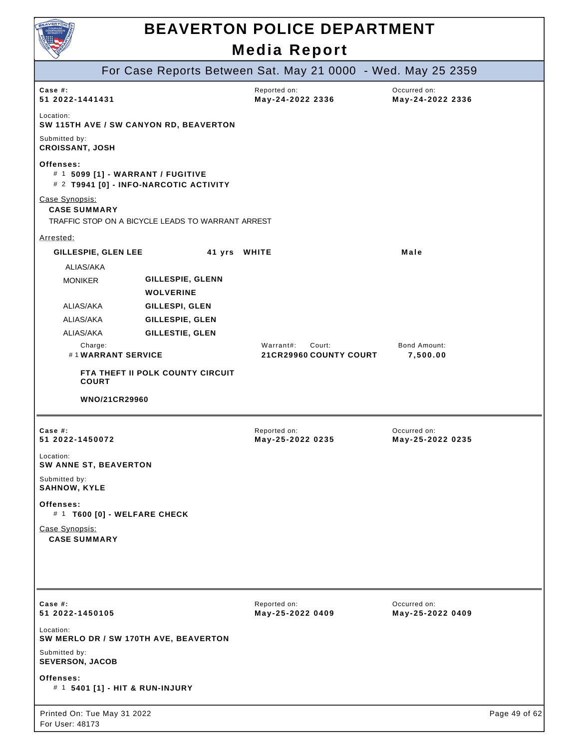

|                                                     |                                                   | For Case Reports Between Sat. May 21 0000 - Wed. May 25 2359 |                                  |               |
|-----------------------------------------------------|---------------------------------------------------|--------------------------------------------------------------|----------------------------------|---------------|
| Case #:<br>51 2022-1441431                          |                                                   | Reported on:<br>May-24-2022 2336                             | Occurred on:<br>May-24-2022 2336 |               |
| Location:<br>SW 115TH AVE / SW CANYON RD, BEAVERTON |                                                   |                                                              |                                  |               |
| Submitted by:<br><b>CROISSANT, JOSH</b>             |                                                   |                                                              |                                  |               |
| Offenses:<br># 1 5099 [1] - WARRANT / FUGITIVE      | # 2 T9941 [0] - INFO-NARCOTIC ACTIVITY            |                                                              |                                  |               |
| Case Synopsis:<br><b>CASE SUMMARY</b>               | TRAFFIC STOP ON A BICYCLE LEADS TO WARRANT ARREST |                                                              |                                  |               |
| Arrested:                                           |                                                   |                                                              |                                  |               |
| GILLESPIE, GLEN LEE                                 | 41 yrs WHITE                                      |                                                              | Male                             |               |
| ALIAS/AKA                                           |                                                   |                                                              |                                  |               |
| <b>MONIKER</b>                                      | GILLESPIE, GLENN<br><b>WOLVERINE</b>              |                                                              |                                  |               |
| ALIAS/AKA                                           | GILLESPI, GLEN                                    |                                                              |                                  |               |
| ALIAS/AKA                                           | GILLESPIE, GLEN                                   |                                                              |                                  |               |
| ALIAS/AKA                                           | GILLESTIE, GLEN                                   |                                                              |                                  |               |
| Charge:<br>#1WARRANT SERVICE                        |                                                   | Warrant#:<br>Court:<br>21 CR29960 COUNTY COURT               | Bond Amount:<br>7,500.00         |               |
| <b>COURT</b>                                        | FTA THEFT II POLK COUNTY CIRCUIT                  |                                                              |                                  |               |
| WNO/21CR29960                                       |                                                   |                                                              |                                  |               |
|                                                     |                                                   |                                                              |                                  |               |
| Case #:<br>51 2022-1450072                          |                                                   | Reported on:<br>May-25-2022 0235                             | Occurred on:<br>May-25-2022 0235 |               |
| Location:<br>SW ANNE ST, BEAVERTON                  |                                                   |                                                              |                                  |               |
| Submitted by:<br><b>SAHNOW, KYLE</b>                |                                                   |                                                              |                                  |               |
| Offenses:<br># 1 T600 [0] - WELFARE CHECK           |                                                   |                                                              |                                  |               |
| Case Synopsis:<br><b>CASE SUMMARY</b>               |                                                   |                                                              |                                  |               |
|                                                     |                                                   |                                                              |                                  |               |
|                                                     |                                                   |                                                              |                                  |               |
| Case #:<br>51 2022-1450105                          |                                                   | Reported on:<br>May-25-2022 0409                             | Occurred on:<br>May-25-2022 0409 |               |
| Location:<br>SW MERLO DR / SW 170TH AVE, BEAVERTON  |                                                   |                                                              |                                  |               |
| Submitted by:<br><b>SEVERSON, JACOB</b>             |                                                   |                                                              |                                  |               |
| Offenses:<br># 1 5401 [1] - HIT & RUN-INJURY        |                                                   |                                                              |                                  |               |
| Printed On: Tue May 31 2022<br>For User: 48173      |                                                   |                                                              |                                  | Page 49 of 62 |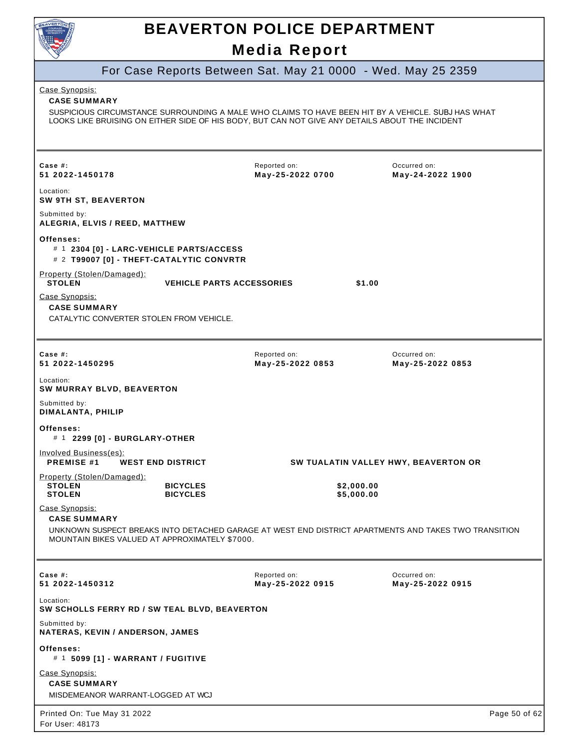

|                                                                                                                                                                                                                                                | For Case Reports Between Sat. May 21 0000 - Wed. May 25 2359 |                                                                                                      |
|------------------------------------------------------------------------------------------------------------------------------------------------------------------------------------------------------------------------------------------------|--------------------------------------------------------------|------------------------------------------------------------------------------------------------------|
| Case Synopsis:<br><b>CASE SUMMARY</b><br>SUSPICIOUS CIRCUMSTANCE SURROUNDING A MALE WHO CLAIMS TO HAVE BEEN HIT BY A VEHICLE. SUBJ HAS WHAT<br>LOOKS LIKE BRUISING ON EITHER SIDE OF HIS BODY, BUT CAN NOT GIVE ANY DETAILS ABOUT THE INCIDENT |                                                              |                                                                                                      |
| Case  #:<br>51 2022-1450178                                                                                                                                                                                                                    | Reported on:<br>May-25-2022 0700                             | Occurred on:<br>May-24-2022 1900                                                                     |
| Location:<br><b>SW 9TH ST, BEAVERTON</b>                                                                                                                                                                                                       |                                                              |                                                                                                      |
| Submitted by:<br>ALEGRIA, ELVIS / REED, MATTHEW                                                                                                                                                                                                |                                                              |                                                                                                      |
| Offenses:<br># 1 2304 [0] - LARC-VEHICLE PARTS/ACCESS<br># 2 T99007 [0] - THEFT-CATALYTIC CONVRTR                                                                                                                                              |                                                              |                                                                                                      |
| Property (Stolen/Damaged):<br><b>STOLEN</b>                                                                                                                                                                                                    | <b>VEHICLE PARTS ACCESSORIES</b>                             | \$1.00                                                                                               |
| Case Synopsis:<br><b>CASE SUMMARY</b><br>CATALYTIC CONVERTER STOLEN FROM VEHICLE.                                                                                                                                                              |                                                              |                                                                                                      |
| Case $#$ :<br>51 2022-1450295                                                                                                                                                                                                                  | Reported on:<br>May-25-2022 0853                             | Occurred on:<br>May-25-2022 0853                                                                     |
| Location:<br>SW MURRAY BLVD, BEAVERTON                                                                                                                                                                                                         |                                                              |                                                                                                      |
| Submitted by:<br>DIMALANTA, PHILIP                                                                                                                                                                                                             |                                                              |                                                                                                      |
| Offenses:<br># 1 2299 [0] - BURGLARY-OTHER                                                                                                                                                                                                     |                                                              |                                                                                                      |
| Involved Business(es):<br><b>PREMISE #1</b><br><b>WEST END DISTRICT</b>                                                                                                                                                                        |                                                              | SW TUALATIN VALLEY HWY, BEAVERTON OR                                                                 |
| Property (Stolen/Damaged):<br><b>STOLEN</b><br><b>BICYCLES</b><br><b>BICYCLES</b><br><b>STOLEN</b>                                                                                                                                             | \$2,000.00<br>\$5,000.00                                     |                                                                                                      |
| Case Synopsis:<br><b>CASE SUMMARY</b>                                                                                                                                                                                                          |                                                              |                                                                                                      |
| MOUNTAIN BIKES VALUED AT APPROXIMATELY \$7000.                                                                                                                                                                                                 |                                                              | UNKNOWN SUSPECT BREAKS INTO DETACHED GARAGE AT WEST END DISTRICT APARTMENTS AND TAKES TWO TRANSITION |
| Case $#$ :<br>51 2022-1450312                                                                                                                                                                                                                  | Reported on:<br>May-25-2022 0915                             | Occurred on:<br>May-25-2022 0915                                                                     |
| Location:<br>SW SCHOLLS FERRY RD / SW TEAL BLVD, BEAVERTON                                                                                                                                                                                     |                                                              |                                                                                                      |
| Submitted by:<br>NATERAS, KEVIN / ANDERSON, JAMES                                                                                                                                                                                              |                                                              |                                                                                                      |
| Offenses:<br># 1 5099 [1] - WARRANT / FUGITIVE                                                                                                                                                                                                 |                                                              |                                                                                                      |
| Case Synopsis:<br><b>CASE SUMMARY</b><br>MISDEMEANOR WARRANT-LOGGED AT WCJ                                                                                                                                                                     |                                                              |                                                                                                      |
| Printed On: Tue May 31 2022<br>For User: 48173                                                                                                                                                                                                 |                                                              | Page 50 of 62                                                                                        |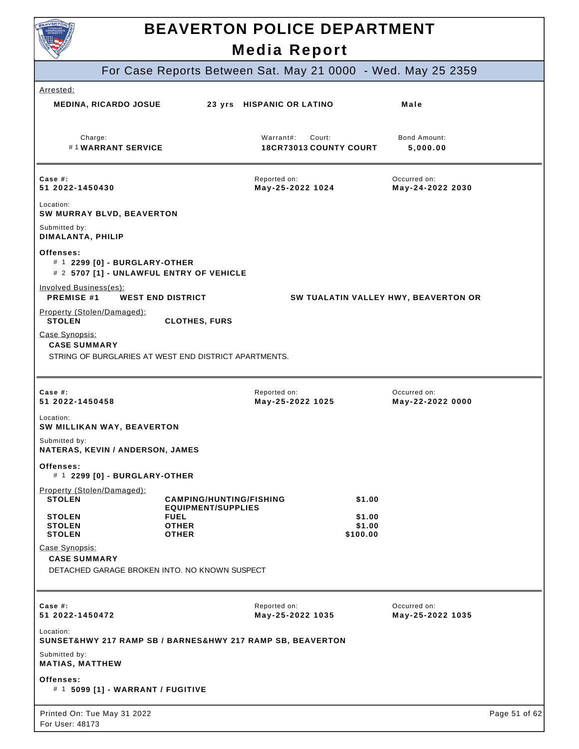

## **BEAVERTON POLICE DEPARTMENT**

|                                                                                                |                                                             | <b>Media Report</b>                           |                                                              |               |
|------------------------------------------------------------------------------------------------|-------------------------------------------------------------|-----------------------------------------------|--------------------------------------------------------------|---------------|
|                                                                                                |                                                             |                                               | For Case Reports Between Sat. May 21 0000 - Wed. May 25 2359 |               |
| Arrested:                                                                                      |                                                             |                                               |                                                              |               |
| <b>MEDINA, RICARDO JOSUE</b>                                                                   |                                                             | 23 yrs HISPANIC OR LATINO                     | Male                                                         |               |
| Charge:<br>#1WARRANT SERVICE                                                                   |                                                             | Warrant#:<br>Court:<br>18CR73013 COUNTY COURT | Bond Amount:<br>5,000.00                                     |               |
| Case $#$ :<br>51 2022-1450430                                                                  |                                                             | Reported on:<br>May-25-2022 1024              | Occurred on:<br>May-24-2022 2030                             |               |
| Location:<br>SW MURRAY BLVD, BEAVERTON                                                         |                                                             |                                               |                                                              |               |
| Submitted by:<br>DIMALANTA, PHILIP                                                             |                                                             |                                               |                                                              |               |
| Offenses:<br># 1 2299 [0] - BURGLARY-OTHER<br># 2 5707 [1] - UNLAWFUL ENTRY OF VEHICLE         |                                                             |                                               |                                                              |               |
| Involved Business(es):<br><b>PREMISE #1</b>                                                    | <b>WEST END DISTRICT</b>                                    |                                               | SW TUALATIN VALLEY HWY, BEAVERTON OR                         |               |
| Property (Stolen/Damaged):<br><b>STOLEN</b>                                                    | <b>CLOTHES, FURS</b>                                        |                                               |                                                              |               |
| Case Synopsis:<br><b>CASE SUMMARY</b><br>STRING OF BURGLARIES AT WEST END DISTRICT APARTMENTS. |                                                             |                                               |                                                              |               |
|                                                                                                |                                                             |                                               |                                                              |               |
| Case #:<br>51 2022-1450458                                                                     |                                                             | Reported on:<br>May-25-2022 1025              | Occurred on:<br>May-22-2022 0000                             |               |
| Location:<br>SW MILLIKAN WAY, BEAVERTON                                                        |                                                             |                                               |                                                              |               |
| Submitted by:<br>NATERAS, KEVIN / ANDERSON, JAMES                                              |                                                             |                                               |                                                              |               |
| Offenses:<br># 1 2299 [0] - BURGLARY-OTHER                                                     |                                                             |                                               |                                                              |               |
| Property (Stolen/Damaged):<br><b>STOLEN</b>                                                    | <b>CAMPING/HUNTING/FISHING</b><br><b>EQUIPMENT/SUPPLIES</b> |                                               | \$1.00                                                       |               |
| <b>STOLEN</b><br><b>STOLEN</b>                                                                 | <b>FUEL</b><br><b>OTHER</b>                                 |                                               | \$1.00<br>\$1.00                                             |               |
| <b>STOLEN</b><br>Case Synopsis:                                                                | <b>OTHER</b>                                                |                                               | \$100.00                                                     |               |
| <b>CASE SUMMARY</b><br>DETACHED GARAGE BROKEN INTO. NO KNOWN SUSPECT                           |                                                             |                                               |                                                              |               |
|                                                                                                |                                                             |                                               |                                                              |               |
| Case $#$ :<br>51 2022-1450472                                                                  |                                                             | Reported on:<br>May-25-2022 1035              | Occurred on:<br>May-25-2022 1035                             |               |
| Location:<br>SUNSET&HWY 217 RAMP SB / BARNES&HWY 217 RAMP SB, BEAVERTON                        |                                                             |                                               |                                                              |               |
| Submitted by:<br><b>MATIAS, MATTHEW</b>                                                        |                                                             |                                               |                                                              |               |
| Offenses:<br># 1 5099 [1] - WARRANT / FUGITIVE                                                 |                                                             |                                               |                                                              |               |
| Printed On: Tue May 31 2022<br>For User: 48173                                                 |                                                             |                                               |                                                              | Page 51 of 62 |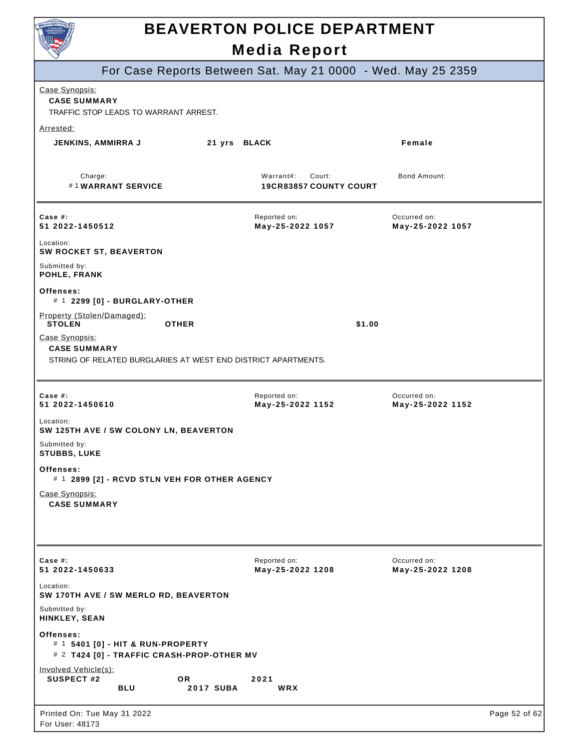

|                                                                                                        |                  | <b>INGUIA IVEPULI</b>                                |                                                              |               |
|--------------------------------------------------------------------------------------------------------|------------------|------------------------------------------------------|--------------------------------------------------------------|---------------|
|                                                                                                        |                  |                                                      | For Case Reports Between Sat. May 21 0000 - Wed. May 25 2359 |               |
| Case Synopsis:<br><b>CASE SUMMARY</b><br>TRAFFIC STOP LEADS TO WARRANT ARREST.                         |                  |                                                      |                                                              |               |
| Arrested:                                                                                              |                  |                                                      |                                                              |               |
| <b>JENKINS, AMMIRRA J</b>                                                                              | 21 yrs BLACK     |                                                      | Female                                                       |               |
| Charge:<br>#1WARRANT SERVICE                                                                           |                  | Warrant#:<br>Court:<br><b>19CR83857 COUNTY COURT</b> | <b>Bond Amount:</b>                                          |               |
| Case $#$ :<br>51 2022-1450512                                                                          |                  | Reported on:<br>May-25-2022 1057                     | Occurred on:<br>May-25-2022 1057                             |               |
| Location:<br><b>SW ROCKET ST, BEAVERTON</b>                                                            |                  |                                                      |                                                              |               |
| Submitted by:<br>POHLE, FRANK                                                                          |                  |                                                      |                                                              |               |
| Offenses:<br># 1 2299 [0] - BURGLARY-OTHER                                                             |                  |                                                      |                                                              |               |
| Property (Stolen/Damaged):<br><b>STOLEN</b><br><b>OTHER</b>                                            |                  |                                                      | \$1.00                                                       |               |
| Case Synopsis:<br><b>CASE SUMMARY</b><br>STRING OF RELATED BURGLARIES AT WEST END DISTRICT APARTMENTS. |                  |                                                      |                                                              |               |
|                                                                                                        |                  |                                                      |                                                              |               |
| Case $#$ :<br>51 2022-1450610                                                                          |                  | Reported on:<br>May-25-2022 1152                     | Occurred on:<br>May-25-2022 1152                             |               |
| Location:<br>SW 125TH AVE / SW COLONY LN, BEAVERTON                                                    |                  |                                                      |                                                              |               |
| Submitted by:<br><b>STUBBS, LUKE</b>                                                                   |                  |                                                      |                                                              |               |
| Offenses:<br># 1 2899 [2] - RCVD STLN VEH FOR OTHER AGENCY                                             |                  |                                                      |                                                              |               |
| Case Synopsis:<br><b>CASE SUMMARY</b>                                                                  |                  |                                                      |                                                              |               |
| Case $#$ :<br>51 2022-1450633                                                                          |                  | Reported on:<br>May-25-2022 1208                     | Occurred on:<br>May-25-2022 1208                             |               |
| Location:<br>SW 170TH AVE / SW MERLO RD, BEAVERTON                                                     |                  |                                                      |                                                              |               |
| Submitted by:<br>HINKLEY, SEAN                                                                         |                  |                                                      |                                                              |               |
| Offenses:<br># 1 5401 [0] - HIT & RUN-PROPERTY<br># 2 T424 [0] - TRAFFIC CRASH-PROP-OTHER MV           |                  |                                                      |                                                              |               |
| Involved Vehicle(s):<br><b>SUSPECT #2</b><br>OR.<br><b>BLU</b>                                         | <b>2017 SUBA</b> | 2021<br>WRX                                          |                                                              |               |
| Printed On: Tue May 31 2022<br>For User: 48173                                                         |                  |                                                      |                                                              | Page 52 of 62 |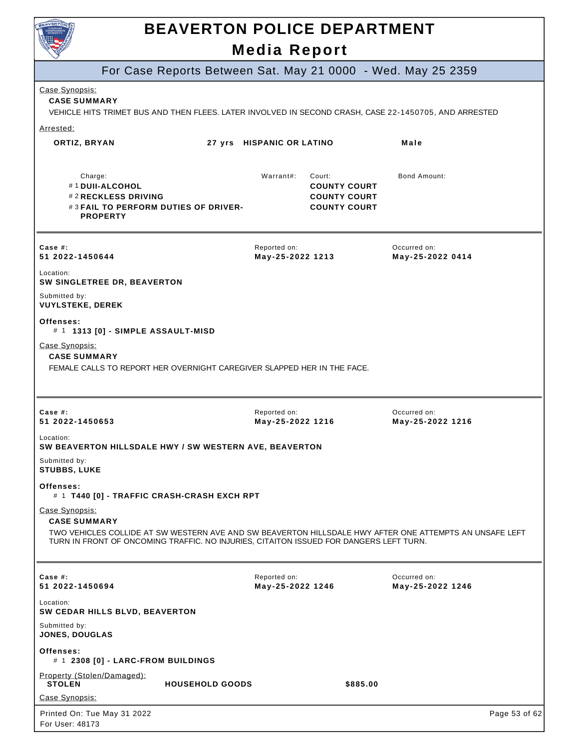

## **BEAVERTON POLICE DEPARTMENT**

### **Media Report**

| For Case Reports Between Sat. May 21 0000 - Wed. May 25 2359                                                                                                                                                                               |                                                                                          |                                  |
|--------------------------------------------------------------------------------------------------------------------------------------------------------------------------------------------------------------------------------------------|------------------------------------------------------------------------------------------|----------------------------------|
| Case Synopsis:<br><b>CASE SUMMARY</b><br>VEHICLE HITS TRIMET BUS AND THEN FLEES. LATER INVOLVED IN SECOND CRASH, CASE 22-1450705, AND ARRESTED                                                                                             |                                                                                          |                                  |
| Arrested:                                                                                                                                                                                                                                  |                                                                                          |                                  |
| ORTIZ, BRYAN                                                                                                                                                                                                                               | 27 yrs HISPANIC OR LATINO                                                                | Male                             |
| Charge:<br>#1DUII-ALCOHOL<br>#2 RECKLESS DRIVING<br>#3 FAIL TO PERFORM DUTIES OF DRIVER-<br><b>PROPERTY</b>                                                                                                                                | Warrant#:<br>Court:<br><b>COUNTY COURT</b><br><b>COUNTY COURT</b><br><b>COUNTY COURT</b> | Bond Amount:                     |
| Case $#$ :<br>51 2022-1450644                                                                                                                                                                                                              | Reported on:<br>May-25-2022 1213                                                         | Occurred on:<br>May-25-2022 0414 |
| Location:<br>SW SINGLETREE DR, BEAVERTON                                                                                                                                                                                                   |                                                                                          |                                  |
| Submitted by:<br><b>VUYLSTEKE, DEREK</b>                                                                                                                                                                                                   |                                                                                          |                                  |
| Offenses:<br># 1 1313 [0] - SIMPLE ASSAULT-MISD                                                                                                                                                                                            |                                                                                          |                                  |
| Case Synopsis:<br><b>CASE SUMMARY</b><br>FEMALE CALLS TO REPORT HER OVERNIGHT CAREGIVER SLAPPED HER IN THE FACE.                                                                                                                           |                                                                                          |                                  |
| Case #:<br>51 2022-1450653                                                                                                                                                                                                                 | Reported on:<br>May-25-2022 1216                                                         | Occurred on:<br>May-25-2022 1216 |
| Location:<br>SW BEAVERTON HILLSDALE HWY / SW WESTERN AVE, BEAVERTON                                                                                                                                                                        |                                                                                          |                                  |
| Submitted by:<br><b>STUBBS, LUKE</b>                                                                                                                                                                                                       |                                                                                          |                                  |
| <b>Offenses:</b><br># 1 T440 [0] - TRAFFIC CRASH-CRASH EXCH RPT                                                                                                                                                                            |                                                                                          |                                  |
| Case Synopsis:<br><b>CASE SUMMARY</b><br>TWO VEHICLES COLLIDE AT SW WESTERN AVE AND SW BEAVERTON HILLSDALE HWY AFTER ONE ATTEMPTS AN UNSAFE LEFT<br>TURN IN FRONT OF ONCOMING TRAFFIC. NO INJURIES, CITAITON ISSUED FOR DANGERS LEFT TURN. |                                                                                          |                                  |
| Case #:<br>51 2022-1450694                                                                                                                                                                                                                 | Reported on:<br>May-25-2022 1246                                                         | Occurred on:<br>May-25-2022 1246 |
| Location:<br>SW CEDAR HILLS BLVD, BEAVERTON                                                                                                                                                                                                |                                                                                          |                                  |
| Submitted by:<br>JONES, DOUGLAS                                                                                                                                                                                                            |                                                                                          |                                  |
| Offenses:<br># 1 2308 [0] - LARC-FROM BUILDINGS                                                                                                                                                                                            |                                                                                          |                                  |
| Property (Stolen/Damaged):<br><b>STOLEN</b><br><b>HOUSEHOLD GOODS</b>                                                                                                                                                                      | \$885.00                                                                                 |                                  |
| Case Synopsis:                                                                                                                                                                                                                             |                                                                                          |                                  |
| Printed On: Tue May 31 2022<br>For User: 48173                                                                                                                                                                                             |                                                                                          | Page 53 of 62                    |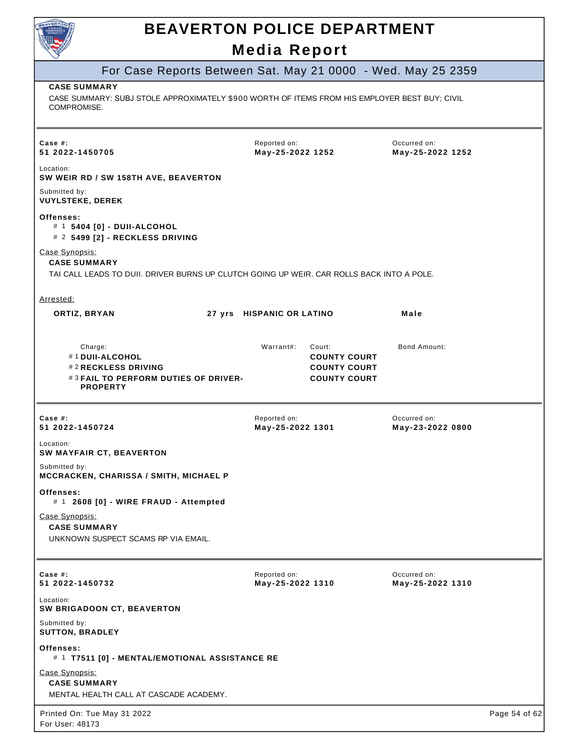| Reported on:<br>May-25-2022 1252<br>TAI CALL LEADS TO DUII. DRIVER BURNS UP CLUTCH GOING UP WEIR. CAR ROLLS BACK INTO A POLE.<br>27 yrs HISPANIC OR LATINO | For Case Reports Between Sat. May 21 0000 - Wed. May 25 2359<br>CASE SUMMARY: SUBJ STOLE APPROXIMATELY \$900 WORTH OF ITEMS FROM HIS EMPLOYER BEST BUY; CIVIL<br>Occurred on:<br>May-25-2022 1252<br>Male |
|------------------------------------------------------------------------------------------------------------------------------------------------------------|-----------------------------------------------------------------------------------------------------------------------------------------------------------------------------------------------------------|
|                                                                                                                                                            |                                                                                                                                                                                                           |
|                                                                                                                                                            |                                                                                                                                                                                                           |
|                                                                                                                                                            |                                                                                                                                                                                                           |
|                                                                                                                                                            |                                                                                                                                                                                                           |
|                                                                                                                                                            |                                                                                                                                                                                                           |
|                                                                                                                                                            |                                                                                                                                                                                                           |
|                                                                                                                                                            |                                                                                                                                                                                                           |
|                                                                                                                                                            |                                                                                                                                                                                                           |
|                                                                                                                                                            |                                                                                                                                                                                                           |
| Warrant#:<br>Court:<br><b>COUNTY COURT</b><br><b>COUNTY COURT</b><br><b>COUNTY COURT</b>                                                                   | Bond Amount:                                                                                                                                                                                              |
| Reported on:<br>May-25-2022 1301                                                                                                                           | Occurred on:<br>May-23-2022 0800                                                                                                                                                                          |
|                                                                                                                                                            |                                                                                                                                                                                                           |
|                                                                                                                                                            |                                                                                                                                                                                                           |
|                                                                                                                                                            |                                                                                                                                                                                                           |
|                                                                                                                                                            |                                                                                                                                                                                                           |
|                                                                                                                                                            | Occurred on:<br>May-25-2022 1310                                                                                                                                                                          |
|                                                                                                                                                            | Reported on:<br>May-25-2022 1310                                                                                                                                                                          |

Page 54 of 62

Printed On: Tue May 31 2022 For User: 48173

# 1 **T7511 [0] - MENTAL/EMOTIONAL ASSISTANCE RE** 

MENTAL HEALTH CALL AT CASCADE ACADEMY.

Submitted by: **SUTTON, BRADLEY** 

**Offenses:** 

Case Synopsis: **CASE SUMMARY**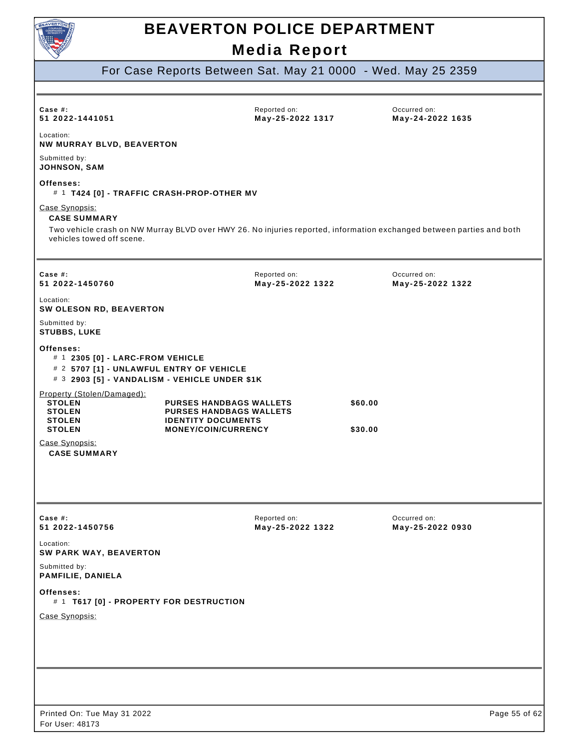

### For Case Reports Between Sat. May 21 0000 - Wed. May 25 2359

| Case $#$ :<br>51 2022-1441051                                                                                                                                                               |                                                                                                                             | Reported on:<br>May-25-2022 1317 |                    | Occurred on:<br>May-24-2022 1635 |               |
|---------------------------------------------------------------------------------------------------------------------------------------------------------------------------------------------|-----------------------------------------------------------------------------------------------------------------------------|----------------------------------|--------------------|----------------------------------|---------------|
| Location:<br>NW MURRAY BLVD, BEAVERTON                                                                                                                                                      |                                                                                                                             |                                  |                    |                                  |               |
| Submitted by:<br><b>JOHNSON, SAM</b>                                                                                                                                                        |                                                                                                                             |                                  |                    |                                  |               |
| Offenses:<br># 1 T424 [0] - TRAFFIC CRASH-PROP-OTHER MV                                                                                                                                     |                                                                                                                             |                                  |                    |                                  |               |
| Case Synopsis:<br><b>CASE SUMMARY</b><br>Two vehicle crash on NW Murray BLVD over HWY 26. No injuries reported, information exchanged between parties and both<br>vehicles towed off scene. |                                                                                                                             |                                  |                    |                                  |               |
| Case $#$ :<br>51 2022-1450760                                                                                                                                                               |                                                                                                                             | Reported on:<br>May-25-2022 1322 |                    | Occurred on:<br>May-25-2022 1322 |               |
| Location:<br>SW OLESON RD, BEAVERTON                                                                                                                                                        |                                                                                                                             |                                  |                    |                                  |               |
| Submitted by:<br><b>STUBBS, LUKE</b>                                                                                                                                                        |                                                                                                                             |                                  |                    |                                  |               |
| Offenses:<br># 1 2305 [0] - LARC-FROM VEHICLE<br># 2 5707 [1] - UNLAWFUL ENTRY OF VEHICLE<br># 3 2903 [5] - VANDALISM - VEHICLE UNDER \$1K                                                  |                                                                                                                             |                                  |                    |                                  |               |
| Property (Stolen/Damaged):<br><b>STOLEN</b><br><b>STOLEN</b><br><b>STOLEN</b><br><b>STOLEN</b>                                                                                              | <b>PURSES HANDBAGS WALLETS</b><br><b>PURSES HANDBAGS WALLETS</b><br><b>IDENTITY DOCUMENTS</b><br><b>MONEY/COIN/CURRENCY</b> |                                  | \$60.00<br>\$30.00 |                                  |               |
| Case Synopsis:<br><b>CASE SUMMARY</b>                                                                                                                                                       |                                                                                                                             |                                  |                    |                                  |               |
| Case #:<br>51 2022-1450756                                                                                                                                                                  |                                                                                                                             | Reported on:<br>May-25-2022 1322 |                    | Occurred on:<br>May-25-2022 0930 |               |
| Location:<br>SW PARK WAY, BEAVERTON                                                                                                                                                         |                                                                                                                             |                                  |                    |                                  |               |
| Submitted by:<br>PAMFILIE, DANIELA                                                                                                                                                          |                                                                                                                             |                                  |                    |                                  |               |
| Offenses:<br># 1 T617 [0] - PROPERTY FOR DESTRUCTION                                                                                                                                        |                                                                                                                             |                                  |                    |                                  |               |
| Case Synopsis:                                                                                                                                                                              |                                                                                                                             |                                  |                    |                                  |               |
|                                                                                                                                                                                             |                                                                                                                             |                                  |                    |                                  |               |
| Printed On: Tue May 31 2022<br>For User: 48173                                                                                                                                              |                                                                                                                             |                                  |                    |                                  | Page 55 of 62 |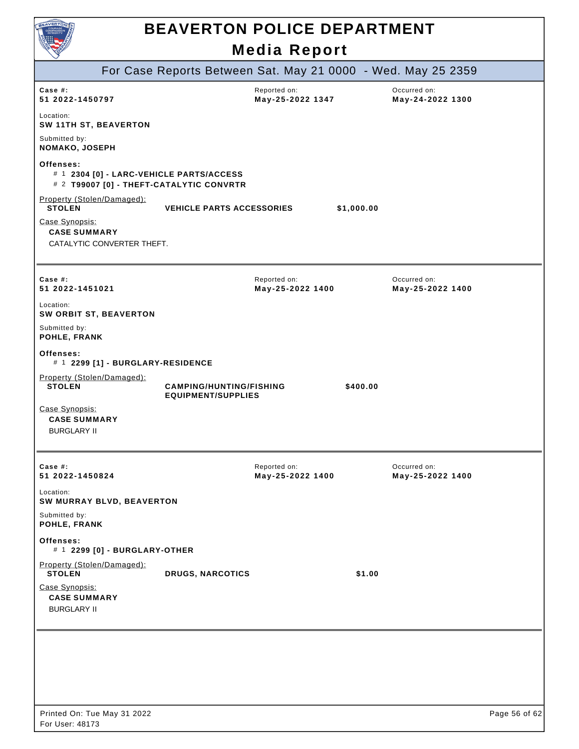

|                                                                     |                                                                                      | For Case Reports Between Sat. May 21 0000 - Wed. May 25 2359 |                                  |               |
|---------------------------------------------------------------------|--------------------------------------------------------------------------------------|--------------------------------------------------------------|----------------------------------|---------------|
| Case $#$ :<br>51 2022-1450797                                       |                                                                                      | Reported on:<br>May-25-2022 1347                             | Occurred on:<br>May-24-2022 1300 |               |
| Location:<br><b>SW 11TH ST, BEAVERTON</b>                           |                                                                                      |                                                              |                                  |               |
| Submitted by:<br>NOMAKO, JOSEPH                                     |                                                                                      |                                                              |                                  |               |
| Offenses:                                                           | # 1 2304 [0] - LARC-VEHICLE PARTS/ACCESS<br># 2 T99007 [0] - THEFT-CATALYTIC CONVRTR |                                                              |                                  |               |
| Property (Stolen/Damaged):<br><b>STOLEN</b>                         | <b>VEHICLE PARTS ACCESSORIES</b>                                                     | \$1,000.00                                                   |                                  |               |
| Case Synopsis:<br><b>CASE SUMMARY</b><br>CATALYTIC CONVERTER THEFT. |                                                                                      |                                                              |                                  |               |
| Case #:<br>51 2022-1451021                                          |                                                                                      | Reported on:<br>May-25-2022 1400                             | Occurred on:<br>May-25-2022 1400 |               |
| Location:<br><b>SW ORBIT ST, BEAVERTON</b>                          |                                                                                      |                                                              |                                  |               |
| Submitted by:<br>POHLE, FRANK                                       |                                                                                      |                                                              |                                  |               |
| Offenses:<br># 1 2299 [1] - BURGLARY-RESIDENCE                      |                                                                                      |                                                              |                                  |               |
| Property (Stolen/Damaged):<br><b>STOLEN</b>                         | <b>CAMPING/HUNTING/FISHING</b><br><b>EQUIPMENT/SUPPLIES</b>                          | \$400.00                                                     |                                  |               |
| Case Synopsis:<br><b>CASE SUMMARY</b><br><b>BURGLARY II</b>         |                                                                                      |                                                              |                                  |               |
| Case #:<br>51 2022-1450824                                          |                                                                                      | Reported on:<br>May-25-2022 1400                             | Occurred on:<br>May-25-2022 1400 |               |
| Location:<br>SW MURRAY BLVD, BEAVERTON                              |                                                                                      |                                                              |                                  |               |
| Submitted by:<br>POHLE, FRANK                                       |                                                                                      |                                                              |                                  |               |
| Offenses:<br># 1 2299 [0] - BURGLARY-OTHER                          |                                                                                      |                                                              |                                  |               |
| Property (Stolen/Damaged):<br><b>STOLEN</b>                         | <b>DRUGS, NARCOTICS</b>                                                              | \$1.00                                                       |                                  |               |
| Case Synopsis:<br><b>CASE SUMMARY</b><br><b>BURGLARY II</b>         |                                                                                      |                                                              |                                  |               |
|                                                                     |                                                                                      |                                                              |                                  |               |
|                                                                     |                                                                                      |                                                              |                                  |               |
|                                                                     |                                                                                      |                                                              |                                  |               |
| Printed On: Tue May 31 2022<br>For User: 48173                      |                                                                                      |                                                              |                                  | Page 56 of 62 |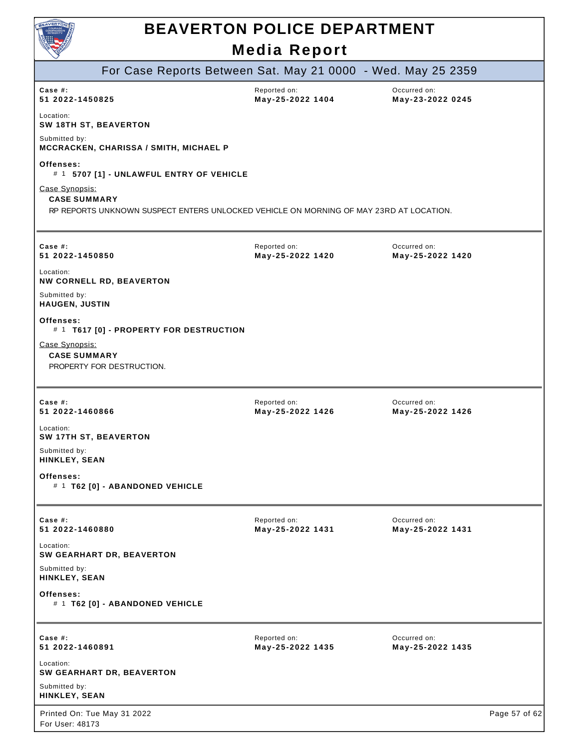| BEAVERTON<br><b>BEAVERTON POLICE DEPARTMENT</b>                                                                                 |                                  |                                  |               |
|---------------------------------------------------------------------------------------------------------------------------------|----------------------------------|----------------------------------|---------------|
|                                                                                                                                 | <b>Media Report</b>              |                                  |               |
| For Case Reports Between Sat. May 21 0000 - Wed. May 25 2359                                                                    |                                  |                                  |               |
| Case $#$ :<br>51 2022-1450825                                                                                                   | Reported on:<br>May-25-2022 1404 | Occurred on:<br>May-23-2022 0245 |               |
| Location:<br>SW 18TH ST, BEAVERTON                                                                                              |                                  |                                  |               |
| Submitted by:<br>MCCRACKEN, CHARISSA / SMITH, MICHAEL P                                                                         |                                  |                                  |               |
| Offenses:<br># 1 5707 [1] - UNLAWFUL ENTRY OF VEHICLE                                                                           |                                  |                                  |               |
| Case Synopsis:<br><b>CASE SUMMARY</b><br>RP REPORTS UNKNOWN SUSPECT ENTERS UNLOCKED VEHICLE ON MORNING OF MAY 23RD AT LOCATION. |                                  |                                  |               |
| Case #:<br>51 2022-1450850                                                                                                      | Reported on:<br>May-25-2022 1420 | Occurred on:<br>May-25-2022 1420 |               |
| Location:<br><b>NW CORNELL RD, BEAVERTON</b>                                                                                    |                                  |                                  |               |
| Submitted by:<br><b>HAUGEN, JUSTIN</b>                                                                                          |                                  |                                  |               |
| Offenses:<br># 1 T617 [0] - PROPERTY FOR DESTRUCTION                                                                            |                                  |                                  |               |
| Case Synopsis:<br><b>CASE SUMMARY</b><br>PROPERTY FOR DESTRUCTION.                                                              |                                  |                                  |               |
| Case #:<br>51 2022-1460866                                                                                                      | Reported on:<br>May-25-2022 1426 | Occurred on:<br>May-25-2022 1426 |               |
| Location:<br>SW 17TH ST, BEAVERTON                                                                                              |                                  |                                  |               |
| Submitted by:<br>HINKLEY, SEAN                                                                                                  |                                  |                                  |               |
| Offenses:<br># 1 T62 [0] - ABANDONED VEHICLE                                                                                    |                                  |                                  |               |
| Case #:<br>51 2022-1460880                                                                                                      | Reported on:<br>May-25-2022 1431 | Occurred on:<br>May-25-2022 1431 |               |
| Location:<br>SW GEARHART DR, BEAVERTON                                                                                          |                                  |                                  |               |
| Submitted by:<br>HINKLEY, SEAN                                                                                                  |                                  |                                  |               |
| Offenses:<br># 1 T62 [0] - ABANDONED VEHICLE                                                                                    |                                  |                                  |               |
| Case $#$ :<br>51 2022-1460891                                                                                                   | Reported on:<br>May-25-2022 1435 | Occurred on:<br>May-25-2022 1435 |               |
| Location:<br><b>SW GEARHART DR, BEAVERTON</b>                                                                                   |                                  |                                  |               |
| Submitted by:<br>HINKLEY, SEAN                                                                                                  |                                  |                                  |               |
| Printed On: Tue May 31 2022<br>For User: 48173                                                                                  |                                  |                                  | Page 57 of 62 |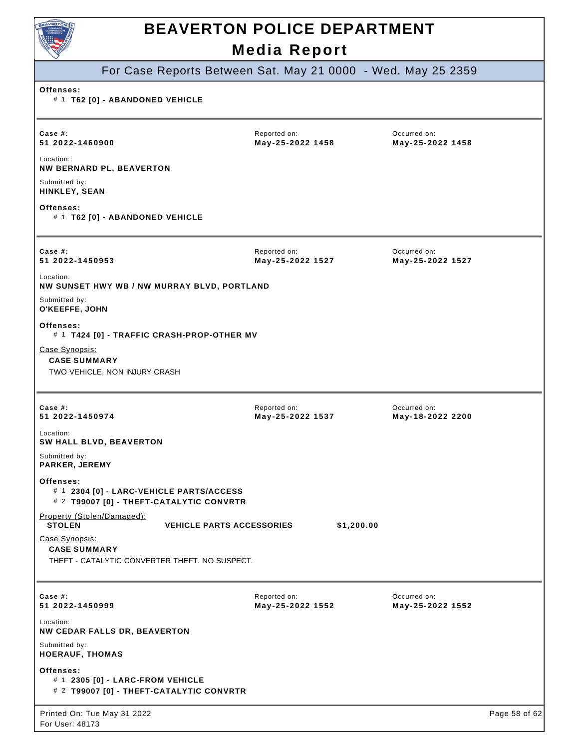

### For Case Reports Between Sat. May 21 0000 - Wed. May 25 2359

#### **Offenses:**

#### # 1 **T62 [0] - ABANDONED VEHICLE**

| Case #:<br>51 2022-1460900                                                                        | Reported on:<br>May-25-2022 1458               | Occurred on:<br>May-25-2022 1458 |               |
|---------------------------------------------------------------------------------------------------|------------------------------------------------|----------------------------------|---------------|
| Location:<br><b>NW BERNARD PL, BEAVERTON</b>                                                      |                                                |                                  |               |
| Submitted by:<br><b>HINKLEY, SEAN</b>                                                             |                                                |                                  |               |
| Offenses:<br># 1 T62 [0] - ABANDONED VEHICLE                                                      |                                                |                                  |               |
| Case #:<br>51 2022-1450953                                                                        | Reported on:<br>May-25-2022 1527               | Occurred on:<br>May-25-2022 1527 |               |
| Location:<br>NW SUNSET HWY WB / NW MURRAY BLVD, PORTLAND                                          |                                                |                                  |               |
| Submitted by:<br>O'KEEFFE, JOHN                                                                   |                                                |                                  |               |
| Offenses:<br># 1 T424 [0] - TRAFFIC CRASH-PROP-OTHER MV                                           |                                                |                                  |               |
| Case Synopsis:<br><b>CASE SUMMARY</b><br>TWO VEHICLE, NON INJURY CRASH                            |                                                |                                  |               |
| Case $#$ :<br>51 2022-1450974                                                                     | Reported on:<br>May-25-2022 1537               | Occurred on:<br>May-18-2022 2200 |               |
| Location:<br>SW HALL BLVD, BEAVERTON                                                              |                                                |                                  |               |
| Submitted by:<br>PARKER, JEREMY                                                                   |                                                |                                  |               |
| Offenses:<br># 1 2304 [0] - LARC-VEHICLE PARTS/ACCESS<br># 2 T99007 [0] - THEFT-CATALYTIC CONVRTR |                                                |                                  |               |
| Property (Stolen/Damaged):<br><b>STOLEN</b>                                                       | <b>VEHICLE PARTS ACCESSORIES</b><br>\$1,200.00 |                                  |               |
| Case Synopsis:<br><b>CASE SUMMARY</b><br>THEFT - CATALYTIC CONVERTER THEFT. NO SUSPECT.           |                                                |                                  |               |
| Case #:<br>51 2022-1450999                                                                        | Reported on:<br>May-25-2022 1552               | Occurred on:<br>May-25-2022 1552 |               |
| Location:<br>NW CEDAR FALLS DR, BEAVERTON                                                         |                                                |                                  |               |
| Submitted by:<br><b>HOERAUF, THOMAS</b>                                                           |                                                |                                  |               |
| Offenses:<br># 1 2305 [0] - LARC-FROM VEHICLE<br># 2 T99007 [0] - THEFT-CATALYTIC CONVRTR         |                                                |                                  |               |
| Printed On: Tue May 31 2022<br>For User: 48173                                                    |                                                |                                  | Page 58 of 62 |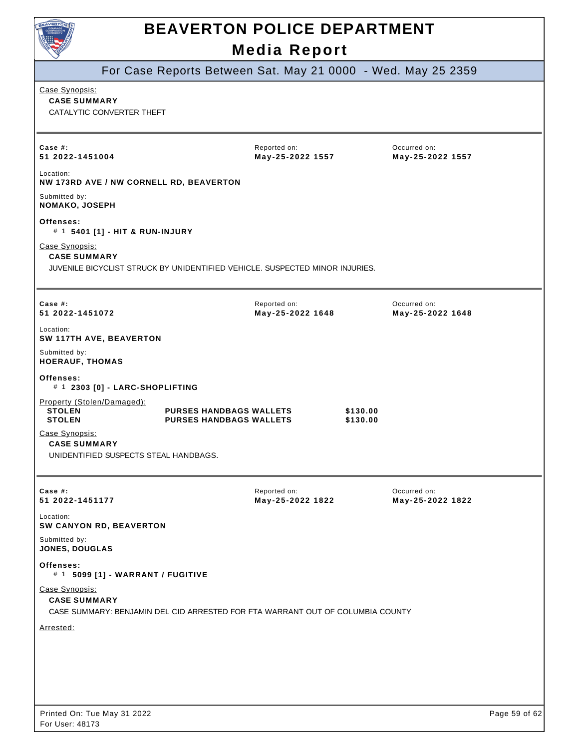

For Case Reports Between Sat. May 21 0000 - Wed. May 25 2359

#### Case Synopsis:

**CASE SUMMARY**  CATALYTIC CONVERTER THEFT

| Case #:<br>51 2022-1451004                                                                                              |                                                                  | Reported on:<br>May-25-2022 1557 |                      | Occurred on:<br>May-25-2022 1557 |               |
|-------------------------------------------------------------------------------------------------------------------------|------------------------------------------------------------------|----------------------------------|----------------------|----------------------------------|---------------|
| Location:<br>NW 173RD AVE / NW CORNELL RD, BEAVERTON                                                                    |                                                                  |                                  |                      |                                  |               |
| Submitted by:<br><b>NOMAKO, JOSEPH</b>                                                                                  |                                                                  |                                  |                      |                                  |               |
| Offenses:<br># 1 5401 [1] - HIT & RUN-INJURY                                                                            |                                                                  |                                  |                      |                                  |               |
| Case Synopsis:<br><b>CASE SUMMARY</b><br>JUVENILE BICYCLIST STRUCK BY UNIDENTIFIED VEHICLE. SUSPECTED MINOR INJURIES.   |                                                                  |                                  |                      |                                  |               |
| Case #:<br>51 2022-1451072                                                                                              |                                                                  | Reported on:<br>May-25-2022 1648 |                      | Occurred on:<br>May-25-2022 1648 |               |
| Location:<br>SW 117TH AVE, BEAVERTON                                                                                    |                                                                  |                                  |                      |                                  |               |
| Submitted by:<br><b>HOERAUF, THOMAS</b>                                                                                 |                                                                  |                                  |                      |                                  |               |
| Offenses:<br># 1 2303 [0] - LARC-SHOPLIFTING                                                                            |                                                                  |                                  |                      |                                  |               |
| Property (Stolen/Damaged):<br><b>STOLEN</b><br><b>STOLEN</b>                                                            | <b>PURSES HANDBAGS WALLETS</b><br><b>PURSES HANDBAGS WALLETS</b> |                                  | \$130.00<br>\$130.00 |                                  |               |
| Case Synopsis:<br><b>CASE SUMMARY</b><br>UNIDENTIFIED SUSPECTS STEAL HANDBAGS.                                          |                                                                  |                                  |                      |                                  |               |
| Case #:<br>51 2022-1451177                                                                                              |                                                                  | Reported on:<br>May-25-2022 1822 |                      | Occurred on:<br>May-25-2022 1822 |               |
| Location:<br>SW CANYON RD, BEAVERTON                                                                                    |                                                                  |                                  |                      |                                  |               |
| Submitted by:<br><b>JONES, DOUGLAS</b>                                                                                  |                                                                  |                                  |                      |                                  |               |
| Offenses:<br># 1 5099 [1] - WARRANT / FUGITIVE                                                                          |                                                                  |                                  |                      |                                  |               |
| Case Synopsis:<br><b>CASE SUMMARY</b><br>CASE SUMMARY: BENJAMIN DEL CID ARRESTED FOR FTA WARRANT OUT OF COLUMBIA COUNTY |                                                                  |                                  |                      |                                  |               |
| Arrested:                                                                                                               |                                                                  |                                  |                      |                                  |               |
|                                                                                                                         |                                                                  |                                  |                      |                                  |               |
|                                                                                                                         |                                                                  |                                  |                      |                                  |               |
| Printed On: Tue May 31 2022                                                                                             |                                                                  |                                  |                      |                                  | Page 59 of 62 |
|                                                                                                                         |                                                                  |                                  |                      |                                  |               |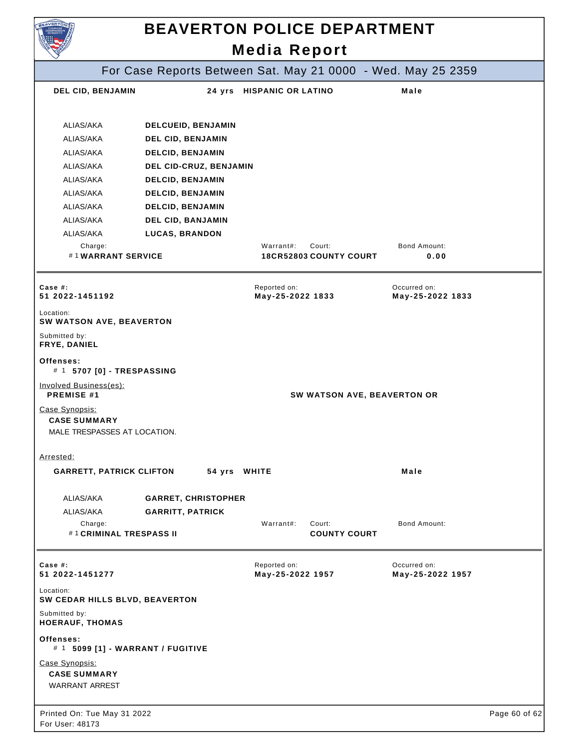| <b>AVERTO</b>                                       |                                              | <b>BEAVERTON POLICE DEPARTMENT</b>                           |                                  |               |
|-----------------------------------------------------|----------------------------------------------|--------------------------------------------------------------|----------------------------------|---------------|
|                                                     |                                              | <b>Media Report</b>                                          |                                  |               |
|                                                     |                                              | For Case Reports Between Sat. May 21 0000 - Wed. May 25 2359 |                                  |               |
| DEL CID, BENJAMIN                                   |                                              | 24 yrs HISPANIC OR LATINO                                    | Male                             |               |
| ALIAS/AKA                                           | DELCUEID, BENJAMIN                           |                                                              |                                  |               |
| ALIAS/AKA                                           | DEL CID, BENJAMIN                            |                                                              |                                  |               |
| ALIAS/AKA                                           | <b>DELCID, BENJAMIN</b>                      |                                                              |                                  |               |
| ALIAS/AKA                                           | DEL CID-CRUZ, BENJAMIN                       |                                                              |                                  |               |
| ALIAS/AKA                                           | <b>DELCID, BENJAMIN</b>                      |                                                              |                                  |               |
| ALIAS/AKA                                           |                                              |                                                              |                                  |               |
| ALIAS/AKA                                           | <b>DELCID, BENJAMIN</b>                      |                                                              |                                  |               |
| ALIAS/AKA                                           | <b>DELCID, BENJAMIN</b><br>DEL CID, BANJAMIN |                                                              |                                  |               |
| ALIAS/AKA                                           |                                              |                                                              |                                  |               |
| Charge:                                             | <b>LUCAS, BRANDON</b>                        | Warrant#:<br>Court:                                          | <b>Bond Amount:</b>              |               |
| #1WARRANT SERVICE                                   |                                              | <b>18CR52803 COUNTY COURT</b>                                | 0.00                             |               |
| Case #:<br>51 2022-1451192                          |                                              | Reported on:<br>May-25-2022 1833                             | Occurred on:<br>May-25-2022 1833 |               |
| Location:<br>SW WATSON AVE, BEAVERTON               |                                              |                                                              |                                  |               |
| Submitted by:<br>FRYE, DANIEL                       |                                              |                                                              |                                  |               |
| Offenses:<br># 1 5707 [0] - TRESPASSING             |                                              |                                                              |                                  |               |
| Involved Business(es):<br>PREMISE #1                |                                              | SW WATSON AVE, BEAVERTON OR                                  |                                  |               |
| Case Synopsis:                                      |                                              |                                                              |                                  |               |
| <b>CASE SUMMARY</b><br>MALE TRESPASSES AT LOCATION. |                                              |                                                              |                                  |               |
| Arrested:                                           |                                              |                                                              |                                  |               |
| <b>GARRETT, PATRICK CLIFTON</b>                     | 54 yrs WHITE                                 |                                                              | Male                             |               |
| ALIAS/AKA                                           | <b>GARRET, CHRISTOPHER</b>                   |                                                              |                                  |               |
| ALIAS/AKA                                           | <b>GARRITT, PATRICK</b>                      |                                                              |                                  |               |
| Charge:<br>#1 CRIMINAL TRESPASS II                  |                                              | Warrant#:<br>Court:<br><b>COUNTY COURT</b>                   | Bond Amount:                     |               |
| Case $#$ :                                          |                                              | Reported on:                                                 | Occurred on:                     |               |
| 51 2022-1451277                                     |                                              | May-25-2022 1957                                             | May-25-2022 1957                 |               |
| Location:<br>SW CEDAR HILLS BLVD, BEAVERTON         |                                              |                                                              |                                  |               |
| Submitted by:<br><b>HOERAUF, THOMAS</b>             |                                              |                                                              |                                  |               |
| Offenses:<br># 1 5099 [1] - WARRANT / FUGITIVE      |                                              |                                                              |                                  |               |
| Case Synopsis:                                      |                                              |                                                              |                                  |               |
| <b>CASE SUMMARY</b><br><b>WARRANT ARREST</b>        |                                              |                                                              |                                  |               |
| Printed On: Tue May 31 2022                         |                                              |                                                              |                                  | Page 60 of 62 |
| For User: 48173                                     |                                              |                                                              |                                  |               |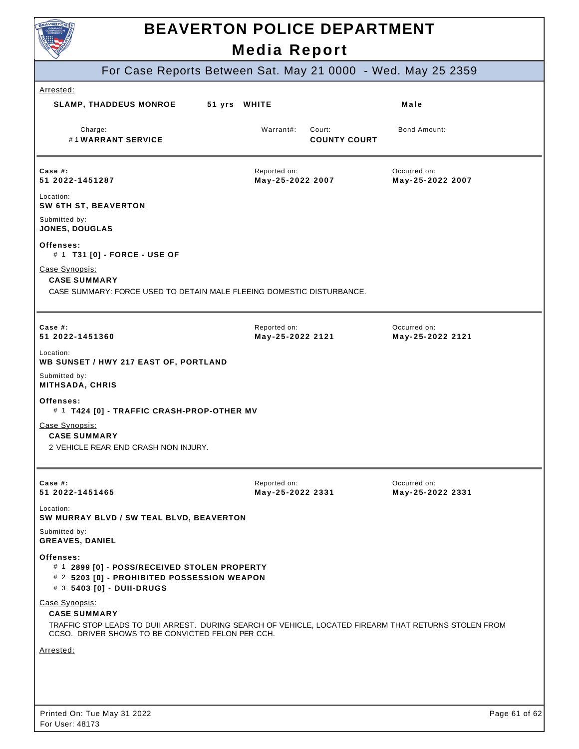

# **BEAVERTON POLICE DEPARTMENT**

|                                                                                                                                                |              | <b>Media Report</b>              |                               |                                                              |
|------------------------------------------------------------------------------------------------------------------------------------------------|--------------|----------------------------------|-------------------------------|--------------------------------------------------------------|
|                                                                                                                                                |              |                                  |                               | For Case Reports Between Sat. May 21 0000 - Wed. May 25 2359 |
| Arrested:                                                                                                                                      |              |                                  |                               |                                                              |
| <b>SLAMP, THADDEUS MONROE</b>                                                                                                                  | 51 yrs WHITE |                                  |                               | Male                                                         |
| Charge:<br>#1WARRANT SERVICE                                                                                                                   |              | Warrant#:                        | Court:<br><b>COUNTY COURT</b> | Bond Amount:                                                 |
| Case $#$ :<br>51 2022-1451287                                                                                                                  |              | Reported on:<br>May-25-2022 2007 |                               | Occurred on:<br>May-25-2022 2007                             |
| Location:<br>SW 6TH ST, BEAVERTON                                                                                                              |              |                                  |                               |                                                              |
| Submitted by:<br>JONES, DOUGLAS                                                                                                                |              |                                  |                               |                                                              |
| Offenses:<br># 1 T31 [0] - FORCE - USE OF                                                                                                      |              |                                  |                               |                                                              |
| Case Synopsis:<br><b>CASE SUMMARY</b>                                                                                                          |              |                                  |                               |                                                              |
| CASE SUMMARY: FORCE USED TO DETAIN MALE FLEEING DOMESTIC DISTURBANCE.                                                                          |              |                                  |                               |                                                              |
| Case #:<br>51 2022-1451360                                                                                                                     |              | Reported on:<br>May-25-2022 2121 |                               | Occurred on:<br>May-25-2022 2121                             |
| Location:                                                                                                                                      |              |                                  |                               |                                                              |
| WB SUNSET / HWY 217 EAST OF, PORTLAND<br>Submitted by:                                                                                         |              |                                  |                               |                                                              |
| MITHSADA, CHRIS                                                                                                                                |              |                                  |                               |                                                              |
| Offenses:<br># 1 T424 [0] - TRAFFIC CRASH-PROP-OTHER MV                                                                                        |              |                                  |                               |                                                              |
| Case Synopsis:<br><b>CASE SUMMARY</b>                                                                                                          |              |                                  |                               |                                                              |
| 2 VEHICLE REAR END CRASH NON INJURY.                                                                                                           |              |                                  |                               |                                                              |
|                                                                                                                                                |              |                                  |                               |                                                              |
| Case #:<br>51 2022-1451465                                                                                                                     |              | Reported on:<br>May-25-2022 2331 |                               | Occurred on:<br>May-25-2022 2331                             |
| Location:<br>SW MURRAY BLVD / SW TEAL BLVD, BEAVERTON                                                                                          |              |                                  |                               |                                                              |
| Submitted by:<br><b>GREAVES, DANIEL</b>                                                                                                        |              |                                  |                               |                                                              |
| Offenses:<br># 1 2899 [0] - POSS/RECEIVED STOLEN PROPERTY<br># 2 5203 [0] - PROHIBITED POSSESSION WEAPON<br># 3 5403 [0] - DUII-DRUGS          |              |                                  |                               |                                                              |
| Case Synopsis:<br><b>CASE SUMMARY</b><br>TRAFFIC STOP LEADS TO DUII ARREST. DURING SEARCH OF VEHICLE, LOCATED FIREARM THAT RETURNS STOLEN FROM |              |                                  |                               |                                                              |
| CCSO. DRIVER SHOWS TO BE CONVICTED FELON PER CCH.                                                                                              |              |                                  |                               |                                                              |
| Arrested:                                                                                                                                      |              |                                  |                               |                                                              |
|                                                                                                                                                |              |                                  |                               |                                                              |
|                                                                                                                                                |              |                                  |                               |                                                              |
| Printed On: Tue May 31 2022                                                                                                                    |              |                                  |                               | Page 61 of 62                                                |